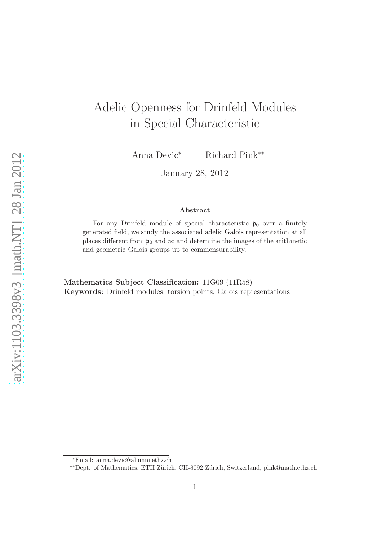# Adelic Openness for Drinfeld Modules in Special Characteristic

Anna Devic<sup>∗</sup> Richard Pink∗∗

January 28, 2012

#### Abstract

For any Drinfeld module of special characteristic  $p_0$  over a finitely generated field, we study the associated adelic Galois representation at all places different from  $\mathfrak{p}_0$  and  $\infty$  and determine the images of the arithmetic and geometric Galois groups up to commensurability.

Mathematics Subject Classification: 11G09 (11R58) Keywords: Drinfeld modules, torsion points, Galois representations

<sup>∗</sup>Email: anna.devic@alumni.ethz.ch

<sup>∗∗</sup>Dept. of Mathematics, ETH Z¨urich, CH-8092 Z¨urich, Switzerland, pink@math.ethz.ch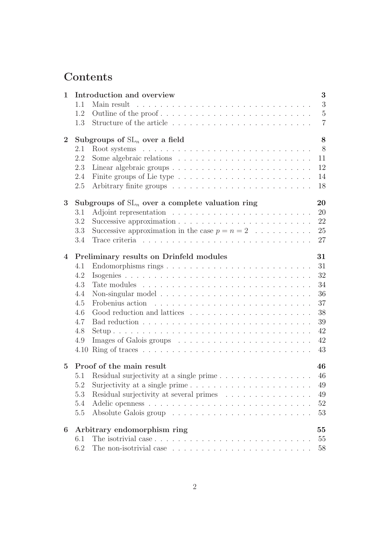# Contents

| $\mathbf{1}$   |                                                    | 3<br>Introduction and overview                                                          |
|----------------|----------------------------------------------------|-----------------------------------------------------------------------------------------|
|                | 1.1                                                | 3<br>Main result                                                                        |
|                | 1.2                                                | $\overline{5}$                                                                          |
|                | 1.3                                                | $\overline{7}$                                                                          |
| $\overline{2}$ | Subgroups of $SL_n$ over a field                   |                                                                                         |
|                | 2.1                                                | 8                                                                                       |
|                | 2.2                                                | 11                                                                                      |
|                | 2.3                                                | 12                                                                                      |
|                | 2.4                                                | Finite groups of Lie type $\dots \dots \dots \dots \dots \dots \dots \dots$<br>14       |
|                | 2.5                                                | 18                                                                                      |
| 3              | Subgroups of $SL_n$ over a complete valuation ring |                                                                                         |
|                | 3.1                                                | 20                                                                                      |
|                | 3.2                                                | 22                                                                                      |
|                | 3.3                                                | Successive approximation in the case $p = n = 2 \dots \dots \dots$<br>25                |
|                | 3.4                                                | 27                                                                                      |
| $\overline{4}$ | 31<br>Preliminary results on Drinfeld modules      |                                                                                         |
|                | 4.1                                                | 31                                                                                      |
|                | 4.2                                                | 32                                                                                      |
|                | 4.3                                                | 34                                                                                      |
|                | 4.4                                                | 36                                                                                      |
|                | 4.5                                                | 37                                                                                      |
|                | 4.6                                                | 38                                                                                      |
|                | 4.7                                                | 39                                                                                      |
|                | 4.8                                                | 42                                                                                      |
|                | 4.9                                                | 42                                                                                      |
|                |                                                    | 43                                                                                      |
| $\mathbf{5}$   | Proof of the main result                           |                                                                                         |
|                | 5.1                                                | 46                                                                                      |
|                | 5.2                                                | 49                                                                                      |
|                | 5.3                                                | Residual surjectivity at several primes<br>49                                           |
|                | 5.4                                                | $52\,$                                                                                  |
|                | 5.5                                                | 53                                                                                      |
| 6              |                                                    | Arbitrary endomorphism ring<br>55                                                       |
|                | 6.1                                                | 55                                                                                      |
|                | 6.2                                                | The non-isotrivial case $\ldots \ldots \ldots \ldots \ldots \ldots \ldots \ldots$<br>58 |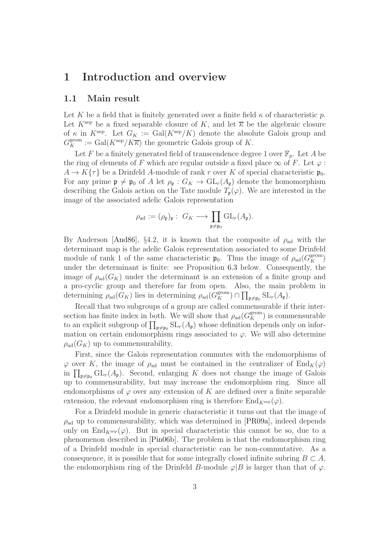## <span id="page-2-1"></span><span id="page-2-0"></span>1 Introduction and overview

## 1.1 Main result

Let K be a field that is finitely generated over a finite field  $\kappa$  of characteristic p. Let  $K^{\text{sep}}$  be a fixed separable closure of K, and let  $\overline{\kappa}$  be the algebraic closure of  $\kappa$  in  $K^{\text{sep}}$ . Let  $G_K := \text{Gal}(K^{\text{sep}}/K)$  denote the absolute Galois group and  $G_K^{\text{geom}} := \text{Gal}(K^{\text{sep}}/K\overline{\kappa})$  the geometric Galois group of K.

Let F be a finitely generated field of transcendence degree 1 over  $\mathbb{F}_n$ . Let A be the ring of elements of F which are regular outside a fixed place  $\infty$  of F. Let  $\varphi$ :  $A \to K\{\tau\}$  be a Drinfeld A-module of rank r over K of special characteristic  $\mathfrak{p}_0$ . For any prime  $\mathfrak{p} \neq \mathfrak{p}_0$  of A let  $\rho_{\mathfrak{p}} : G_K \to GL_r(A_{\mathfrak{p}})$  denote the homomorphism describing the Galois action on the Tate module  $T_{\mathfrak{p}}(\varphi)$ . We are interested in the image of the associated adelic Galois representation

$$
\rho_{\rm ad} := (\rho_{\mathfrak{p}})_{\mathfrak{p}} : G_K \longrightarrow \prod_{\mathfrak{p} \neq \mathfrak{p}_0} GL_r(A_{\mathfrak{p}}).
$$

By Anderson [\[And86\]](#page-60-0), §4.2, it is known that the composite of  $\rho_{ad}$  with the determinant map is the adelic Galois representation associated to some Drinfeld module of rank 1 of the same characteristic  $\mathfrak{p}_0$ . Thus the image of  $\rho_{ad}(G_K^{\text{geom}})$ under the determinant is finite: see Proposition [6.3](#page-55-0) below. Consequently, the image of  $\rho_{ad}(G_K)$  under the determinant is an extension of a finite group and a pro-cyclic group and therefore far from open. Also, the main problem in determining  $\rho_{ad}(G_K)$  lies in determining  $\rho_{ad}(G_K^{\text{geom}}) \cap \prod_{\mathfrak{p}\neq \mathfrak{p}_0} SL_r(A_{\mathfrak{p}})$ .

Recall that two subgroups of a group are called commensurable if their intersection has finite index in both. We will show that  $\rho_{ad}(G_K^{\text{geom}})$  is commensurable to an explicit subgroup of  $\prod_{\mathfrak{p}\neq\mathfrak{p}_0} SL_r(A_{\mathfrak{p}})$  whose definition depends only on information on certain endomorphism rings associated to  $\varphi$ . We will also determine  $\rho_{\rm ad}(G_K)$  up to commensurability.

First, since the Galois representation commutes with the endomorphisms of  $\varphi$  over K, the image of  $\rho_{ad}$  must be contained in the centralizer of  $\text{End}_K(\varphi)$ in  $\prod_{\mathfrak{p}\neq\mathfrak{p}_0} GL_r(A_{\mathfrak{p}})$ . Second, enlarging K does not change the image of Galois up to commensurability, but may increase the endomorphism ring. Since all endomorphisms of  $\varphi$  over any extension of K are defined over a finite separable extension, the relevant endomorphism ring is therefore  $\text{End}_{K^{\text{sep}}}(\varphi)$ .

For a Drinfeld module in generic characteristic it turns out that the image of  $\rho_{\rm ad}$  up to commensurability, which was determined in [\[PR09a\]](#page-62-0), indeed depends only on End<sub>Ksep</sub> $(\varphi)$ . But in special characteristic this cannot be so, due to a phenomenon described in [\[Pin06b\]](#page-61-0). The problem is that the endomorphism ring of a Drinfeld module in special characteristic can be non-commutative. As a consequence, it is possible that for some integrally closed infinite subring  $B \subset A$ , the endomorphism ring of the Drinfeld B-module  $\varphi|B$  is larger than that of  $\varphi$ .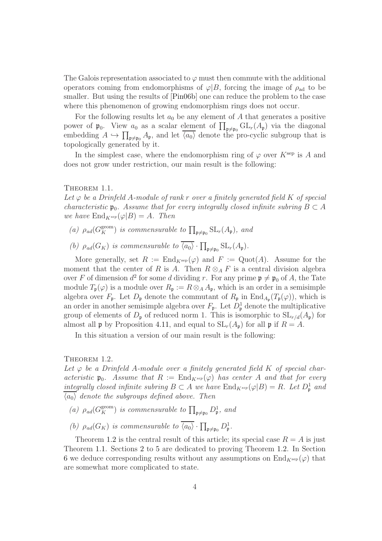The Galois representation associated to  $\varphi$  must then commute with the additional operators coming from endomorphisms of  $\varphi|B$ , forcing the image of  $\rho_{ad}$  to be smaller. But using the results of [\[Pin06b\]](#page-61-0) one can reduce the problem to the case where this phenomenon of growing endomorphism rings does not occur.

For the following results let  $a_0$  be any element of A that generates a positive power of  $\mathfrak{p}_0$ . View  $a_0$  as a scalar element of  $\prod_{\mathfrak{p}\neq\mathfrak{p}_0} GL_r(A_{\mathfrak{p}})$  via the diagonal embedding  $A \hookrightarrow \prod_{\mathfrak{p}\neq \mathfrak{p}_0} A_{\mathfrak{p}}$ , and let  $\langle a_0 \rangle$  denote the pro-cyclic subgroup that is topologically generated by it.

In the simplest case, where the endomorphism ring of  $\varphi$  over  $K^{\text{sep}}$  is A and does not grow under restriction, our main result is the following:

#### <span id="page-3-1"></span>THEOREM 1.1.

Let  $\varphi$  be a Drinfeld A-module of rank r over a finitely generated field K of special characteristic  $\mathfrak{p}_0$ . Assume that for every integrally closed infinite subring  $B \subset A$ we have  $\text{End}_{K^{sep}}(\varphi|B) = A$ . Then

- (a)  $\rho_{ad}(G_K^{\text{geom}})$  is commensurable to  $\prod_{\mathfrak{p}\neq \mathfrak{p}_0} SL_r(A_{\mathfrak{p}})$ , and
- (b)  $\rho_{ad}(G_K)$  is commensurable to  $\langle a_0 \rangle \cdot \prod_{\mathfrak{p} \neq \mathfrak{p}_0} SL_r(A_{\mathfrak{p}})$ .

More generally, set  $R := \text{End}_{K^{\text{sep}}}(\varphi)$  and  $F := \text{Quot}(A)$ . Assume for the moment that the center of R is A. Then  $R \otimes_A F$  is a central division algebra over F of dimension  $d^2$  for some d dividing r. For any prime  $\mathfrak{p} \neq \mathfrak{p}_0$  of A, the Tate module  $T_{\mathfrak{p}}(\varphi)$  is a module over  $R_{\mathfrak{p}} := R \otimes_A A_{\mathfrak{p}}$ , which is an order in a semisimple algebra over  $F_{\mathfrak{p}}$ . Let  $D_{\mathfrak{p}}$  denote the commutant of  $R_{\mathfrak{p}}$  in  $\text{End}_{A_{\mathfrak{p}}}(T_{\mathfrak{p}}(\varphi))$ , which is an order in another semisimple algebra over  $F_{\mathfrak{p}}$ . Let  $D_{\mathfrak{p}}^1$  denote the multiplicative group of elements of  $D_{\mathfrak{p}}$  of reduced norm 1. This is isomorphic to  $SL_{r/d}(A_{\mathfrak{p}})$  for almost all **p** by Proposition [4.11,](#page-35-1) and equal to  $SL_r(A_p)$  for all **p** if  $R = A$ .

In this situation a version of our main result is the following:

#### <span id="page-3-0"></span>THEOREM 1.2.

Let  $\varphi$  be a Drinfeld A-module over a finitely generated field K of special characteristic  $\mathfrak{p}_0$ . Assume that  $R := \text{End}_{K^{sep}}(\varphi)$  has center A and that for every integrally closed infinite subring  $B \subset A$  we have  $\text{End}_{K^{sep}}(\varphi|B) = R$ . Let  $D^1_{\mathfrak{p}}$  and  $\langle a_0 \rangle$  denote the subgroups defined above. Then

- (a)  $\rho_{ad}(G_K^{\text{geom}})$  is commensurable to  $\prod_{\mathfrak{p}\neq\mathfrak{p}_0} D^1_{\mathfrak{p}}$ , and
- (b)  $\rho_{ad}(G_K)$  is commensurable to  $\overline{\langle a_0 \rangle} \cdot \prod_{\mathfrak{p} \neq \mathfrak{p}_0} D^1_{\mathfrak{p}}$ .

Theorem [1.2](#page-3-0) is the central result of this article; its special case  $R = A$  is just Theorem [1.1.](#page-3-1) Sections [2](#page-7-0) to [5](#page-45-0) are dedicated to proving Theorem [1.2.](#page-3-0) In Section [6](#page-54-0) we deduce corresponding results without any assumptions on  $\text{End}_{K^{\text{sep}}}(\varphi)$  that are somewhat more complicated to state.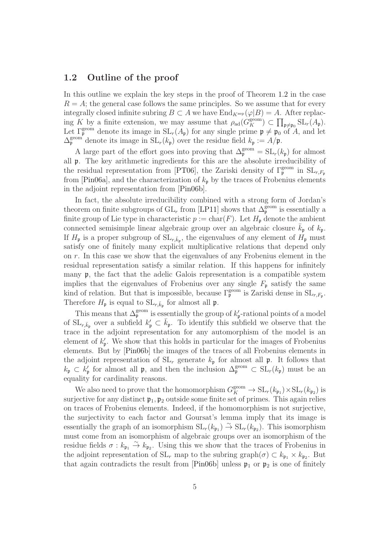## <span id="page-4-0"></span>1.2 Outline of the proof

In this outline we explain the key steps in the proof of Theorem [1.2](#page-3-0) in the case  $R = A$ ; the general case follows the same principles. So we assume that for every integrally closed infinite subring  $B \subset A$  we have  $\text{End}_{K^{\text{sep}}}(\varphi|B) = A$ . After replacing K by a finite extension, we may assume that  $\rho_{ad}(G_K^{\text{geom}}) \subset \prod_{\mathfrak{p}\neq \mathfrak{p}_0} SL_r(A_{\mathfrak{p}})$ . Let  $\Gamma_{\rm p}^{\rm geom}$  denote its image in  $SL_r(A_p)$  for any single prime  $\mathfrak{p} \neq \mathfrak{p}_0$  of A, and let  $\Delta_{\mathfrak{p}}^{\text{geom}}$  denote its image in  $SL_r(k_{\mathfrak{p}})$  over the residue field  $k_{\mathfrak{p}} := A/\mathfrak{p}$ .

A large part of the effort goes into proving that  $\Delta_{\mathfrak{p}}^{\text{geom}} = SL_r(k_{\mathfrak{p}})$  for almost all p. The key arithmetic ingredients for this are the absolute irreducibility of the residual representation from [\[PT06\]](#page-62-1), the Zariski density of  $\Gamma_{\mathfrak{p}}^{\text{geom}}$  in  $SL_{r,F_{\mathfrak{p}}}$ from [\[Pin06a\]](#page-61-1), and the characterization of  $k_p$  by the traces of Frobenius elements in the adjoint representation from [\[Pin06b\]](#page-61-0).

In fact, the absolute irreducibility combined with a strong form of Jordan's theorem on finite subgroups of  $GL_r$  from [\[LP11\]](#page-61-2) shows that  $\Delta_{\mathfrak{p}}^{\text{geom}}$  is essentially a finite group of Lie type in characteristic  $p := \text{char}(F)$ . Let  $H_{\mathfrak{p}}$  denote the ambient connected semisimple linear algebraic group over an algebraic closure  $k_{\mathfrak{p}}$  of  $k_{\mathfrak{p}}$ . If  $H_{\frak{p}}$  is a proper subgroup of  $SL_{r,\bar{k}_{\frak{p}}},$  the eigenvalues of any element of  $H_{\frak{p}}$  must satisfy one of finitely many explicit multiplicative relations that depend only on r. In this case we show that the eigenvalues of any Frobenius element in the residual representation satisfy a similar relation. If this happens for infinitely many p, the fact that the adelic Galois representation is a compatible system implies that the eigenvalues of Frobenius over any single  $F_{\mathfrak{p}}$  satisfy the same kind of relation. But that is impossible, because  $\Gamma_{\mathfrak{p}}^{\text{geom}}$  is Zariski dense in  $SL_{r,F_{\mathfrak{p}}}$ . Therefore  $H_{\mathfrak{p}}$  is equal to  $SL_{r,\bar{k}_{\mathfrak{p}}}$  for almost all  $\mathfrak{p}$ .

This means that  $\Delta_{\mathfrak{p}}^{\text{geom}}$  is essentially the group of  $k'_{\mathfrak{p}}$ -rational points of a model of  $SL_{r,\bar{k}_{\mathfrak{p}}}$  over a subfield  $k'_{\mathfrak{p}} \subset \bar{k}_{\mathfrak{p}}$ . To identify this subfield we observe that the trace in the adjoint representation for any automorphism of the model is an element of  $k'_{p}$ . We show that this holds in particular for the images of Frobenius elements. But by [\[Pin06b\]](#page-61-0) the images of the traces of all Frobenius elements in the adjoint representation of  $SL_r$  generate  $k_{\mathfrak{p}}$  for almost all  $\mathfrak{p}$ . It follows that  $k_{\mathfrak{p}} \subset k'_{\mathfrak{p}}$  for almost all  $\mathfrak{p}$ , and then the inclusion  $\Delta_{\mathfrak{p}}^{\text{geom}} \subset SL_r(k_{\mathfrak{p}})$  must be an equality for cardinality reasons.

We also need to prove that the homomorphism  $G_K^{\text{geom}} \to \text{SL}_r(k_{\mathfrak{p}_1}) \times \text{SL}_r(k_{\mathfrak{p}_2})$  is surjective for any distinct  $\mathfrak{p}_1, \mathfrak{p}_2$  outside some finite set of primes. This again relies on traces of Frobenius elements. Indeed, if the homomorphism is not surjective, the surjectivity to each factor and Goursat's lemma imply that its image is essentially the graph of an isomorphism  $SL_r(k_{p_1}) \to SL_r(k_{p_2})$ . This isomorphism must come from an isomorphism of algebraic groups over an isomorphism of the residue fields  $\sigma : k_{\mathfrak{p}_1} \stackrel{\sim}{\rightarrow} k_{\mathfrak{p}_2}$ . Using this we show that the traces of Frobenius in the adjoint representation of  $SL_r$  map to the subring graph $(\sigma) \subset k_{\mathfrak{p}_1} \times k_{\mathfrak{p}_2}$ . But that again contradicts the result from [\[Pin06b\]](#page-61-0) unless  $\mathfrak{p}_1$  or  $\mathfrak{p}_2$  is one of finitely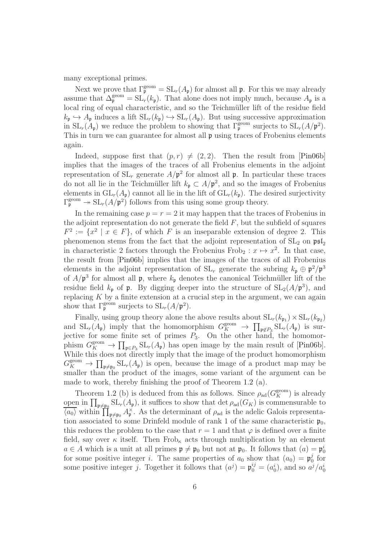many exceptional primes.

Next we prove that  $\Gamma_{\mathfrak{p}}^{\text{geom}} = SL_r(A_{\mathfrak{p}})$  for almost all  $\mathfrak{p}$ . For this we may already assume that  $\Delta_{\mathfrak{p}}^{\text{geom}} = SL_r(k_{\mathfrak{p}})$ . That alone does not imply much, because  $A_{\mathfrak{p}}$  is a local ring of equal characteristic, and so the Teichmüller lift of the residue field  $k_{\mathfrak{p}} \hookrightarrow A_{\mathfrak{p}}$  induces a lift  $SL_r(k_{\mathfrak{p}}) \hookrightarrow SL_r(A_{\mathfrak{p}})$ . But using successive approximation in  $SL_r(A_p)$  we reduce the problem to showing that  $\Gamma_p^{\text{geom}}$  surjects to  $SL_r(A/p^2)$ . This in turn we can guarantee for almost all p using traces of Frobenius elements again.

Indeed, suppose first that  $(p, r) \neq (2, 2)$ . Then the result from [\[Pin06b\]](#page-61-0) implies that the images of the traces of all Frobenius elements in the adjoint representation of  $SL_r$  generate  $A/\mathfrak{p}^2$  for almost all  $\mathfrak{p}$ . In particular these traces do not all lie in the Teichmüller lift  $k_{\mathfrak{p}} \subset A/\mathfrak{p}^2$ , and so the images of Frobenius elements in  $GL_r(A_n)$  cannot all lie in the lift of  $GL_r(k_n)$ . The desired surjectivity  $\Gamma_{\mathfrak{p}}^{\text{geom}} \twoheadrightarrow \text{SL}_r(A/\mathfrak{p}^2)$  follows from this using some group theory.

In the remaining case  $p = r = 2$  it may happen that the traces of Frobenius in the adjoint representation do not generate the field  $F$ , but the subfield of squares  $F^2 := \{x^2 \mid x \in F\}$ , of which F is an inseparable extension of degree 2. This phenomenon stems from the fact that the adjoint representation of  $SL_2$  on  $\mathfrak{psl}_2$ in characteristic 2 factors through the Frobenius Frob<sub>2</sub> :  $x \mapsto x^2$ . In that case, the result from [\[Pin06b\]](#page-61-0) implies that the images of the traces of all Frobenius elements in the adjoint representation of  $SL_r$  generate the subring  $k_{\mathfrak{p}} \oplus \mathfrak{p}^2/\mathfrak{p}^3$ of  $A/\mathfrak{p}^3$  for almost all  $\mathfrak{p}$ , where  $k_{\mathfrak{p}}$  denotes the canonical Teichmüller lift of the residue field  $k_{\mathfrak{p}}$  of  $\mathfrak{p}$ . By digging deeper into the structure of  $SL_2(A/\mathfrak{p}^3)$ , and replacing  $K$  by a finite extension at a crucial step in the argument, we can again show that  $\Gamma_{\mathfrak{p}}^{\text{geom}}$  surjects to  $SL_r(A/\mathfrak{p}^2)$ .

Finally, using group theory alone the above results about  $SL_r(k_{p_1}) \times SL_r(k_{p_2})$ and  $SL_r(A_p)$  imply that the homomorphism  $G_K^{\text{geom}} \to \prod_{\mathfrak{p}\notin P_3} SL_r(A_p)$  is surjective for some finite set of primes  $P_3$ . On the other hand, the homomorphism  $G_K^{\text{geom}} \to \prod_{\mathfrak{p} \in P_3} SL_r(A_{\mathfrak{p}})$  has open image by the main result of [\[Pin06b\]](#page-61-0). While this does not directly imply that the image of the product homomorphism  $G_K^{\text{geom}} \to \prod_{\mathfrak{p} \neq \mathfrak{p}_0} SL_r(A_{\mathfrak{p}})$  is open, because the image of a product map may be smaller than the product of the images, some variant of the argument can be made to work, thereby finishing the proof of Theorem [1.2](#page-3-0) (a).

Theorem [1.2](#page-3-0) (b) is deduced from this as follows. Since  $\rho_{ad}(G_K^{\text{geom}})$  is already open in  $\prod_{\mathfrak{p}\neq \mathfrak{p}_0} SL_r(A_{\mathfrak{p}})$ , it suffices to show that  $\det \rho_{ad}(G_K)$  is commensurable to  $\overline{\langle a_0 \rangle}$  within  $\prod_{\mathfrak{p}\neq\mathfrak{p}_0} A_{\mathfrak{p}}^{\times}$ . As the determinant of  $\rho_{ad}$  is the adelic Galois representation associated to some Drinfeld module of rank 1 of the same characteristic  $\mathfrak{p}_0$ , this reduces the problem to the case that  $r = 1$  and that  $\varphi$  is defined over a finite field, say over  $\kappa$  itself. Then Frob<sub> $\kappa$ </sub> acts through multiplication by an element  $a \in A$  which is a unit at all primes  $\mathfrak{p} \neq \mathfrak{p}_0$  but not at  $\mathfrak{p}_0$ . It follows that  $(a) = \mathfrak{p}_0^i$ for some positive integer *i*. The same properties of  $a_0$  show that  $(a_0) = \mathfrak{p}_0^j$  $\int_{0}^{j}$  for some positive integer j. Together it follows that  $(a^j) = \mathfrak{p}_0^{ij} = (a_0^i)$ , and so  $a^j/a_0^i$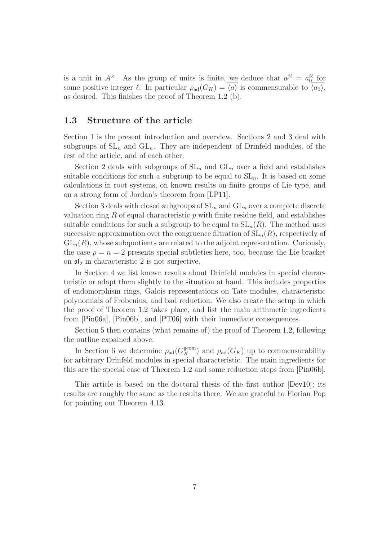is a unit in  $A^{\times}$ . As the group of units is finite, we deduce that  $a^{j\ell} = a_0^{i\ell}$  for some positive integer  $\ell$ . In particular  $\rho_{ad}(G_K) = \langle a \rangle$  is commensurable to  $\langle a_0 \rangle$ , as desired. This finishes the proof of Theorem [1.2](#page-3-0) (b).

## <span id="page-6-0"></span>1.3 Structure of the article

Section [1](#page-2-0) is the present introduction and overview. Sections [2](#page-7-0) and [3](#page-19-0) deal with subgroups of  $SL_n$  and  $GL_n$ . They are independent of Drinfeld modules, of the rest of the article, and of each other.

Section [2](#page-7-0) deals with subgroups of  $SL_n$  and  $GL_n$  over a field and establishes suitable conditions for such a subgroup to be equal to  $SL_n$ . It is based on some calculations in root systems, on known results on finite groups of Lie type, and on a strong form of Jordan's theorem from [\[LP11\]](#page-61-2).

Section [3](#page-19-0) deals with closed subgroups of  $SL_n$  and  $GL_n$  over a complete discrete valuation ring  $R$  of equal characteristic  $p$  with finite residue field, and establishes suitable conditions for such a subgroup to be equal to  $SL_n(R)$ . The method uses successive approximation over the congruence filtration of  $SL_n(R)$ , respectively of  $GL_n(R)$ , whose subquotients are related to the adjoint representation. Curiously, the case  $p = n = 2$  presents special subtleties here, too, because the Lie bracket on  $\mathfrak{sl}_2$  in characteristic 2 is not surjective.

In Section [4](#page-30-0) we list known results about Drinfeld modules in special characteristic or adapt them slightly to the situation at hand. This includes properties of endomorphism rings, Galois representations on Tate modules, characteristic polynomials of Frobenius, and bad reduction. We also create the setup in which the proof of Theorem [1.2](#page-3-0) takes place, and list the main arithmetic ingredients from [\[Pin06a\]](#page-61-1), [\[Pin06b\]](#page-61-0), and [\[PT06\]](#page-62-1) with their immediate consequences.

Section [5](#page-45-0) then contains (what remains of) the proof of Theorem [1.2,](#page-3-0) following the outline expained above.

In Section [6](#page-54-0) we determine  $\rho_{ad}(G_K^{\text{geom}})$  and  $\rho_{ad}(G_K)$  up to commensurability for arbitrary Drinfeld modules in special characteristic. The main ingredients for this are the special case of Theorem [1.2](#page-3-0) and some reduction steps from [\[Pin06b\]](#page-61-0).

This article is based on the doctoral thesis of the first author [\[Dev10\]](#page-60-1); its results are roughly the same as the results there. We are grateful to Florian Pop for pointing out Theorem [4.13.](#page-36-1)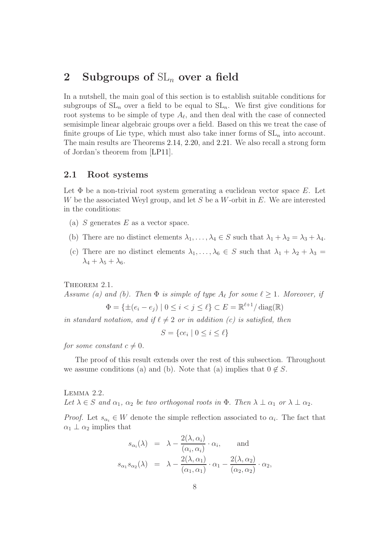## <span id="page-7-0"></span>2 Subgroups of  $SL_n$  over a field

In a nutshell, the main goal of this section is to establish suitable conditions for subgroups of  $SL_n$  over a field to be equal to  $SL_n$ . We first give conditions for root systems to be simple of type  $A_{\ell}$ , and then deal with the case of connected semisimple linear algebraic groups over a field. Based on this we treat the case of finite groups of Lie type, which must also take inner forms of  $SL_n$  into account. The main results are Theorems [2.14,](#page-11-1) [2.20,](#page-14-0) and [2.21.](#page-16-0) We also recall a strong form of Jordan's theorem from [\[LP11\]](#page-61-2).

## <span id="page-7-1"></span>2.1 Root systems

Let  $\Phi$  be a non-trivial root system generating a euclidean vector space E. Let W be the associated Weyl group, and let  $S$  be a W-orbit in  $E$ . We are interested in the conditions:

- (a)  $S$  generates  $E$  as a vector space.
- (b) There are no distinct elements  $\lambda_1, \ldots, \lambda_4 \in S$  such that  $\lambda_1 + \lambda_2 = \lambda_3 + \lambda_4$ .
- (c) There are no distinct elements  $\lambda_1, \ldots, \lambda_6 \in S$  such that  $\lambda_1 + \lambda_2 + \lambda_3 =$  $\lambda_4 + \lambda_5 + \lambda_6.$

<span id="page-7-3"></span>THEOREM 2.1.

Assume (a) and (b). Then  $\Phi$  is simple of type  $A_{\ell}$  for some  $\ell \geq 1$ . Moreover, if

$$
\Phi = \{ \pm (e_i - e_j) \mid 0 \le i < j \le \ell \} \subset E = \mathbb{R}^{\ell+1} / \operatorname{diag}(\mathbb{R})
$$

in standard notation, and if  $\ell \neq 2$  or in addition (c) is satisfied, then

$$
S = \{ce_i \mid 0 \le i \le \ell\}
$$

for some constant  $c \neq 0$ .

The proof of this result extends over the rest of this subsection. Throughout we assume conditions (a) and (b). Note that (a) implies that  $0 \notin S$ .

<span id="page-7-2"></span>Lemma 2.2. Let  $\lambda \in S$  and  $\alpha_1$ ,  $\alpha_2$  be two orthogonal roots in  $\Phi$ . Then  $\lambda \perp \alpha_1$  or  $\lambda \perp \alpha_2$ .

*Proof.* Let  $s_{\alpha_i} \in W$  denote the simple reflection associated to  $\alpha_i$ . The fact that  $\alpha_1 \perp \alpha_2$  implies that

$$
s_{\alpha_i}(\lambda) = \lambda - \frac{2(\lambda, \alpha_i)}{(\alpha_i, \alpha_i)} \cdot \alpha_i, \quad \text{and}
$$

$$
s_{\alpha_1} s_{\alpha_2}(\lambda) = \lambda - \frac{2(\lambda, \alpha_1)}{(\alpha_1, \alpha_1)} \cdot \alpha_1 - \frac{2(\lambda, \alpha_2)}{(\alpha_2, \alpha_2)} \cdot \alpha_2,
$$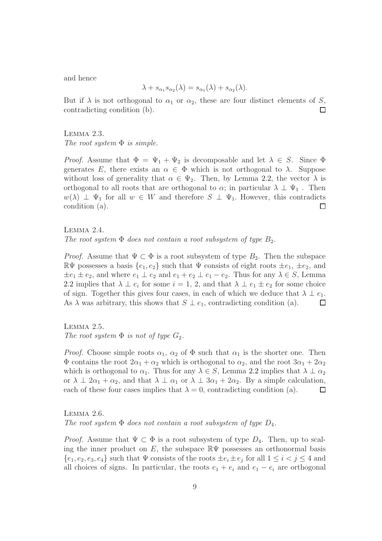and hence

$$
\lambda + s_{\alpha_1} s_{\alpha_2}(\lambda) = s_{\alpha_1}(\lambda) + s_{\alpha_2}(\lambda).
$$

But if  $\lambda$  is not orthogonal to  $\alpha_1$  or  $\alpha_2$ , these are four distinct elements of S, contradicting condition (b).  $\Box$ 

#### <span id="page-8-0"></span>Lemma 2.3.

The root system  $\Phi$  is simple.

*Proof.* Assume that  $\Phi = \Psi_1 + \Psi_2$  is decomposable and let  $\lambda \in S$ . Since  $\Phi$ generates E, there exists an  $\alpha \in \Phi$  which is not orthogonal to  $\lambda$ . Suppose without loss of generality that  $\alpha \in \Psi_2$ . Then, by Lemma [2.2,](#page-7-2) the vector  $\lambda$  is orthogonal to all roots that are orthogonal to  $\alpha$ ; in particular  $\lambda \perp \Psi_1$ . Then  $w(\lambda) \perp \Psi_1$  for all  $w \in W$  and therefore  $S \perp \Psi_1$ . However, this contradicts condition (a). condition (a).

Lemma 2.4. The root system  $\Phi$  does not contain a root subsystem of type  $B_2$ .

*Proof.* Assume that  $\Psi \subset \Phi$  is a root subsystem of type  $B_2$ . Then the subspace  $\mathbb{R}\Psi$  possesses a basis  $\{e_1, e_2\}$  such that  $\Psi$  consists of eight roots  $\pm e_1$ ,  $\pm e_2$ , and  $\pm e_1 \pm e_2$ , and where  $e_1 \perp e_2$  and  $e_1 + e_2 \perp e_1 - e_2$ . Thus for any  $\lambda \in S$ , Lemma [2.2](#page-7-2) implies that  $\lambda \perp e_i$  for some  $i = 1, 2$ , and that  $\lambda \perp e_1 \pm e_2$  for some choice of sign. Together this gives four cases, in each of which we deduce that  $\lambda \perp e_1$ .<br>As  $\lambda$  was arbitrary, this shows that  $S \perp e_1$ , contradicting condition (a). As  $\lambda$  was arbitrary, this shows that  $S \perp e_1$ , contradicting condition (a).

Lemma 2.5. The root system  $\Phi$  is not of type  $G_2$ .

*Proof.* Choose simple roots  $\alpha_1$ ,  $\alpha_2$  of  $\Phi$  such that  $\alpha_1$  is the shorter one. Then  $\Phi$  contains the root  $2\alpha_1 + \alpha_2$  which is orthogonal to  $\alpha_2$ , and the root  $3\alpha_1 + 2\alpha_2$ which is orthogonal to  $\alpha_1$ . Thus for any  $\lambda \in S$ , Lemma [2.2](#page-7-2) implies that  $\lambda \perp \alpha_2$ or  $\lambda \perp 2\alpha_1 + \alpha_2$ , and that  $\lambda \perp \alpha_1$  or  $\lambda \perp 3\alpha_1 + 2\alpha_2$ . By a simple calculation, each of these four cases implies that  $\lambda = 0$ , contradicting condition (a). each of these four cases implies that  $\lambda = 0$ , contradicting condition (a).

<span id="page-8-1"></span>Lemma 2.6. The root system  $\Phi$  does not contain a root subsystem of type  $D_4$ .

*Proof.* Assume that  $\Psi \subset \Phi$  is a root subsystem of type  $D_4$ . Then, up to scaling the inner product on E, the subspace  $\mathbb{R}\Psi$  possesses an orthonormal basis  $\{e_1, e_2, e_3, e_4\}$  such that  $\Psi$  consists of the roots  $\pm e_i \pm e_j$  for all  $1 \leq i < j \leq 4$  and all choices of signs. In particular, the roots  $e_1 + e_i$  and  $e_1 - e_i$  are orthogonal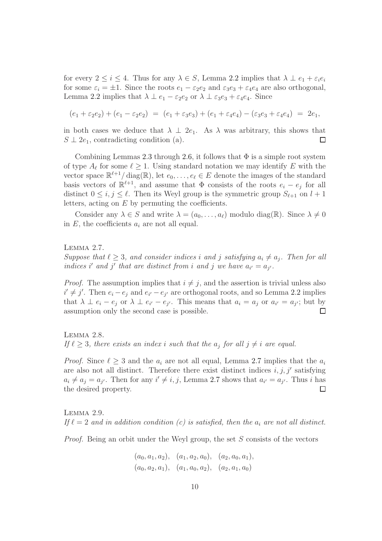for every  $2 \leq i \leq 4$ . Thus for any  $\lambda \in S$ , Lemma [2.2](#page-7-2) implies that  $\lambda \perp e_1 + \varepsilon_i e_i$ for some  $\varepsilon_i = \pm 1$ . Since the roots  $e_1 - \varepsilon_2 e_2$  and  $\varepsilon_3 e_3 + \varepsilon_4 e_4$  are also orthogonal, Lemma [2.2](#page-7-2) implies that  $\lambda \perp e_1 - \varepsilon_2 e_2$  or  $\lambda \perp \varepsilon_3 e_3 + \varepsilon_4 e_4$ . Since

$$
(e_1 + \varepsilon_2 e_2) + (e_1 - \varepsilon_2 e_2) = (e_1 + \varepsilon_3 e_3) + (e_1 + \varepsilon_4 e_4) - (\varepsilon_3 e_3 + \varepsilon_4 e_4) = 2e_1,
$$

in both cases we deduce that  $\lambda \perp 2e_1$ . As  $\lambda$  was arbitrary, this shows that  $S \perp 2e_1$ , contradicting condition (a).  $S \perp 2e_1$ , contradicting condition (a).

Combining Lemmas [2.3](#page-8-0) through [2.6,](#page-8-1) it follows that  $\Phi$  is a simple root system of type  $A_{\ell}$  for some  $\ell \geq 1$ . Using standard notation we may identify E with the vector space  $\mathbb{R}^{\ell+1}/\text{diag}(\mathbb{R})$ , let  $e_0, \ldots, e_\ell \in E$  denote the images of the standard basis vectors of  $\mathbb{R}^{\ell+1}$ , and assume that  $\Phi$  consists of the roots  $e_i - e_j$  for all distinct  $0 \le i, j \le \ell$ . Then its Weyl group is the symmetric group  $S_{\ell+1}$  on  $l+1$ letters, acting on  $E$  by permuting the coefficients.

Consider any  $\lambda \in S$  and write  $\lambda = (a_0, \ldots, a_\ell)$  modulo diag( $\mathbb{R}$ ). Since  $\lambda \neq 0$ in  $E$ , the coefficients  $a_i$  are not all equal.

<span id="page-9-0"></span>Lemma 2.7.

Suppose that  $\ell \geq 3$ , and consider indices i and j satisfying  $a_i \neq a_j$ . Then for all indices i' and j' that are distinct from i and j we have  $a_{i'} = a_{j'}$ .

*Proof.* The assumption implies that  $i \neq j$ , and the assertion is trivial unless also  $i' \neq j'$ . Then  $e_i - e_j$  and  $e_{i'} - e_{j'}$  are orthogonal roots, and so Lemma [2.2](#page-7-2) implies that  $\lambda \perp e_i - e_j$  or  $\lambda \perp e_{i'} - e_{j'}$ . This means that  $a_i = a_j$  or  $a_{i'} = a_{j'}$ ; but by assumption only the second case is possible.  $\Box$ 

<span id="page-9-1"></span>Lemma 2.8. If  $\ell \geq 3$ , there exists an index i such that the  $a_j$  for all  $j \neq i$  are equal.

*Proof.* Since  $\ell \geq 3$  and the  $a_i$  are not all equal, Lemma [2.7](#page-9-0) implies that the  $a_i$ are also not all distinct. Therefore there exist distinct indices  $i, j, j'$  satisfying  $a_i \neq a_j = a_{j'}$ . Then for any  $i' \neq i, j$ , Lemma [2.7](#page-9-0) shows that  $a_{i'} = a_{j'}$ . Thus i has the desired property.  $\Box$ 

<span id="page-9-2"></span>LEMMA 2.9. If  $\ell = 2$  and in addition condition (c) is satisfied, then the  $a_i$  are not all distinct.

Proof. Being an orbit under the Weyl group, the set S consists of the vectors

$$
(a_0, a_1, a_2), (a_1, a_2, a_0), (a_2, a_0, a_1),
$$
  
 $(a_0, a_2, a_1), (a_1, a_0, a_2), (a_2, a_1, a_0)$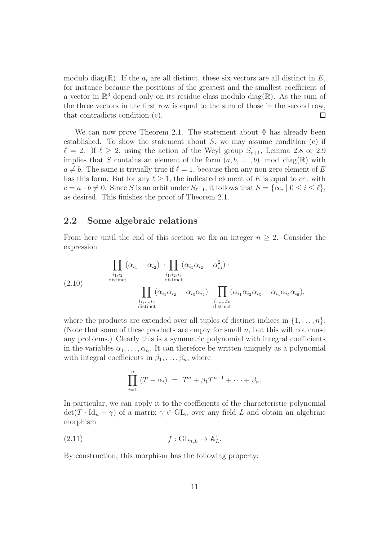modulo diag(R). If the  $a_i$  are all distinct, these six vectors are all distinct in E, for instance because the positions of the greatest and the smallest coefficient of a vector in  $\mathbb{R}^3$  depend only on its residue class modulo diag( $\mathbb{R}$ ). As the sum of the three vectors in the first row is equal to the sum of those in the second row, that contradicts condition (c).  $\Box$ 

We can now prove Theorem [2.1.](#page-7-3) The statement about  $\Phi$  has already been established. To show the statement about  $S$ , we may assume condition (c) if  $\ell = 2$ . If  $\ell \geq 2$ , using the action of the Weyl group  $S_{\ell+1}$ , Lemma [2.8](#page-9-1) or [2.9](#page-9-2) implies that S contains an element of the form  $(a, b, \ldots, b)$  mod diag(R) with  $a \neq b$ . The same is trivially true if  $\ell = 1$ , because then any non-zero element of E has this form. But for any  $\ell \geq 1$ , the indicated element of E is equal to  $ce_1$  with  $c = a - b \neq 0$ . Since S is an orbit under  $S_{\ell+1}$ , it follows that  $S = \{ce_i \mid 0 \leq i \leq \ell\},$ as desired. This finishes the proof of Theorem [2.1.](#page-7-3)

## <span id="page-10-0"></span>2.2 Some algebraic relations

From here until the end of this section we fix an integer  $n \geq 2$ . Consider the expression

<span id="page-10-1"></span>(2.10) 
$$
\prod_{\substack{i_1, i_2 \\ \text{distinct}}} (\alpha_{i_1} - \alpha_{i_2}) \cdot \prod_{\substack{i_1, i_2, i_3 \\ \text{distinct}}} (\alpha_{i_1} \alpha_{i_2} - \alpha_{i_3}^2) \cdot \prod_{\substack{i_1, i_2, i_3 \\ \text{distinct}}} (\alpha_{i_1} \alpha_{i_2} - \alpha_{i_3} \alpha_{i_4}) \cdot \prod_{\substack{i_1, \dots, i_6 \\ \text{distinct}}} (\alpha_{i_1} \alpha_{i_2} \alpha_{i_3} - \alpha_{i_4} \alpha_{i_5} \alpha_{i_6}),
$$

where the products are extended over all tuples of distinct indices in  $\{1, \ldots, n\}$ . (Note that some of these products are empty for small  $n$ , but this will not cause any problems.) Clearly this is a symmetric polynomial with integral coefficients in the variables  $\alpha_1, \ldots, \alpha_n$ . It can therefore be written uniquely as a polynomial with integral coefficients in  $\beta_1, \ldots, \beta_n$ , where

<span id="page-10-2"></span>
$$
\prod_{i=1}^{n} (T - \alpha_i) = T^n + \beta_1 T^{n-1} + \dots + \beta_n.
$$

In particular, we can apply it to the coefficients of the characteristic polynomial  $\det(T \cdot \text{Id}_n - \gamma)$  of a matrix  $\gamma \in GL_n$  over any field L and obtain an algebraic morphism

$$
(2.11) \t\t f: GL_{n,L} \to \mathbb{A}^1_L.
$$

By construction, this morphism has the following property: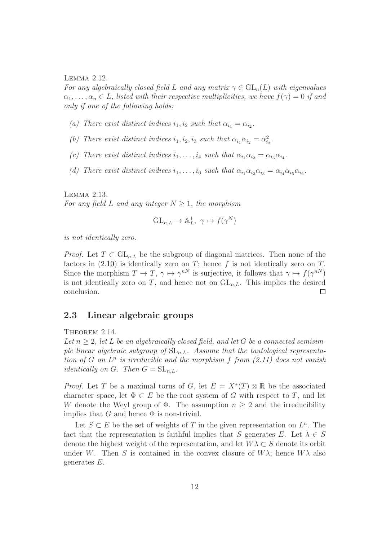#### <span id="page-11-2"></span>Lemma 2.12.

For any algebraically closed field L and any matrix  $\gamma \in GL_n(L)$  with eigenvalues  $\alpha_1, \ldots, \alpha_n \in L$ , listed with their respective multiplicities, we have  $f(\gamma) = 0$  if and only if one of the following holds:

- (a) There exist distinct indices  $i_1, i_2$  such that  $\alpha_{i_1} = \alpha_{i_2}$ .
- (b) There exist distinct indices  $i_1, i_2, i_3$  such that  $\alpha_{i_1}\alpha_{i_2} = \alpha_{i_3}^2$ .
- (c) There exist distinct indices  $i_1, \ldots, i_4$  such that  $\alpha_{i_1} \alpha_{i_2} = \alpha_{i_3} \alpha_{i_4}$ .
- (d) There exist distinct indices  $i_1, \ldots, i_6$  such that  $\alpha_{i_1} \alpha_{i_2} \alpha_{i_3} = \alpha_{i_4} \alpha_{i_5} \alpha_{i_6}$ .

<span id="page-11-3"></span>Lemma 2.13.

For any field L and any integer  $N \geq 1$ , the morphism

$$
GL_{n,L} \to \mathbb{A}^1_L, \ \gamma \mapsto f(\gamma^N)
$$

is not identically zero.

*Proof.* Let  $T \subset GL_{n,L}$  be the subgroup of diagonal matrices. Then none of the factors in  $(2.10)$  is identically zero on T; hence f is not identically zero on T. Since the morphism  $T \to T$ ,  $\gamma \mapsto \gamma^{nN}$  is surjective, it follows that  $\gamma \mapsto f(\gamma^{nN})$ is not identically zero on T, and hence not on  $GL_{n,L}$ . This implies the desired conclusion.  $\Box$ 

### <span id="page-11-0"></span>2.3 Linear algebraic groups

<span id="page-11-1"></span>THEOREM 2.14.

Let  $n > 2$ , let L be an algebraically closed field, and let G be a connected semisimple linear algebraic subgroup of  $SL_{n,L}$ . Assume that the tautological representation of G on  $L^n$  is irreducible and the morphism f from  $(2.11)$  does not vanish *identically on G. Then*  $G = SL_{nL}$ .

*Proof.* Let T be a maximal torus of G, let  $E = X^*(T) \otimes \mathbb{R}$  be the associated character space, let  $\Phi \subset E$  be the root system of G with respect to T, and let W denote the Weyl group of  $\Phi$ . The assumption  $n > 2$  and the irreducibility implies that G and hence  $\Phi$  is non-trivial.

Let  $S \subset E$  be the set of weights of T in the given representation on  $L^n$ . The fact that the representation is faithful implies that S generates E. Let  $\lambda \in S$ denote the highest weight of the representation, and let  $W\lambda \subset S$  denote its orbit under W. Then S is contained in the convex closure of  $W\lambda$ ; hence  $W\lambda$  also generates E.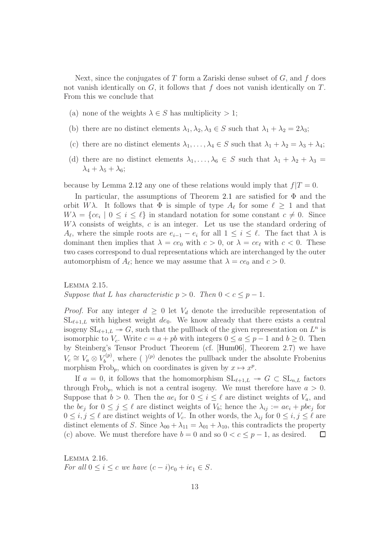Next, since the conjugates of  $T$  form a Zariski dense subset of  $G$ , and  $f$  does not vanish identically on  $G$ , it follows that  $f$  does not vanish identically on  $T$ . From this we conclude that

- (a) none of the weights  $\lambda \in S$  has multiplicity  $> 1$ ;
- (b) there are no distinct elements  $\lambda_1, \lambda_2, \lambda_3 \in S$  such that  $\lambda_1 + \lambda_2 = 2\lambda_3$ ;
- (c) there are no distinct elements  $\lambda_1, \ldots, \lambda_4 \in S$  such that  $\lambda_1 + \lambda_2 = \lambda_3 + \lambda_4$ ;
- (d) there are no distinct elements  $\lambda_1, \ldots, \lambda_6 \in S$  such that  $\lambda_1 + \lambda_2 + \lambda_3 =$  $\lambda_4 + \lambda_5 + \lambda_6$ ;

because by Lemma [2.12](#page-11-2) any one of these relations would imply that  $f|T = 0$ .

In particular, the assumptions of Theorem [2.1](#page-7-3) are satisfied for  $\Phi$  and the orbit  $W\lambda$ . It follows that  $\Phi$  is simple of type  $A_{\ell}$  for some  $\ell \geq 1$  and that  $W\lambda = \{ce_i \mid 0 \leq i \leq \ell\}$  in standard notation for some constant  $c \neq 0$ . Since  $W\lambda$  consists of weights, c is an integer. Let us use the standard ordering of  $A_{\ell}$ , where the simple roots are  $e_{i-1} - e_i$  for all  $1 \leq i \leq \ell$ . The fact that  $\lambda$  is dominant then implies that  $\lambda = ce_0$  with  $c > 0$ , or  $\lambda = ce_\ell$  with  $c < 0$ . These two cases correspond to dual representations which are interchanged by the outer automorphism of  $A_{\ell}$ ; hence we may assume that  $\lambda = ce_0$  and  $c > 0$ .

<span id="page-12-0"></span>Lemma 2.15. Suppose that L has characteristic  $p > 0$ . Then  $0 < c \leq p - 1$ .

*Proof.* For any integer  $d \geq 0$  let  $V_d$  denote the irreducible representation of  $SL_{\ell+1,L}$  with highest weight de<sub>0</sub>. We know already that there exists a central isogeny  $SL_{\ell+1,L} \to G$ , such that the pullback of the given representation on  $L^n$  is isomorphic to  $V_c$ . Write  $c = a + pb$  with integers  $0 \le a \le p - 1$  and  $b \ge 0$ . Then by Steinberg's Tensor Product Theorem (cf. [\[Hum06\]](#page-61-3), Theorem 2.7) we have  $V_c \cong V_a \otimes V_b^{(p)}$  $b_b^{(p)}$ , where ()<sup>(p)</sup> denotes the pullback under the absolute Frobenius morphism Frob<sub>p</sub>, which on coordinates is given by  $x \mapsto x^p$ .

If  $a = 0$ , it follows that the homomorphism  $SL_{\ell+1,L} \rightarrow G \subset SL_{n,L}$  factors through Frob<sub>p</sub>, which is not a central isogeny. We must therefore have  $a > 0$ . Suppose that  $b > 0$ . Then the  $ae_i$  for  $0 \le i \le \ell$  are distinct weights of  $V_a$ , and the  $be_j$  for  $0 \le j \le \ell$  are distinct weights of  $V_b$ ; hence the  $\lambda_{ij} := ae_i + pbe_j$  for  $0 \le i, j \le \ell$  are distinct weights of  $V_c$ . In other words, the  $\lambda_{ij}$  for  $0 \le i, j \le \ell$  are distinct elements of S. Since  $\lambda_{00} + \lambda_{11} = \lambda_{01} + \lambda_{10}$ , this contradicts the property (c) above. We must therefore have  $b = 0$  and so  $0 < c \leq p-1$ , as desired.  $\Box$ 

<span id="page-12-1"></span>Lemma 2.16. For all  $0 \leq i \leq c$  we have  $(c - i)e_0 + ie_1 \in S$ .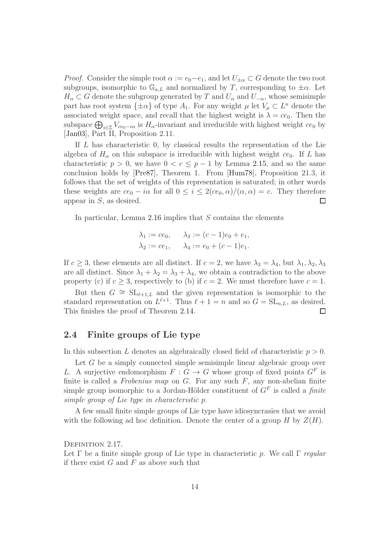*Proof.* Consider the simple root  $\alpha := e_0 - e_1$ , and let  $U_{\pm \alpha} \subset G$  denote the two root subgroups, isomorphic to  $\mathbb{G}_{a,L}$  and normalized by T, corresponding to  $\pm \alpha$ . Let  $H_{\alpha} \subset G$  denote the subgroup generated by T and  $U_{\alpha}$  and  $U_{-\alpha}$ , whose semisimple part has root system  $\{\pm \alpha\}$  of type  $A_1$ . For any weight  $\mu$  let  $V_{\mu} \subset L^n$  denote the associated weight space, and recall that the highest weight is  $\lambda = ce_0$ . Then the subspace  $\bigoplus_{i\in\mathbb{Z}}V_{ce_0-i\alpha}$  is  $H_{\alpha}$ -invariant and irreducible with highest weight  $ce_0$  by [\[Jan03\]](#page-61-4), Part II, Proposition 2.11.

If L has characteristic 0, by classical results the representation of the Lie algebra of  $H_{\alpha}$  on this subspace is irreducible with highest weight ce<sub>0</sub>. If L has characteristic  $p > 0$ , we have  $0 < c \leq p-1$  by Lemma [2.15,](#page-12-0) and so the same conclusion holds by [\[Pre87\]](#page-62-2), Theorem 1. From [\[Hum78\]](#page-61-5), Proposition 21.3, it follows that the set of weights of this representation is saturated; in other words these weights are  $ce_0 - i\alpha$  for all  $0 \le i \le 2(ce_0, \alpha)/(\alpha, \alpha) = c$ . They therefore appear in S, as desired. appear in S, as desired.

In particular, Lemma [2.16](#page-12-1) implies that  $S$  contains the elements

$$
\lambda_1 := ce_0, \quad \lambda_3 := (c-1)e_0 + e_1,
$$
  
\n $\lambda_2 := ce_1, \quad \lambda_4 := e_0 + (c-1)e_1.$ 

If  $c \geq 3$ , these elements are all distinct. If  $c = 2$ , we have  $\lambda_3 = \lambda_4$ , but  $\lambda_1, \lambda_2, \lambda_3$ are all distinct. Since  $\lambda_1 + \lambda_2 = \lambda_3 + \lambda_4$ , we obtain a contradiction to the above property (c) if  $c \geq 3$ , respectively to (b) if  $c = 2$ . We must therefore have  $c = 1$ .

But then  $G \cong SL_{\ell+1,L}$  and the given representation is isomorphic to the standard representation on  $L^{\ell+1}$ . Thus  $\ell+1=n$  and so  $G=\mathrm{SL}_{n,L}$ , as desired. This finishes the proof of Theorem [2.14.](#page-11-1)  $\Box$ 

## <span id="page-13-0"></span>2.4 Finite groups of Lie type

In this subsection L denotes an algebraically closed field of characteristic  $p > 0$ .

Let G be a simply connected simple semisimple linear algebraic group over L. A surjective endomorphism  $F: G \to G$  whose group of fixed points  $G^F$  is finite is called a Frobenius map on  $G$ . For any such  $F$ , any non-abelian finite simple group isomorphic to a Jordan-Hölder constituent of  $G<sup>F</sup>$  is called a *finite* simple group of Lie type in characteristic p.

A few small finite simple groups of Lie type have idiosyncrasies that we avoid with the following ad hoc definition. Denote the center of a group  $H$  by  $Z(H)$ .

<span id="page-13-1"></span>DEFINITION 2.17.

Let  $\Gamma$  be a finite simple group of Lie type in characteristic p. We call  $\Gamma$  regular if there exist  $G$  and  $F$  as above such that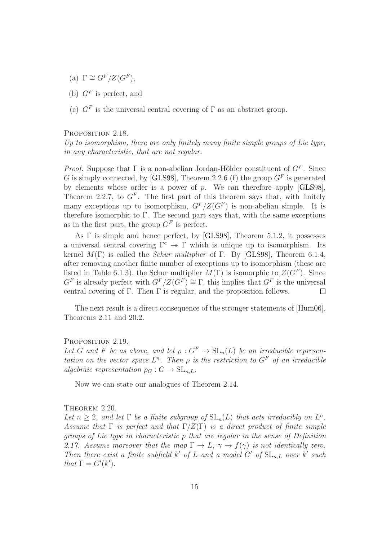- (a)  $\Gamma \cong G^F/Z(G^F),$
- (b)  $G^F$  is perfect, and
- (c)  $G<sup>F</sup>$  is the universal central covering of  $\Gamma$  as an abstract group.

#### <span id="page-14-2"></span>PROPOSITION 2.18.

Up to isomorphism, there are only finitely many finite simple groups of Lie type, in any characteristic, that are not regular.

*Proof.* Suppose that  $\Gamma$  is a non-abelian Jordan-Hölder constituent of  $G^F$ . Since G is simply connected, by [\[GLS98\]](#page-60-2), Theorem 2.2.6 (f) the group  $G<sup>F</sup>$  is generated by elements whose order is a power of  $p$ . We can therefore apply [\[GLS98\]](#page-60-2), Theorem 2.2.7, to  $G^F$ . The first part of this theorem says that, with finitely many exceptions up to isomorphism,  $G<sup>F</sup>/Z(G<sup>F</sup>)$  is non-abelian simple. It is therefore isomorphic to  $\Gamma$ . The second part says that, with the same exceptions as in the first part, the group  $G<sup>F</sup>$  is perfect.

As Γ is simple and hence perfect, by [\[GLS98\]](#page-60-2), Theorem 5.1.2, it possesses a universal central covering  $\Gamma^c \to \Gamma$  which is unique up to isomorphism. Its kernel  $M(\Gamma)$  is called the *Schur multiplier* of  $\Gamma$ . By [\[GLS98\]](#page-60-2), Theorem 6.1.4, after removing another finite number of exceptions up to isomorphism (these are listed in Table 6.1.3), the Schur multiplier  $M(\Gamma)$  is isomorphic to  $Z(G^F)$ . Since  $G^F$  is already perfect with  $G^F/Z(G^F) \cong \Gamma$ , this implies that  $G^F$  is the universal central covering of Γ. Then  $\Gamma$  is regular, and the proposition follows.  $\Box$ 

The next result is a direct consequence of the stronger statements of [\[Hum06\]](#page-61-3), Theorems 2.11 and 20.2.

#### <span id="page-14-1"></span>PROPOSITION 2.19.

Let G and F be as above, and let  $\rho: G^F \to SL_n(L)$  be an irreducible representation on the vector space  $L^n$ . Then  $\rho$  is the restriction to  $G^F$  of an irreducible algebraic representation  $\rho_G : G \to SL_{nL}$ .

Now we can state our analogues of Theorem [2.14.](#page-11-1)

#### <span id="page-14-0"></span>THEOREM 2.20.

Let  $n \geq 2$ , and let  $\Gamma$  be a finite subgroup of  $SL_n(L)$  that acts irreducibly on  $L^n$ . Assume that  $\Gamma$  is perfect and that  $\Gamma/Z(\Gamma)$  is a direct product of finite simple groups of Lie type in characteristic p that are regular in the sense of Definition [2.17.](#page-13-1) Assume moreover that the map  $\Gamma \to L$ ,  $\gamma \mapsto f(\gamma)$  is not identically zero. Then there exist a finite subfield  $k'$  of L and a model G' of  $SL_{n,L}$  over  $k'$  such that  $\Gamma = G'(k')$ .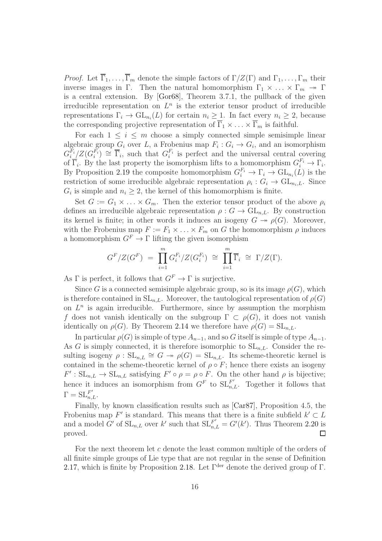*Proof.* Let  $\overline{\Gamma}_1, \ldots, \overline{\Gamma}_m$  denote the simple factors of  $\Gamma/Z(\Gamma)$  and  $\Gamma_1, \ldots, \Gamma_m$  their inverse images in Γ. Then the natural homomorphism  $\Gamma_1 \times \ldots \times \Gamma_m \rightarrow \Gamma$ is a central extension. By [\[Gor68\]](#page-60-3), Theorem 3.7.1, the pullback of the given irreducible representation on  $L^n$  is the exterior tensor product of irreducible representations  $\Gamma_i \to \mathrm{GL}_{n_i}(L)$  for certain  $n_i \geq 1$ . In fact every  $n_i \geq 2$ , because the corresponding projective representation of  $\overline{\Gamma}_1 \times \ldots \times \overline{\Gamma}_m$  is faithful.

For each  $1 \leq i \leq m$  choose a simply connected simple semisimple linear algebraic group  $G_i$  over L, a Frobenius map  $F_i: G_i \to G_i$ , and an isomorphism  $G_{i}^{F_i}/Z(G_i^{F_i}) \cong \overline{\Gamma}_i$ , such that  $G_i^{F_i}$  is perfect and the universal central covering of  $\overline{\Gamma}_i$ . By the last property the isomorphism lifts to a homomorphism  $G_i^{F_i} \to \Gamma_i$ . By Proposition [2.19](#page-14-1) the composite homomorphism  $G_i^{F_i} \to \Gamma_i \to GL_{n_i}(L)$  is the restriction of some irreducible algebraic representation  $\rho_i : G_i \to \text{GL}_{n_i,L}$ . Since  $G_i$  is simple and  $n_i \geq 2$ , the kernel of this homomorphism is finite.

Set  $G := G_1 \times \ldots \times G_m$ . Then the exterior tensor product of the above  $\rho_i$ defines an irreducible algebraic representation  $\rho: G \to \text{GL}_{n,L}$ . By construction its kernel is finite; in other words it induces an isogeny  $G \rightarrow \rho(G)$ . Moreover, with the Frobenius map  $F := F_1 \times \ldots \times F_m$  on G the homomorphism  $\rho$  induces a homomorphism  $G^F \to \Gamma$  lifting the given isomorphism

$$
G^F/Z(G^F) = \prod_{i=1}^m G_i^{F_i}/Z(G_i^{F_i}) \cong \prod_{i=1}^m \overline{\Gamma}_i \cong \Gamma/Z(\Gamma).
$$

As  $\Gamma$  is perfect, it follows that  $G^F \to \Gamma$  is surjective.

Since G is a connected semisimple algebraic group, so is its image  $\rho(G)$ , which is therefore contained in  $SL_{n,L}$ . Moreover, the tautological representation of  $\rho(G)$ on  $L^n$  is again irreducible. Furthermore, since by assumption the morphism f does not vanish identically on the subgroup  $\Gamma \subset \rho(G)$ , it does not vanish identically on  $\rho(G)$ . By Theorem [2.14](#page-11-1) we therefore have  $\rho(G) = SL_{n,L}$ .

In particular  $\rho(G)$  is simple of type  $A_{n-1}$ , and so G itself is simple of type  $A_{n-1}$ . As G is simply connected, it is therefore isomorphic to  $SL_{n,L}$ . Consider the resulting isogeny  $\rho$  :  $SL_{n,L} \cong G \rightarrow \rho(G) = SL_{n,L}$ . Its scheme-theoretic kernel is contained in the scheme-theoretic kernel of  $\rho \circ F$ ; hence there exists an isogeny  $F': \mathrm{SL}_{n,L} \to \mathrm{SL}_{n,L}$  satisfying  $F' \circ \rho = \rho \circ F$ . On the other hand  $\rho$  is bijective; hence it induces an isomorphism from  $G^F$  to  $SL_{n,L}^{F'}$ . Together it follows that  $\Gamma = \mathrm{SL}_{n,L}^{F'}$ .

Finally, by known classification results such as [\[Car87\]](#page-60-4), Proposition 4.5, the Frobenius map  $F'$  is standard. This means that there is a finite subfield  $k' \subset L$ and a model  $G'$  of  $SL_{n,L}$  over k' such that  $SL_{n,L}^{F'} = G'(k')$ . Thus Theorem [2.20](#page-14-0) is  $\Box$ proved.

For the next theorem let c denote the least common multiple of the orders of all finite simple groups of Lie type that are not regular in the sense of Definition [2.17,](#page-13-1) which is finite by Proposition [2.18.](#page-14-2) Let  $\Gamma^{\text{der}}$  denote the derived group of  $\Gamma$ .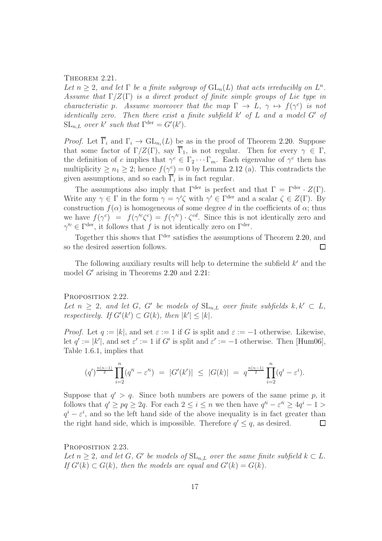#### <span id="page-16-0"></span>THEOREM 2.21.

Let  $n \geq 2$ , and let  $\Gamma$  be a finite subgroup of  $GL_n(L)$  that acts irreducibly on  $L^n$ . Assume that  $\Gamma/Z(\Gamma)$  is a direct product of finite simple groups of Lie type in characteristic p. Assume moreover that the map  $\Gamma \to L$ ,  $\gamma \mapsto f(\gamma^c)$  is not identically zero. Then there exist a finite subfield  $k'$  of  $L$  and a model  $G'$  of  $SL_{n,L}$  over k' such that  $\Gamma^{\text{der}} = G'(k')$ .

*Proof.* Let  $\Gamma_i$  and  $\Gamma_i \to \text{GL}_{n_i}(L)$  be as in the proof of Theorem [2.20.](#page-14-0) Suppose that some factor of  $\Gamma/Z(\Gamma)$ , say  $\overline{\Gamma}_1$ , is not regular. Then for every  $\gamma \in \Gamma$ , the definition of c implies that  $\gamma^c \in \Gamma_2 \cdots \Gamma_m$ . Each eigenvalue of  $\gamma^c$  then has multiplicity  $\geq n_1 \geq 2$ ; hence  $f(\gamma_{\underline{\underline{\hspace{0.05cm}}}}^c) = 0$  by Lemma [2.12](#page-11-2) (a). This contradicts the given assumptions, and so each  $\Gamma_i$  is in fact regular.

The assumptions also imply that  $\Gamma^{\text{der}}$  is perfect and that  $\Gamma = \Gamma^{\text{der}} \cdot Z(\Gamma)$ . Write any  $\gamma \in \Gamma$  in the form  $\gamma = \gamma' \zeta$  with  $\gamma' \in \Gamma^{\text{der}}$  and a scalar  $\zeta \in Z(\Gamma)$ . By construction  $f(\alpha)$  is homogeneous of some degree d in the coefficients of  $\alpha$ ; thus we have  $f(\gamma^c) = f(\gamma'^c \zeta^c) = f(\gamma'^c) \cdot \zeta^{cd}$ . Since this is not identically zero and  $\gamma^{\prime c} \in \Gamma^{\text{der}},$  it follows that f is not identically zero on  $\Gamma^{\text{der}}$ .

Together this shows that  $\Gamma^{\text{der}}$  satisfies the assumptions of Theorem [2.20,](#page-14-0) and so the desired assertion follows.  $\Box$ 

The following auxiliary results will help to determine the subfield  $k'$  and the model G′ arising in Theorems [2.20](#page-14-0) and [2.21:](#page-16-0)

#### <span id="page-16-1"></span>PROPOSITION 2.22.

Let  $n \geq 2$ , and let G, G' be models of  $SL_{n,L}$  over finite subfields  $k, k' \subset L$ , respectively. If  $G'(k') \subset G(k)$ , then  $|k'| \leq |k|$ .

*Proof.* Let  $q := |k|$ , and set  $\varepsilon := 1$  if G is split and  $\varepsilon := -1$  otherwise. Likewise, let  $q' := |k'|$ , and set  $\varepsilon' := 1$  if G' is split and  $\varepsilon' := -1$  otherwise. Then [\[Hum06\]](#page-61-3), Table 1.6.1, implies that

$$
(q')^{\frac{n(n-1)}{2}} \prod_{i=2}^{n} (q'^{i} - \varepsilon'^{i}) = |G'(k')| \leq |G(k)| = q^{\frac{n(n-1)}{2}} \prod_{i=2}^{n} (q^{i} - \varepsilon^{i}).
$$

Suppose that  $q' > q$ . Since both numbers are powers of the same prime p, it follows that  $q' \ge pq \ge 2q$ . For each  $2 \le i \le n$  we then have  $q'^i - \varepsilon'^i \ge 4q^i - 1 >$  $q^{i} - \varepsilon^{i}$ , and so the left hand side of the above inequality is in fact greater than the right hand side, which is impossible. Therefore  $q' \leq q$ , as desired.  $\Box$ 

<span id="page-16-2"></span>PROPOSITION 2.23. Let  $n \geq 2$ , and let G, G' be models of  $SL_{n,L}$  over the same finite subfield  $k \subset L$ . If  $G'(k) \subset G(k)$ , then the models are equal and  $G'(k) = G(k)$ .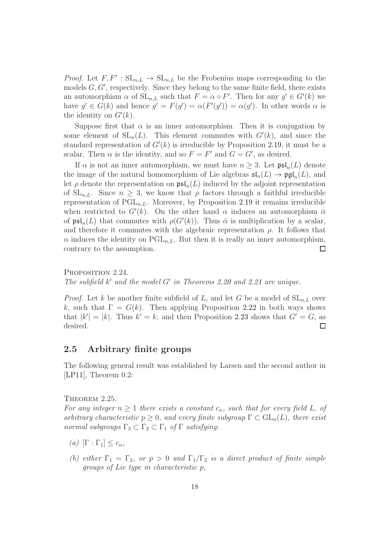*Proof.* Let  $F, F' : SL_{n,L} \to SL_{n,L}$  be the Frobenius maps corresponding to the models  $G, G'$ , respectively. Since they belong to the same finite field, there exists an automorphism  $\alpha$  of  $SL_{n,L}$  such that  $F = \alpha \circ F'$ . Then for any  $g' \in G'(k)$  we have  $g' \in G(k)$  and hence  $g' = F(g') = \alpha(F'(g')) = \alpha(g')$ . In other words  $\alpha$  is the identity on  $G'(k)$ .

Suppose first that  $\alpha$  is an inner automorphism. Then it is conjugation by some element of  $SL_n(L)$ . This element commutes with  $G'(k)$ , and since the standard representation of  $G'(k)$  is irreducible by Proposition [2.19,](#page-14-1) it must be a scalar. Then  $\alpha$  is the identity, and so  $F = F'$  and  $G = G'$ , as desired.

If  $\alpha$  is not an inner automorphism, we must have  $n \geq 3$ . Let  $\mathfrak{psl}_n(L)$  denote the image of the natural homomorphism of Lie algebras  $\mathfrak{sl}_n(L) \to \mathfrak{pgl}_n(L)$ , and let  $\rho$  denote the representation on  $\mathfrak{psl}_n(L)$  induced by the adjoint representation of  $SL_{n,L}$ . Since  $n \geq 3$ , we know that  $\rho$  factors through a faithful irreducible representation of  $PGL_{n,L}$ . Moreover, by Proposition [2.19](#page-14-1) it remains irreducible when restricted to  $G'(k)$ . On the other hand  $\alpha$  induces an automorphism  $\bar{\alpha}$ of  $\mathfrak{psl}_n(L)$  that commutes with  $\rho(G'(k))$ . Thus  $\bar{\alpha}$  is multiplication by a scalar, and therefore it commutes with the algebraic representation  $\rho$ . It follows that  $\alpha$  induces the identity on PGL<sub>n,L</sub>. But then it is really an inner automorphism, contrary to the assumption.  $\Box$ 

<span id="page-17-2"></span>PROPOSITION 2.24. The subfield  $k'$  and the model  $G'$  in Theorems [2.20](#page-14-0) and [2.21](#page-16-0) are unique.

*Proof.* Let k be another finite subfield of L, and let G be a model of  $SL_{n,L}$  over k, such that  $\Gamma = G(k)$ . Then applying Proposition [2.22](#page-16-1) in both ways shows that  $|k'| = |k|$ . Thus  $k' = k$ , and then Proposition [2.23](#page-16-2) shows that  $G' = G$ , as desired.  $\Box$ 

## <span id="page-17-0"></span>2.5 Arbitrary finite groups

The following general result was established by Larsen and the second author in [\[LP11\]](#page-61-2), Theorem 0.2:

<span id="page-17-1"></span>THEOREM 2.25.

For any integer  $n \geq 1$  there exists a constant  $c_n$ , such that for every field L, of arbitrary characteristic  $p \geq 0$ , and every finite subgroup  $\Gamma \subset GL_n(L)$ , there exist normal subgroups  $\Gamma_3 \subset \Gamma_2 \subset \Gamma_1$  of  $\Gamma$  satisfying:

- (a)  $[\Gamma : \Gamma_1] \leq c_n$ ,
- (b) either  $\Gamma_1 = \Gamma_2$ , or  $p > 0$  and  $\Gamma_1/\Gamma_2$  is a direct product of finite simple groups of Lie type in characteristic p,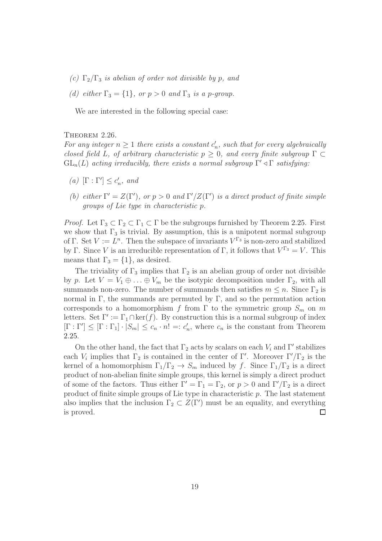- (c)  $\Gamma_2/\Gamma_3$  is abelian of order not divisible by p, and
- (d) either  $\Gamma_3 = \{1\}$ , or  $p > 0$  and  $\Gamma_3$  is a p-group.

We are interested in the following special case:

#### <span id="page-18-0"></span>THEOREM 2.26.

For any integer  $n \geq 1$  there exists a constant  $c'_n$ , such that for every algebraically closed field L, of arbitrary characteristic  $p \geq 0$ , and every finite subgroup  $\Gamma \subset$  $GL_n(L)$  acting irreducibly, there exists a normal subgroup  $\Gamma' \triangleleft \Gamma$  satisfying:

- (a)  $[\Gamma : \Gamma'] \leq c'_n$ , and
- (b) either  $\Gamma' = Z(\Gamma')$ , or  $p > 0$  and  $\Gamma'/Z(\Gamma')$  is a direct product of finite simple groups of Lie type in characteristic p.

*Proof.* Let  $\Gamma_3 \subset \Gamma_2 \subset \Gamma_1 \subset \Gamma$  be the subgroups furnished by Theorem [2.25.](#page-17-1) First we show that  $\Gamma_3$  is trivial. By assumption, this is a unipotent normal subgroup of Γ. Set  $V := L^n$ . Then the subspace of invariants  $V^{\Gamma_3}$  is non-zero and stabilized by Γ. Since V is an irreducible representation of Γ, it follows that  $V^{\Gamma_3} = V$ . This means that  $\Gamma_3 = \{1\}$ , as desired.

The triviality of  $\Gamma_3$  implies that  $\Gamma_2$  is an abelian group of order not divisible by p. Let  $V = V_1 \oplus \ldots \oplus V_m$  be the isotypic decomposition under  $\Gamma_2$ , with all summands non-zero. The number of summands then satisfies  $m \leq n$ . Since  $\Gamma_2$  is normal in Γ, the summands are permuted by Γ, and so the permutation action corresponds to a homomorphism f from  $\Gamma$  to the symmetric group  $S_m$  on m letters. Set  $\Gamma' := \Gamma_1 \cap \ker(f)$ . By construction this is a normal subgroup of index  $[\Gamma : \Gamma'] \leq [\Gamma : \Gamma_1] \cdot |S_m| \leq c_n \cdot n! =: c'_n$ , where  $c_n$  is the constant from Theorem [2.25.](#page-17-1)

On the other hand, the fact that  $\Gamma_2$  acts by scalars on each  $V_i$  and  $\Gamma'$  stabilizes each  $V_i$  implies that  $\Gamma_2$  is contained in the center of  $\Gamma'$ . Moreover  $\Gamma'/\Gamma_2$  is the kernel of a homomorphism  $\Gamma_1/\Gamma_2 \to S_m$  induced by f. Since  $\Gamma_1/\Gamma_2$  is a direct product of non-abelian finite simple groups, this kernel is simply a direct product of some of the factors. Thus either  $\Gamma' = \Gamma_1 = \Gamma_2$ , or  $p > 0$  and  $\Gamma'/\Gamma_2$  is a direct product of finite simple groups of Lie type in characteristic  $p$ . The last statement also implies that the inclusion  $\Gamma_2 \subset Z(\Gamma')$  must be an equality, and everything is proved.  $\Box$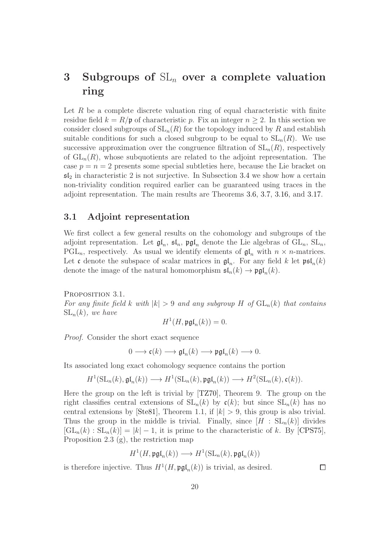# <span id="page-19-0"></span>3 Subgroups of  $SL_n$  over a complete valuation ring

Let  $R$  be a complete discrete valuation ring of equal characteristic with finite residue field  $k = R/\mathfrak{p}$  of characteristic p. Fix an integer  $n \geq 2$ . In this section we consider closed subgroups of  $SL_n(R)$  for the topology induced by R and establish suitable conditions for such a closed subgroup to be equal to  $SL_n(R)$ . We use successive approximation over the congruence filtration of  $SL_n(R)$ , respectively of  $GL_n(R)$ , whose subquotients are related to the adjoint representation. The case  $p = n = 2$  presents some special subtleties here, because the Lie bracket on  $\mathfrak{sl}_2$  in characteristic 2 is not surjective. In Subsection [3.4](#page-26-0) we show how a certain non-triviality condition required earlier can be guaranteed using traces in the adjoint representation. The main results are Theorems [3.6,](#page-22-0) [3.7,](#page-22-1) [3.16,](#page-27-0) and [3.17.](#page-28-0)

## <span id="page-19-1"></span>3.1 Adjoint representation

We first collect a few general results on the cohomology and subgroups of the adjoint representation. Let  $\mathfrak{gl}_n$ ,  $\mathfrak{sl}_n$ ,  $\mathfrak{pgl}_n$  denote the Lie algebras of  $GL_n$ ,  $SL_n$ ,  $PGL_n$ , respectively. As usual we identify elements of  $\mathfrak{gl}_n$  with  $n \times n$ -matrices. Let c denote the subspace of scalar matrices in  $\mathfrak{gl}_n$ . For any field k let  $\mathfrak{psl}_n(k)$ denote the image of the natural homomorphism  $\mathfrak{sl}_n(k) \to \mathfrak{pgl}_n(k)$ .

<span id="page-19-2"></span>PROPOSITION 3.1. For any finite field k with  $|k| > 9$  and any subgroup H of  $GL_n(k)$  that contains  $SL_n(k)$ , we have

$$
H^1(H, \mathfrak{pgl}_n(k)) = 0.
$$

Proof. Consider the short exact sequence

$$
0 \longrightarrow \mathfrak{c}(k) \longrightarrow \mathfrak{gl}_n(k) \longrightarrow \mathfrak{pgl}_n(k) \longrightarrow 0.
$$

Its associated long exact cohomology sequence contains the portion

$$
H^1(\mathrm{SL}_n(k),\mathfrak{gl}_n(k))\longrightarrow H^1(\mathrm{SL}_n(k),\mathfrak{pgl}_n(k))\longrightarrow H^2(\mathrm{SL}_n(k),\mathfrak{c}(k)).
$$

Here the group on the left is trivial by [\[TZ70\]](#page-63-0), Theorem 9. The group on the right classifies central extensions of  $SL_n(k)$  by  $\mathfrak{c}(k)$ ; but since  $SL_n(k)$  has no central extensions by [\[Ste81\]](#page-62-3), Theorem 1.1, if  $|k| > 9$ , this group is also trivial. Thus the group in the middle is trivial. Finally, since  $[H : SL_n(k)]$  divides  $[\operatorname{GL}_n(k) : \operatorname{SL}_n(k)] = |k| - 1$ , it is prime to the characteristic of k. By [\[CPS75\]](#page-60-5), Proposition 2.3 (g), the restriction map

$$
H^1(H, \mathfrak{pgl}_n(k)) \longrightarrow H^1(\mathrm{SL}_n(k), \mathfrak{pgl}_n(k))
$$

20

is therefore injective. Thus  $H^1(H, \mathfrak{pgl}_n(k))$  is trivial, as desired.

 $\Box$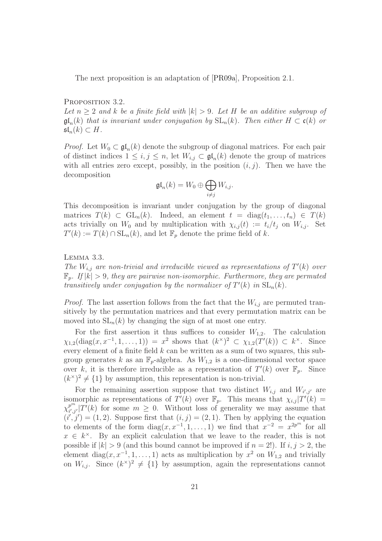The next proposition is an adaptation of [\[PR09a\]](#page-62-0), Proposition 2.1.

#### <span id="page-20-1"></span>PROPOSITION 3.2.

Let  $n \geq 2$  and k be a finite field with  $|k| > 9$ . Let H be an additive subgroup of  $\mathfrak{gl}_n(k)$  that is invariant under conjugation by  $\mathrm{SL}_n(k)$ . Then either  $H \subset \mathfrak{c}(k)$  or  $\mathfrak{sl}_n(k)\subset H$ .

*Proof.* Let  $W_0 \subset \mathfrak{gl}_n(k)$  denote the subgroup of diagonal matrices. For each pair of distinct indices  $1 \leq i, j \leq n$ , let  $W_{i,j} \subset \mathfrak{gl}_n(k)$  denote the group of matrices with all entries zero except, possibly, in the position  $(i, j)$ . Then we have the decomposition

$$
\mathfrak{gl}_n(k) = W_0 \oplus \bigoplus_{i \neq j} W_{i,j}.
$$

This decomposition is invariant under conjugation by the group of diagonal matrices  $T(k) \subset GL_n(k)$ . Indeed, an element  $t = diag(t_1, \ldots, t_n) \in T(k)$ acts trivially on  $W_0$  and by multiplication with  $\chi_{i,j}(t) := t_i/t_j$  on  $W_{i,j}$ . Set  $T'(k) := T(k) \cap SL_n(k)$ , and let  $\mathbb{F}_p$  denote the prime field of k.

<span id="page-20-0"></span>Lemma 3.3.

The  $W_{i,j}$  are non-trivial and irreducible viewed as representations of  $T'(k)$  over  $\mathbb{F}_p$ . If  $|k| > 9$ , they are pairwise non-isomorphic. Furthermore, they are permuted transitively under conjugation by the normalizer of  $T'(k)$  in  $SL_n(k)$ .

*Proof.* The last assertion follows from the fact that the  $W_{i,j}$  are permuted transitively by the permutation matrices and that every permutation matrix can be moved into  $SL_n(k)$  by changing the sign of at most one entry.

For the first assertion it thus suffices to consider  $W_{1,2}$ . The calculation  $\chi_{1,2}(\text{diag}(x, x^{-1}, 1, \ldots, 1)) = x^2$  shows that  $(k^{\times})^2$  ⊂  $\chi_{1,2}(T'(k))$  ⊂  $k^{\times}$ . Since every element of a finite field  $k$  can be written as a sum of two squares, this subgroup generates k as an  $\mathbb{F}_p$ -algebra. As  $W_{1,2}$  is a one-dimensional vector space over k, it is therefore irreducible as a representation of  $T'(k)$  over  $\mathbb{F}_p$ . Since  $(k^{\times})^2 \neq \{1\}$  by assumption, this representation is non-trivial.

For the remaining assertion suppose that two distinct  $W_{i,j}$  and  $W_{i',j'}$  are isomorphic as representations of  $T'(k)$  over  $\mathbb{F}_p$ . This means that  $\chi_{i,j}|T'(k)| =$  $\chi^{p^m}_{i',j}$  $\frac{p^m}{i',j'}[T'(k)]$  for some  $m \geq 0$ . Without loss of generality we may assume that  $(i',j') = (1,2)$ . Suppose first that  $(i,j) = (2,1)$ . Then by applying the equation to elements of the form  $diag(x, x^{-1}, 1, ..., 1)$  we find that  $x^{-2} = x^{2p^m}$  for all  $x \in k^{\times}$ . By an explicit calculation that we leave to the reader, this is not possible if  $|k| > 9$  (and this bound cannot be improved if  $n = 2!$ ). If  $i, j > 2$ , the element diag $(x, x^{-1}, 1, \ldots, 1)$  acts as multiplication by  $x^2$  on  $W_{1,2}$  and trivially on  $W_{i,j}$ . Since  $(k^{\times})^2 \neq \{1\}$  by assumption, again the representations cannot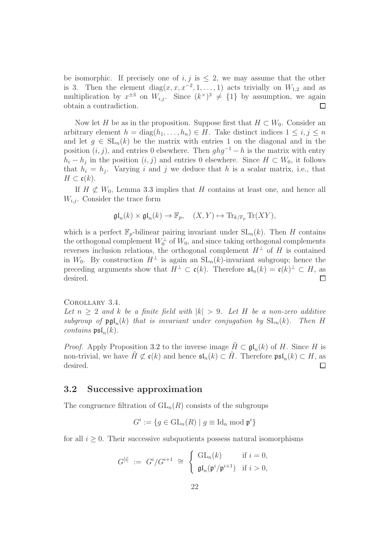be isomorphic. If precisely one of i, j is  $\leq 2$ , we may assume that the other is 3. Then the element diag $(x, x, x^{-2}, 1, \ldots, 1)$  acts trivially on  $W_{1,2}$  and as multiplication by  $x^{\pm 3}$  on  $W_{i,j}$ . Since  $(k^{\times})^3 \neq \{1\}$  by assumption, we again obtain a contradiction.

Now let H be as in the proposition. Suppose first that  $H \subset W_0$ . Consider an arbitrary element  $h = \text{diag}(h_1, \ldots, h_n) \in H$ . Take distinct indices  $1 \leq i, j \leq n$ and let  $g \in SL_n(k)$  be the matrix with entries 1 on the diagonal and in the position  $(i, j)$ , and entries 0 elsewhere. Then  $ghg^{-1} - h$  is the matrix with entry  $h_i - h_j$  in the position  $(i, j)$  and entries 0 elsewhere. Since  $H \subset W_0$ , it follows that  $h_i = h_j$ . Varying i and j we deduce that h is a scalar matrix, i.e., that  $H \subset \mathfrak{c}(k)$ .

If  $H \not\subset W_0$ , Lemma [3.3](#page-20-0) implies that H contains at least one, and hence all  $W_{i,j}$ . Consider the trace form

$$
\mathfrak{gl}_n(k) \times \mathfrak{gl}_n(k) \to \mathbb{F}_p, \quad (X, Y) \mapsto \mathrm{Tr}_{k/\mathbb{F}_p} \mathrm{Tr}(XY),
$$

which is a perfect  $\mathbb{F}_p$ -bilinear pairing invariant under  $SL_n(k)$ . Then H contains the orthogonal complement  $W_0^{\perp}$  of  $W_0$ , and since taking orthogonal complements reverses inclusion relations, the orthogonal complement  $H^{\perp}$  of H is contained in W<sub>0</sub>. By construction  $H^{\perp}$  is again an  $SL_n(k)$ -invariant subgroup; hence the preceding arguments show that  $H^{\perp} \subset \mathfrak{c}(k)$ . Therefore  $\mathfrak{sl}_n(k) = \mathfrak{c}(k)^{\perp} \subset H$ , as desired.

<span id="page-21-1"></span>Corollary 3.4.

Let  $n > 2$  and k be a finite field with  $|k| > 9$ . Let H be a non-zero additive subgroup of  $\mathfrak{pgl}_n(k)$  that is invariant under conjugation by  $SL_n(k)$ . Then H *contains*  $\mathfrak{psl}_n(k)$ .

*Proof.* Apply Proposition [3.2](#page-20-1) to the inverse image  $\tilde{H} \subset \mathfrak{gl}_n(k)$  of H. Since H is non-trivial, we have  $\tilde{H} \not\subset \mathfrak{c}(k)$  and hence  $\mathfrak{sl}_n(k) \subset \tilde{H}$ . Therefore  $\mathfrak{psl}_n(k) \subset H$ , as desired.

#### <span id="page-21-0"></span>3.2 Successive approximation

The congruence filtration of  $GL_n(R)$  consists of the subgroups

$$
G^i := \{ g \in \mathrm{GL}_n(R) \mid g \equiv \mathrm{Id}_n \bmod \mathfrak{p}^i \}
$$

for all  $i \geq 0$ . Their successive subquotients possess natural isomorphisms

$$
G^{[i]} := G^i/G^{i+1} \cong \begin{cases} GL_n(k) & \text{if } i = 0, \\ \mathfrak{gl}_n(\mathfrak{p}^i/\mathfrak{p}^{i+1}) & \text{if } i > 0, \end{cases}
$$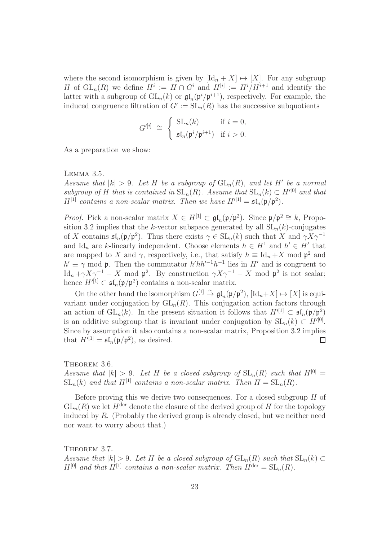where the second isomorphism is given by  $[\text{Id}_n + X] \mapsto [X]$ . For any subgroup H of  $\operatorname{GL}_n(R)$  we define  $H^i := H \cap G^i$  and  $H^{[i]} := H^i / H^{i+1}$  and identify the latter with a subgroup of  $GL_n(k)$  or  $\mathfrak{gl}_n(\mathfrak{p}^i/\mathfrak{p}^{i+1})$ , respectively. For example, the induced congruence filtration of  $G' := SL_n(R)$  has the successive subquotients

$$
G^{\prime[i]} \cong \begin{cases} SL_n(k) & \text{if } i = 0, \\ \mathfrak{sl}_n(\mathfrak{p}^i/\mathfrak{p}^{i+1}) & \text{if } i > 0. \end{cases}
$$

As a preparation we show:

<span id="page-22-2"></span>Lemma 3.5.

Assume that  $|k| > 9$ . Let H be a subgroup of  $GL_n(R)$ , and let H' be a normal subgroup of H that is contained in  $SL_n(R)$ . Assume that  $SL_n(k) \subset H^{\prime[0]}$  and that  $H^{[1]}$  contains a non-scalar matrix. Then we have  $H^{'[1]} = \mathfrak{sl}_n(\mathfrak{p}/\mathfrak{p}^2)$ .

*Proof.* Pick a non-scalar matrix  $X \in H^{[1]} \subset \mathfrak{gl}_n(\mathfrak{p}/\mathfrak{p}^2)$ . Since  $\mathfrak{p}/\mathfrak{p}^2 \cong k$ , Propo-sition [3.2](#page-20-1) implies that the k-vector subspace generated by all  $SL_n(k)$ -conjugates of X contains  $\mathfrak{sl}_n(\mathfrak{p}/\mathfrak{p}^2)$ . Thus there exists  $\gamma \in SL_n(k)$  such that X and  $\gamma X \gamma^{-1}$ and Id<sub>n</sub> are k-linearly independent. Choose elements  $h \in H^1$  and  $h' \in H'$  that are mapped to X and  $\gamma$ , respectively, i.e., that satisfy  $h \equiv \mathrm{Id}_n + X$  mod  $\mathfrak{p}^2$  and  $h' \equiv \gamma \mod p$ . Then the commutator  $h' h h'^{-1} h^{-1}$  lies in  $H'$  and is congruent to  $\text{Id}_n + \gamma X \gamma^{-1} - X \mod \mathfrak{p}^2$ . By construction  $\gamma X \gamma^{-1} - X \mod \mathfrak{p}^2$  is not scalar; hence  $H'^{[1]} \subset \mathfrak{sl}_n(\mathfrak{p}/\mathfrak{p}^2)$  contains a non-scalar matrix.

On the other hand the isomorphism  $G^{[1]} \stackrel{\sim}{\to} \mathfrak{gl}_n(\mathfrak{p}/\mathfrak{p}^2)$ ,  $[\mathrm{Id}_n+X] \mapsto [X]$  is equivariant under conjugation by  $GL_n(R)$ . This conjugation action factors through an action of  $GL_n(k)$ . In the present situation it follows that  $H'^{[1]} \subset \mathfrak{sl}_n(\mathfrak{p}/p^2)$ is an additive subgroup that is invariant under conjugation by  $SL_n(k) \subset H'^{[0]}$ . Since by assumption it also contains a non-scalar matrix, Proposition [3.2](#page-20-1) implies that  $H^{\prime[1]} = \mathfrak{sl}_n(\mathfrak{p}/\mathfrak{p}^2)$ , as desired.  $\Box$ 

<span id="page-22-0"></span>THEOREM 3.6. Assume that  $|k| > 9$ . Let H be a closed subgroup of  $SL_n(R)$  such that  $H^{[0]} =$  $SL_n(k)$  and that  $H^{[1]}$  contains a non-scalar matrix. Then  $H = SL_n(R)$ .

Before proving this we derive two consequences. For a closed subgroup  $H$  of  $GL_n(R)$  we let  $H^{der}$  denote the closure of the derived group of H for the topology induced by  $R$ . (Probably the derived group is already closed, but we neither need nor want to worry about that.)

<span id="page-22-1"></span>THEOREM 3.7. Assume that  $|k| > 9$ . Let H be a closed subgroup of  $GL_n(R)$  such that  $SL_n(k) \subset$  $H^{[0]}$  and that  $H^{[1]}$  contains a non-scalar matrix. Then  $H^{\text{der}} = SL_n(R)$ .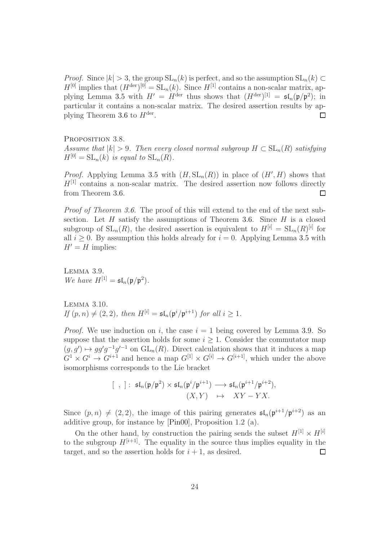*Proof.* Since  $|k| > 3$ , the group  $SL_n(k)$  is perfect, and so the assumption  $SL_n(k) \subset$  $H^{[0]}$  implies that  $(H^{\text{der}})^{[0]} = SL_n(k)$ . Since  $H^{[1]}$  contains a non-scalar matrix, ap-plying Lemma [3.5](#page-22-2) with  $H' = H^{\text{der}}$  thus shows that  $(H^{\text{der}})^{[1]} = \mathfrak{sl}_n(\mathfrak{p}/\mathfrak{p}^2)$ ; in particular it contains a non-scalar matrix. The desired assertion results by ap-plying Theorem [3.6](#page-22-0) to  $H^{\text{der}}$ .  $\Box$ 

<span id="page-23-1"></span>PROPOSITION 3.8. Assume that  $|k| > 9$ . Then every closed normal subgroup  $H \subset SL_n(R)$  satisfying  $H^{[0]} = SL_n(k)$  is equal to  $SL_n(R)$ .

*Proof.* Applying Lemma [3.5](#page-22-2) with  $(H, SL_n(R))$  in place of  $(H', H)$  shows that  $H<sup>[1]</sup>$  contains a non-scalar matrix. The desired assertion now follows directly from Theorem [3.6.](#page-22-0)  $\Box$ 

Proof of Theorem [3.6.](#page-22-0) The proof of this will extend to the end of the next subsection. Let  $H$  satisfy the assumptions of Theorem [3.6.](#page-22-0) Since  $H$  is a closed subgroup of  $SL_n(R)$ , the desired assertion is equivalent to  $H^{[i]} = SL_n(R)^{[i]}$  for all  $i \geq 0$ . By assumption this holds already for  $i = 0$ . Applying Lemma [3.5](#page-22-2) with  $H' = H$  implies:

<span id="page-23-0"></span>Lemma 3.9. We have  $H^{[1]} = \mathfrak{sl}_n(\mathfrak{p}/\mathfrak{p}^2)$ .

Lemma 3.10. If  $(p, n) \neq (2, 2)$ , then  $H^{[i]} = \mathfrak{sl}_n(\mathfrak{p}^i/\mathfrak{p}^{i+1})$  for all  $i \geq 1$ .

*Proof.* We use induction on i, the case  $i = 1$  being covered by Lemma [3.9.](#page-23-0) So suppose that the assertion holds for some  $i \geq 1$ . Consider the commutator map  $(g, g') \mapsto gg'g^{-1}g'^{-1}$  on  $GL_n(R)$ . Direct calculation shows that it induces a map  $G^1 \times G^i \to G^{i+1}$  and hence a map  $G^{[1]} \times G^{[i]} \to G^{[i+1]}$ , which under the above isomorphisms corresponds to the Lie bracket

$$
[\ , ] : \ \mathfrak{sl}_n(\mathfrak{p}/\mathfrak{p}^2) \times \mathfrak{sl}_n(\mathfrak{p}^i/\mathfrak{p}^{i+1}) \longrightarrow \mathfrak{sl}_n(\mathfrak{p}^{i+1}/\mathfrak{p}^{i+2}),
$$

$$
(X, Y) \quad \mapsto \quad XY - YX.
$$

Since  $(p, n) \neq (2, 2)$ , the image of this pairing generates  $\mathfrak{sl}_n(\mathfrak{p}^{i+1}/\mathfrak{p}^{i+2})$  as an additive group, for instance by [\[Pin00\]](#page-61-6), Proposition 1.2 (a).

On the other hand, by construction the pairing sends the subset  $H^{[1]} \times H^{[i]}$ to the subgroup  $H^{[i+1]}$ . The equality in the source thus implies equality in the target, and so the assertion holds for  $i + 1$ , as desired.  $\Box$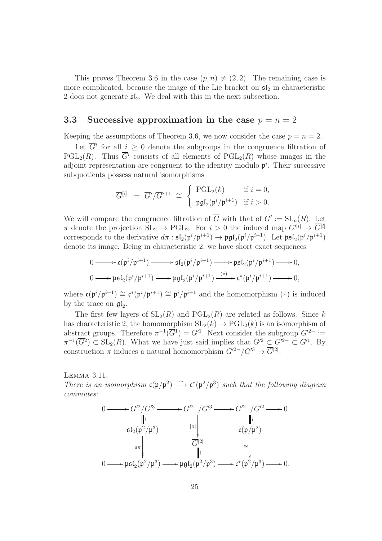This proves Theorem [3.6](#page-22-0) in the case  $(p, n) \neq (2, 2)$ . The remaining case is more complicated, because the image of the Lie bracket on  $\mathfrak{sl}_2$  in characteristic 2 does not generate  $\mathfrak{sl}_2$ . We deal with this in the next subsection.

# <span id="page-24-0"></span>3.3 Successive approximation in the case  $p = n = 2$

Keeping the assumptions of Theorem [3.6,](#page-22-0) we now consider the case  $p = n = 2$ .

Let  $\overline{G}^i$  for all  $i \geq 0$  denote the subgroups in the congruence filtration of  $PGL_2(R)$ . Thus  $\overline{G}^i$  consists of all elements of  $PGL_2(R)$  whose images in the adjoint representation are congruent to the identity modulo  $p<sup>i</sup>$ . Their successive subquotients possess natural isomorphisms

$$
\overline{G}^{[i]} \; := \; \overline{G}^i / \overline{G}^{i+1} \; \cong \; \begin{cases} \; \mathrm{PGL}_2(k) & \text{if } i = 0, \\ \; \mathfrak{pgl}_2(\mathfrak{p}^i / \mathfrak{p}^{i+1}) & \text{if } i > 0. \end{cases}
$$

We will compare the congruence filtration of  $\overline{G}$  with that of  $G' := SL_n(R)$ . Let  $\pi$  denote the projection  $SL_2 \to PGL_2$ . For  $i > 0$  the induced map  $G^{\prime[i]} \to \overline{G}^{[i]}$ corresponds to the derivative  $d\pi$  :  $\mathfrak{sl}_2(\mathfrak{p}^i/\mathfrak{p}^{i+1}) \to \mathfrak{pgl}_2(\mathfrak{p}^i/\mathfrak{p}^{i+1})$ . Let  $\mathfrak{psl}_2(\mathfrak{p}^i/\mathfrak{p}^{i+1})$ denote its image. Being in characteristic 2, we have short exact sequences

$$
\begin{aligned} 0 \longrightarrow & \mathfrak{c}(\mathfrak{p}^i/\mathfrak{p}^{i+1}) \longrightarrow \mathfrak{sl}_2(\mathfrak{p}^i/\mathfrak{p}^{i+1}) \longrightarrow \mathfrak{psl}_2(\mathfrak{p}^i/\mathfrak{p}^{i+1}) \longrightarrow 0, \\ 0 \longrightarrow & \mathfrak{psl}_2(\mathfrak{p}^i/\mathfrak{p}^{i+1}) \longrightarrow \mathfrak{pgl}_2(\mathfrak{p}^i/\mathfrak{p}^{i+1}) \stackrel{(*)}{\longrightarrow} \mathfrak{c}^*(\mathfrak{p}^i/\mathfrak{p}^{i+1}) \longrightarrow 0, \end{aligned}
$$

where  $\mathfrak{c}(\mathfrak{p}^i/\mathfrak{p}^{i+1}) \cong \mathfrak{c}^*(\mathfrak{p}^i/\mathfrak{p}^{i+1}) \cong \mathfrak{p}^i/\mathfrak{p}^{i+1}$  and the homomorphism  $(*)$  is induced by the trace on  $\mathfrak{gl}_2$ .

The first few layers of  $SL_2(R)$  and  $PGL_2(R)$  are related as follows. Since k has characteristic 2, the homomorphism  $SL_2(k) \to PGL_2(k)$  is an isomorphism of abstract groups. Therefore  $\pi^{-1}(\overline{G}^1) = G'^1$ . Next consider the subgroup  $G'^{2-} :=$  $\pi^{-1}(\overline{G}^2) \subset SL_2(R)$ . What we have just said implies that  $G'^2 \subset G'^2$   $\subset G'^1$ . By construction  $\pi$  induces a natural homomorphism  $G'^{2-}/G'^{3} \to \overline{G}^{[2]}$ .

<span id="page-24-1"></span>Lemma 3.11.

There is an isomorphism  $c(p/p^2) \rightarrow c^*(p^2/p^3)$  such that the following diagram commutes:

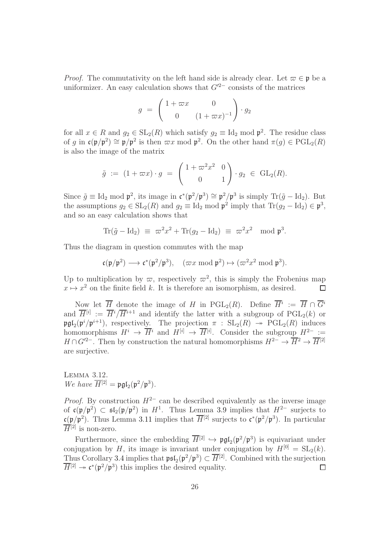*Proof.* The commutativity on the left hand side is already clear. Let  $\varpi \in \mathfrak{p}$  be a uniformizer. An easy calculation shows that  $G'^{2-}$  consists of the matrices

$$
g = \begin{pmatrix} 1 + \varpi x & 0 \\ 0 & (1 + \varpi x)^{-1} \end{pmatrix} \cdot g_2
$$

for all  $x \in R$  and  $g_2 \in SL_2(R)$  which satisfy  $g_2 \equiv \text{Id}_2 \mod p^2$ . The residue class of g in  $\mathfrak{c}(\mathfrak{p}/\mathfrak{p}^2) \cong \mathfrak{p}/\mathfrak{p}^2$  is then  $\varpi x \mod \mathfrak{p}^2$ . On the other hand  $\pi(g) \in \mathrm{PGL}_2(R)$ is also the image of the matrix

$$
\tilde{g} := (1 + \varpi x) \cdot g = \begin{pmatrix} 1 + \varpi^2 x^2 & 0 \\ 0 & 1 \end{pmatrix} \cdot g_2 \in GL_2(R).
$$

Since  $\tilde{g} \equiv \text{Id}_2 \mod \mathfrak{p}^2$ , its image in  $\mathfrak{c}^*(\mathfrak{p}^2/\mathfrak{p}^3) \cong \mathfrak{p}^2/\mathfrak{p}^3$  is simply  $\text{Tr}(\tilde{g} - \text{Id}_2)$ . But the assumptions  $g_2 \in SL_2(R)$  and  $g_2 \equiv \text{Id}_2 \mod \mathfrak{p}^2$  imply that  $\text{Tr}(g_2 - \text{Id}_2) \in \mathfrak{p}^3$ , and so an easy calculation shows that

$$
\operatorname{Tr}(\tilde{g} - \operatorname{Id}_2) \equiv \varpi^2 x^2 + \operatorname{Tr}(g_2 - \operatorname{Id}_2) \equiv \varpi^2 x^2 \mod \mathfrak{p}^3.
$$

Thus the diagram in question commutes with the map

$$
\mathfrak{c}(\mathfrak{p}/\mathfrak{p}^2)\longrightarrow \mathfrak{c}^*(\mathfrak{p}^2/\mathfrak{p}^3),\quad (\varpi x \bmod \mathfrak{p}^2)\mapsto (\varpi^2 x^2 \bmod \mathfrak{p}^3).
$$

Up to multiplication by  $\varpi$ , respectively  $\varpi^2$ , this is simply the Frobenius map  $x \mapsto x^2$  on the finite field k. It is therefore an isomorphism, as desired.  $\Box$ 

Now let  $\overline{H}$  denote the image of H in PGL<sub>2</sub>(R). Define  $\overline{H}^i := \overline{H} \cap \overline{G}^i$ and  $\overline{H}^{[i]} := \overline{H}^{i}/\overline{H}^{i+1}$  and identify the latter with a subgroup of  $PGL_2(k)$  or  $\mathfrak{pgl}_2(\mathfrak{p}^i/\mathfrak{p}^{i+1}),$  respectively. The projection  $\pi : SL_2(R) \rightarrow \text{PGL}_2(R)$  induces homomorphisms  $H^i \to \overline{H}^i$  and  $H^{[i]} \to \overline{H}^{[i]}$ . Consider the subgroup  $H^{2-} :=$  $H \cap G'^{2-}$ . Then by construction the natural homomorphisms  $H^{2-} \to \overline{H}{}^{2} \to \overline{H}{}^{[2]}$ are surjective.

<span id="page-25-0"></span>Lemma 3.12. We have  $\overline{H}^{[2]} = \mathfrak{pgl}_2(\mathfrak{p}^2/\mathfrak{p}^3)$ .

*Proof.* By construction  $H^{2-}$  can be described equivalently as the inverse image of  $\mathfrak{c}(\mathfrak{p}/\mathfrak{p}^2) \subset \mathfrak{sl}_2(\mathfrak{p}/\mathfrak{p}^2)$  in  $H^1$ . Thus Lemma [3.9](#page-23-0) implies that  $H^{2-}$  surjects to  $\mathfrak{c}(\mathfrak{p}/\mathfrak{p}^2)$ . Thus Lemma [3.11](#page-24-1) implies that  $\overline{H}^{[2]}$  surjects to  $\mathfrak{c}^*(\mathfrak{p}^2/\mathfrak{p}^3)$ . In particular  $\overline{H}^{[2]}$  is non-zero.

Furthermore, since the embedding  $\overline{H}^{[2]} \hookrightarrow \mathfrak{pgl}_2(\mathfrak{p}^2/\mathfrak{p}^3)$  is equivariant under conjugation by H, its image is invariant under conjugation by  $H^{[0]} = SL_2(k)$ . Thus Corollary [3.4](#page-21-1) implies that  $\mathfrak{psl}_2(\mathfrak{p}^2/\mathfrak{p}^3) \subset \overline{H}^{[2]}$ . Combined with the surjection  $\overline{H}^{[2]} \twoheadrightarrow \mathfrak{c}^*(\mathfrak{p}^2/\mathfrak{p}^3)$  this implies the desired equality.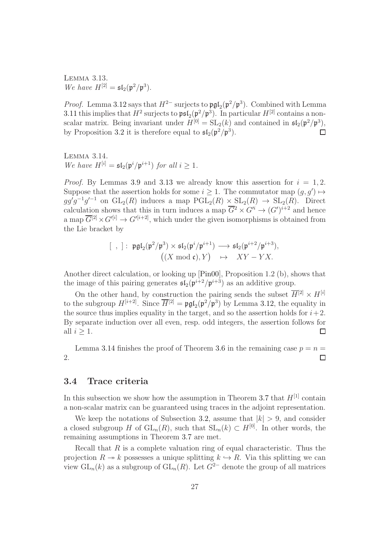<span id="page-26-1"></span>Lemma 3.13. We have  $H^{[2]} = \mathfrak{sl}_2(\mathfrak{p}^2/\mathfrak{p}^3)$ .

*Proof.* Lemma [3.12](#page-25-0) says that  $H^{2-}$  surjects to  $\mathfrak{pgl}_2(\mathfrak{p}^2/\mathfrak{p}^3)$ . Combined with Lemma [3.11](#page-24-1) this implies that  $H^2$  surjects to  $\mathfrak{psl}_2(\mathfrak{p}^2/\mathfrak{p}^3)$ . In particular  $H^{[2]}$  contains a nonscalar matrix. Being invariant under  $H^{[0]} = SL_2(k)$  and contained in  $\mathfrak{sl}_2(\mathfrak{p}^2/\mathfrak{p}^3)$ , by Proposition [3.2](#page-20-1) it is therefore equal to  $\mathfrak{sl}_2(\mathfrak{p}^2/\mathfrak{p}^3)$ .  $\Box$ 

<span id="page-26-2"></span>Lemma 3.14. We have  $H^{[i]} = \mathfrak{sl}_2(\mathfrak{p}^i/\mathfrak{p}^{i+1})$  for all  $i \geq 1$ .

*Proof.* By Lemmas [3.9](#page-23-0) and [3.13](#page-26-1) we already know this assertion for  $i = 1, 2$ . Suppose that the assertion holds for some  $i \geq 1$ . The commutator map  $(g, g') \mapsto$  $gg'g^{-1}g'^{-1}$  on  $GL_2(R)$  induces a map  $PGL_2(R) \times SL_2(R) \rightarrow SL_2(R)$ . Direct calculation shows that this in turn induces a map  $\overline{G}^2 \times G^i \to (G')^{i+2}$  and hence a map  $\overline{G}^{[2]} \times G^{\prime[i]} \to G^{\prime[i+2]}$ , which under the given isomorphisms is obtained from the Lie bracket by

$$
[\ , ] : \mathfrak{pgl}_2(\mathfrak{p}^2/\mathfrak{p}^3) \times \mathfrak{sl}_2(\mathfrak{p}^i/\mathfrak{p}^{i+1}) \longrightarrow \mathfrak{sl}_2(\mathfrak{p}^{i+2}/\mathfrak{p}^{i+3}),
$$

$$
((X \bmod c), Y) \quad \mapsto \quad XY - YX.
$$

Another direct calculation, or looking up [\[Pin00\]](#page-61-6), Proposition 1.2 (b), shows that the image of this pairing generates  $\mathfrak{sl}_2(\mathfrak{p}^{i+2}/\mathfrak{p}^{i+3})$  as an additive group.

On the other hand, by construction the pairing sends the subset  $\overline{H}^{[2]} \times H^{[i]}$ to the subgroup  $H^{[i+2]}$ . Since  $\overline{H}^{[2]} = \mathfrak{pgl}_2(\mathfrak{p}^2/\mathfrak{p}^3)$  by Lemma [3.12,](#page-25-0) the equality in the source thus implies equality in the target, and so the assertion holds for  $i+2$ . By separate induction over all even, resp. odd integers, the assertion follows for all  $i \geq 1$ .  $\Box$ 

Lemma [3.14](#page-26-2) finishes the proof of Theorem [3.6](#page-22-0) in the remaining case  $p = n =$ 2.  $\Box$ 

## <span id="page-26-0"></span>3.4 Trace criteria

In this subsection we show how the assumption in Theorem [3.7](#page-22-1) that  $H^{[1]}$  contain a non-scalar matrix can be guaranteed using traces in the adjoint representation.

We keep the notations of Subsection [3.2,](#page-21-0) assume that  $|k| > 9$ , and consider a closed subgroup H of  $GL_n(R)$ , such that  $SL_n(k) \subset H^{[0]}$ . In other words, the remaining assumptions in Theorem [3.7](#page-22-1) are met.

Recall that  $R$  is a complete valuation ring of equal characteristic. Thus the projection  $R \to k$  possesses a unique splitting  $k \to R$ . Via this splitting we can view  $GL_n(k)$  as a subgroup of  $GL_n(R)$ . Let  $\widetilde{G}^{2-}$  denote the group of all matrices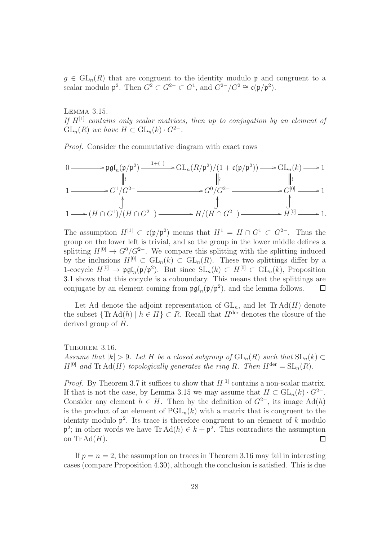$q \in GL_n(R)$  that are congruent to the identity modulo p and congruent to a scalar modulo  $\mathfrak{p}^2$ . Then  $G^2 \subset G^{2-} \subset G^1$ , and  $G^{2-}/G^2 \cong \mathfrak{c}(\mathfrak{p}/\mathfrak{p}^2)$ .

<span id="page-27-1"></span>Lemma 3.15. If  $H^{[1]}$  contains only scalar matrices, then up to conjugation by an element of  $GL_n(R)$  we have  $H \subset GL_n(k) \cdot G^{2-}.$ 

Proof. Consider the commutative diagram with exact rows

$$
0 \longrightarrow \mathfrak{pgl}_{n}(\mathfrak{p}/\mathfrak{p}^{2}) \longrightarrow GL_{n}(R/\mathfrak{p}^{2})/(1 + \mathfrak{c}(\mathfrak{p}/\mathfrak{p}^{2})) \longrightarrow GL_{n}(k) \longrightarrow 1
$$
\n
$$
1 \longrightarrow G^{1}/G^{2-} \longrightarrow G^{0}/G^{2-} \longrightarrow G^{[0]} \longrightarrow 1
$$
\n
$$
1 \longrightarrow (H \cap G^{1})/(H \cap G^{2-}) \longrightarrow H/(H \cap G^{2-}) \longrightarrow H^{[0]} \longrightarrow 1.
$$

The assumption  $H^{[1]} \subset \mathfrak{c}(\mathfrak{p}/\mathfrak{p}^2)$  means that  $H^1 = H \cap G^1 \subset G^{2-}$ . Thus the group on the lower left is trivial, and so the group in the lower middle defines a splitting  $H^{[0]} \to G^{0}/G^{2-}$ . We compare this splitting with the splitting induced by the inclusions  $H^{[0]} \subset GL_n(k) \subset GL_n(R)$ . These two splittings differ by a 1-cocycle  $H^{[0]} \to \mathfrak{pgl}_n(\mathfrak{p}/\mathfrak{p}^2)$ . But since  $SL_n(k) \subset H^{[0]} \subset GL_n(k)$ , Proposition [3.1](#page-19-2) shows that this cocycle is a coboundary. This means that the splittings are conjugate by an element coming from  $\mathfrak{pgl}_n(\mathfrak{p}/\mathfrak{p}^2)$ , and the lemma follows.  $\Box$ 

Let Ad denote the adjoint representation of  $GL_n$ , and let  $Tr \, Ad(H)$  denote the subset  $\{\text{Tr}\,\text{Ad}(h) \mid h \in H\} \subset R$ . Recall that  $H^{\text{der}}$  denotes the closure of the derived group of H.

<span id="page-27-0"></span>THEOREM 3.16. Assume that  $|k| > 9$ . Let H be a closed subgroup of  $GL_n(R)$  such that  $SL_n(k) \subset$  $H^{[0]}$  and Tr Ad(H) topologically generates the ring R. Then  $H^{\text{der}} = SL_n(R)$ .

*Proof.* By Theorem [3.7](#page-22-1) it suffices to show that  $H^{[1]}$  contains a non-scalar matrix. If that is not the case, by Lemma [3.15](#page-27-1) we may assume that  $H \subset GL_n(k) \cdot G^{2-}$ . Consider any element  $h \in H$ . Then by the definition of  $G^{2-}$ , its image Ad(h) is the product of an element of  $PGL_n(k)$  with a matrix that is congruent to the identity modulo  $p^2$ . Its trace is therefore congruent to an element of k modulo  $\mathfrak{p}^2$ ; in other words we have Tr Ad(h)  $\in k + \mathfrak{p}^2$ . This contradicts the assumption on  $\text{Tr} \text{Ad}(H)$ .  $\Box$ 

If  $p = n = 2$ , the assumption on traces in Theorem [3.16](#page-27-0) may fail in interesting cases (compare Proposition [4.30\)](#page-43-0), although the conclusion is satisfied. This is due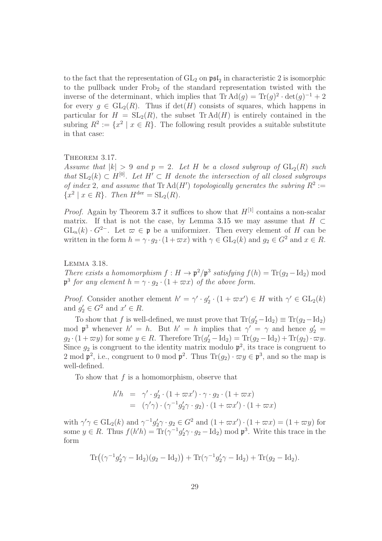to the fact that the representation of  $GL_2$  on  $\mathfrak{psl}_2$  in characteristic 2 is isomorphic to the pullback under  $Frob_2$  of the standard representation twisted with the inverse of the determinant, which implies that  $\text{Tr } \text{Ad}(g) = \text{Tr}(g)^2 \cdot \det(g)^{-1} + 2$ for every  $q \in GL_2(R)$ . Thus if  $\det(H)$  consists of squares, which happens in particular for  $H = SL_2(R)$ , the subset Tr Ad(H) is entirely contained in the subring  $R^2 := \{x^2 \mid x \in R\}$ . The following result provides a suitable substitute in that case:

<span id="page-28-0"></span>THEOREM 3.17.

Assume that  $|k| > 9$  and  $p = 2$ . Let H be a closed subgroup of  $GL_2(R)$  such that  $SL_2(k) \subset H^{[0]}$ . Let  $H' \subset H$  denote the intersection of all closed subgroups of index 2, and assume that  $\text{Tr } \text{Ad}(H')$  topologically generates the subring  $R^2 :=$  $\{x^2 \mid x \in R\}$ . Then  $H^{\text{der}} = \text{SL}_2(R)$ .

*Proof.* Again by Theorem [3.7](#page-22-1) it suffices to show that  $H^{[1]}$  contains a non-scalar matrix. If that is not the case, by Lemma [3.15](#page-27-1) we may assume that  $H \subset$  $GL_n(k) \cdot G^{2-}$ . Let  $\varpi \in \mathfrak{p}$  be a uniformizer. Then every element of H can be written in the form  $h = \gamma \cdot g_2 \cdot (1 + \varpi x)$  with  $\gamma \in GL_2(k)$  and  $g_2 \in G^2$  and  $x \in R$ .

#### <span id="page-28-1"></span>Lemma 3.18.

There exists a homomorphism  $f : H \to \mathfrak{p}^2/\mathfrak{p}^3$  satisfying  $f(h) = \text{Tr}(g_2 - \text{Id}_2)$  mod  $\mathfrak{p}^3$  for any element  $h = \gamma \cdot g_2 \cdot (1 + \varpi x)$  of the above form.

*Proof.* Consider another element  $h' = \gamma' \cdot g_2' \cdot (1 + \varpi x') \in H$  with  $\gamma' \in GL_2(k)$ and  $g'_2 \in G^2$  and  $x' \in R$ .

To show that f is well-defined, we must prove that  $Tr(g'_2 - Id_2) \equiv Tr(g_2 - Id_2)$ mod  $\mathfrak{p}^3$  whenever  $h' = h$ . But  $h' = h$  implies that  $\gamma' = \gamma$  and hence  $g'_2 =$  $g_2 \cdot (1 + \varpi y)$  for some  $y \in R$ . Therefore  $\text{Tr}(g'_2 - \text{Id}_2) = \text{Tr}(g_2 - \text{Id}_2) + \text{Tr}(g_2) \cdot \varpi y$ . Since  $g_2$  is congruent to the identity matrix modulo  $\mathfrak{p}^2$ , its trace is congruent to 2 mod  $\mathfrak{p}^2$ , i.e., congruent to 0 mod  $\mathfrak{p}^2$ . Thus  $\text{Tr}(g_2) \cdot \varpi y \in \mathfrak{p}^3$ , and so the map is well-defined.

To show that  $f$  is a homomorphism, observe that

$$
h'h = \gamma' \cdot g_2' \cdot (1 + \varpi x') \cdot \gamma \cdot g_2 \cdot (1 + \varpi x)
$$
  
= 
$$
(\gamma'\gamma) \cdot (\gamma^{-1} g_2' \gamma \cdot g_2) \cdot (1 + \varpi x') \cdot (1 + \varpi x)
$$

with  $\gamma' \gamma \in GL_2(k)$  and  $\gamma^{-1} g_2' \gamma \cdot g_2 \in G^2$  and  $(1 + \varpi x') \cdot (1 + \varpi x) = (1 + \varpi y)$  for some  $y \in R$ . Thus  $f(h'h) = \text{Tr}(\gamma^{-1}g'_2\gamma \cdot g_2 - \text{Id}_2) \mod \mathfrak{p}^3$ . Write this trace in the form

$$
\text{Tr}((\gamma^{-1}g_2'\gamma - \text{Id}_2)(g_2 - \text{Id}_2)) + \text{Tr}(\gamma^{-1}g_2'\gamma - \text{Id}_2) + \text{Tr}(g_2 - \text{Id}_2).
$$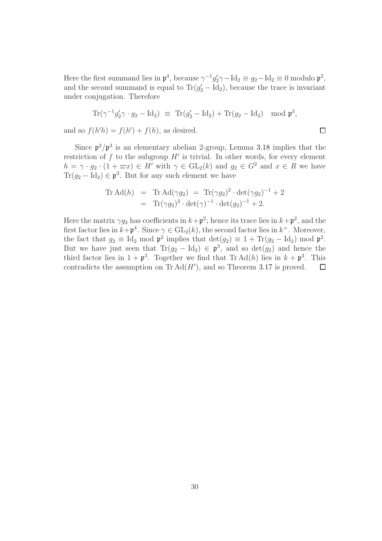Here the first summand lies in  $\mathfrak{p}^4$ , because  $\gamma^{-1} g'_2 \gamma - \text{Id}_2 \equiv g_2 - \text{Id}_2 \equiv 0$  modulo  $\mathfrak{p}^2$ , and the second summand is equal to  $Tr(g'_2 - Id_2)$ , because the trace is invariant under conjugation. Therefore

$$
\operatorname{Tr}(\gamma^{-1}g_2'\gamma \cdot g_2 - \operatorname{Id}_2) \equiv \operatorname{Tr}(g_2' - \operatorname{Id}_2) + \operatorname{Tr}(g_2 - \operatorname{Id}_2) \mod \mathfrak{p}^3,
$$

and so  $f(h'h) = f(h') + f(h)$ , as desired.

Since  $p^2/p^3$  is an elementary abelian 2-group, Lemma [3.18](#page-28-1) implies that the restriction of  $f$  to the subgroup  $H'$  is trivial. In other words, for every element  $h = \gamma \cdot g_2 \cdot (1 + \varpi x) \in H'$  with  $\gamma \in GL_2(k)$  and  $g_2 \in G^2$  and  $x \in R$  we have  $\text{Tr}(g_2 - \text{Id}_2) \in \mathfrak{p}^3$ . But for any such element we have

$$
\begin{array}{rcl}\n\text{Tr Ad}(h) & = & \text{Tr Ad}(\gamma g_2) = & \text{Tr}(\gamma g_2)^2 \cdot \det(\gamma g_2)^{-1} + 2 \\
& = & \text{Tr}(\gamma g_2)^2 \cdot \det(\gamma)^{-1} \cdot \det(g_2)^{-1} + 2.\n\end{array}
$$

Here the matrix  $\gamma g_2$  has coefficients in  $k+\mathfrak{p}^2$ ; hence its trace lies in  $k+\mathfrak{p}^2$ , and the first factor lies in  $k + p^4$ . Since  $\gamma \in GL_2(k)$ , the second factor lies in  $k^{\times}$ . Moreover, the fact that  $g_2 \equiv \text{Id}_2 \mod \mathfrak{p}^2$  implies that  $\det(g_2) \equiv 1 + \text{Tr}(g_2 - \text{Id}_2) \mod \mathfrak{p}^2$ . But we have just seen that  $\text{Tr}(g_2 - \text{Id}_2) \in \mathfrak{p}^3$ , and so  $\det(g_2)$  and hence the third factor lies in  $1 + \mathfrak{p}^3$ . Together we find that Tr Ad(h) lies in  $k + \mathfrak{p}^3$ . This contradicts the assumption on  $\text{Tr} \, \text{Ad}(H')$ , and so Theorem [3.17](#page-28-0) is proved.  $\Box$ 

$$
\Box
$$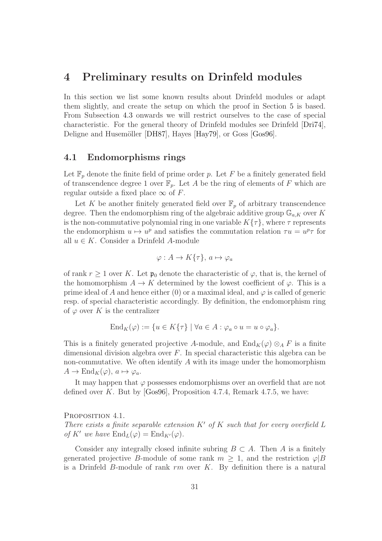## <span id="page-30-0"></span>4 Preliminary results on Drinfeld modules

In this section we list some known results about Drinfeld modules or adapt them slightly, and create the setup on which the proof in Section [5](#page-45-0) is based. From Subsection [4.3](#page-33-0) onwards we will restrict ourselves to the case of special characteristic. For the general theory of Drinfeld modules see Drinfeld [\[Dri74\]](#page-60-6), Deligne and Husemöller [\[DH87\]](#page-60-7), Hayes [\[Hay79\]](#page-61-7), or Goss [\[Gos96\]](#page-61-8).

## <span id="page-30-1"></span>4.1 Endomorphisms rings

Let  $\mathbb{F}_p$  denote the finite field of prime order p. Let F be a finitely generated field of transcendence degree 1 over  $\mathbb{F}_p$ . Let A be the ring of elements of F which are regular outside a fixed place  $\infty$  of F.

Let K be another finitely generated field over  $\mathbb{F}_p$  of arbitrary transcendence degree. Then the endomorphism ring of the algebraic additive group  $\mathbb{G}_{a,K}$  over K is the non-commutative polynomial ring in one variable  $K\{\tau\}$ , where  $\tau$  represents the endomorphism  $u \mapsto u^p$  and satisfies the commutation relation  $\tau u = u^p \tau$  for all  $u \in K$ . Consider a Drinfeld A-module

$$
\varphi: A \to K\{\tau\}, \, a \mapsto \varphi_a
$$

of rank  $r \geq 1$  over K. Let  $\mathfrak{p}_0$  denote the characteristic of  $\varphi$ , that is, the kernel of the homomorphism  $A \to K$  determined by the lowest coefficient of  $\varphi$ . This is a prime ideal of A and hence either  $(0)$  or a maximal ideal, and  $\varphi$  is called of generic resp. of special characteristic accordingly. By definition, the endomorphism ring of  $\varphi$  over K is the centralizer

$$
End_K(\varphi) := \{ u \in K\{\tau\} \mid \forall a \in A : \varphi_a \circ u = u \circ \varphi_a \}.
$$

This is a finitely generated projective A-module, and  $\text{End}_K(\varphi) \otimes_A F$  is a finite dimensional division algebra over  $F$ . In special characteristic this algebra can be non-commutative. We often identify  $A$  with its image under the homomorphism  $A \to \text{End}_K(\varphi), \, a \mapsto \varphi_a.$ 

It may happen that  $\varphi$  possesses endomorphisms over an overfield that are not defined over K. But by [\[Gos96\]](#page-61-8), Proposition 4.7.4, Remark 4.7.5, we have:

<span id="page-30-2"></span>PROPOSITION 4.1.

There exists a finite separable extension  $K'$  of K such that for every overfield L of K' we have  $\text{End}_L(\varphi) = \text{End}_{K'}(\varphi)$ .

Consider any integrally closed infinite subring  $B \subset A$ . Then A is a finitely generated projective B-module of some rank  $m \geq 1$ , and the restriction  $\varphi |B$ is a Drinfeld B-module of rank  $rm$  over  $K$ . By definition there is a natural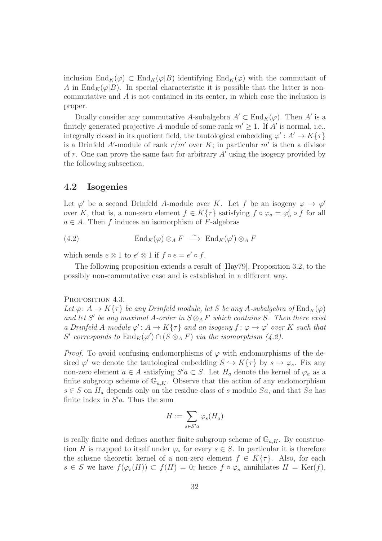inclusion  $\text{End}_K(\varphi) \subset \text{End}_K(\varphi|B)$  identifying  $\text{End}_K(\varphi)$  with the commutant of A in End<sub>K</sub>( $\varphi$ |B). In special characteristic it is possible that the latter is noncommutative and A is not contained in its center, in which case the inclusion is proper.

Dually consider any commutative A-subalgebra  $A' \subset \text{End}_K(\varphi)$ . Then A' is a finitely generated projective A-module of some rank  $m' \geq 1$ . If A' is normal, i.e., integrally closed in its quotient field, the tautological embedding  $\varphi' : A' \to K\{\tau\}$ is a Drinfeld A'-module of rank  $r/m'$  over K; in particular m' is then a divisor of  $r$ . One can prove the same fact for arbitrary  $A'$  using the isogeny provided by the following subsection.

### <span id="page-31-0"></span>4.2 Isogenies

Let  $\varphi'$  be a second Drinfeld A-module over K. Let f be an isogeny  $\varphi \to \varphi'$ over K, that is, a non-zero element  $f \in K\{\tau\}$  satisfying  $f \circ \varphi_a = \varphi'_a \circ f$  for all  $a \in A$ . Then f induces an isomorphism of F-algebras

<span id="page-31-1"></span>(4.2)  $\text{End}_K(\varphi) \otimes_A F \stackrel{\sim}{\longrightarrow} \text{End}_K(\varphi') \otimes_A F$ 

which sends  $e \otimes 1$  to  $e' \otimes 1$  if  $f \circ e = e' \circ f$ .

The following proposition extends a result of [\[Hay79\]](#page-61-7), Proposition 3.2, to the possibly non-commutative case and is established in a different way.

#### <span id="page-31-2"></span>PROPOSITION 4.3.

Let  $\varphi: A \to K\{\tau\}$  be any Drinfeld module, let S be any A-subalgebra of  $\text{End}_K(\varphi)$ and let S' be any maximal A-order in  $S \otimes_A F$  which contains S. Then there exist a Drinfeld A-module  $\varphi' : A \to K\{\tau\}$  and an isogeny  $f : \varphi \to \varphi'$  over K such that S' corresponds to  $\text{End}_K(\varphi') \cap (S \otimes_A F)$  via the isomorphism [\(4.2\)](#page-31-1).

*Proof.* To avoid confusing endomorphisms of  $\varphi$  with endomorphisms of the desired  $\varphi'$  we denote the tautological embedding  $S \hookrightarrow K\{\tau\}$  by  $s \mapsto \varphi_s$ . Fix any non-zero element  $a \in A$  satisfying  $S'a \subset S$ . Let  $H_a$  denote the kernel of  $\varphi_a$  as a finite subgroup scheme of  $\mathbb{G}_{a,K}$ . Observe that the action of any endomorphism  $s \in S$  on  $H_a$  depends only on the residue class of s modulo  $Sa$ , and that  $Sa$  has finite index in  $S'a$ . Thus the sum

$$
H := \sum_{s \in S'a} \varphi_s(H_a)
$$

is really finite and defines another finite subgroup scheme of  $\mathbb{G}_{a,K}$ . By construction H is mapped to itself under  $\varphi_s$  for every  $s \in S$ . In particular it is therefore the scheme theoretic kernel of a non-zero element  $f \in K\{\tau\}$ . Also, for each  $s \in S$  we have  $f(\varphi_s(H)) \subset f(H) = 0$ ; hence  $f \circ \varphi_s$  annihilates  $H = \text{Ker}(f)$ ,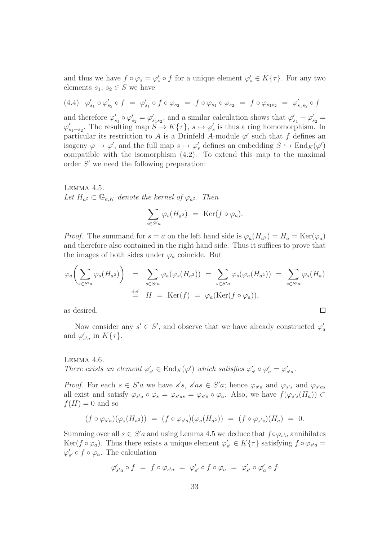and thus we have  $f \circ \varphi_s = \varphi'_s \circ f$  for a unique element  $\varphi'_s \in K\{\tau\}$ . For any two elements  $s_1, s_2 \in S$  we have

<span id="page-32-1"></span>
$$
(4.4) \ \ \varphi'_{s_1} \circ \varphi'_{s_2} \circ f = \varphi'_{s_1} \circ f \circ \varphi_{s_2} = f \circ \varphi_{s_1} \circ \varphi_{s_2} = f \circ \varphi_{s_1 s_2} = \varphi'_{s_1 s_2} \circ f
$$

and therefore  $\varphi'_{s_1} \circ \varphi'_{s_2} = \varphi'_{s_1 s_2}$ , and a similar calculation shows that  $\varphi'_{s_1} + \varphi'_{s_2} =$  $\varphi'_{s_1+s_2}$ . The resulting map  $S \to K\{\tau\}$ ,  $s \mapsto \varphi'_s$  is thus a ring homomorphism. In particular its restriction to A is a Drinfeld A-module  $\varphi'$  such that f defines an isogeny  $\varphi \to \varphi'$ , and the full map  $s \mapsto \varphi'_s$  defines an embedding  $S \hookrightarrow \text{End}_K(\varphi')$ compatible with the isomorphism [\(4.2\)](#page-31-1). To extend this map to the maximal order  $S'$  we need the following preparation:

<span id="page-32-0"></span>Lemma 4.5. Let  $H_{a^2} \subset \mathbb{G}_{a,K}$  denote the kernel of  $\varphi_{a^2}$ . Then

$$
\sum_{s \in S'a} \varphi_s(H_{a^2}) = \text{Ker}(f \circ \varphi_a).
$$

*Proof.* The summand for  $s = a$  on the left hand side is  $\varphi_a(H_{a^2}) = H_a = \text{Ker}(\varphi_a)$ and therefore also contained in the right hand side. Thus it suffices to prove that the images of both sides under  $\varphi_a$  coincide. But

$$
\varphi_a\bigg(\sum_{s\in S'a}\varphi_s(H_{a^2})\bigg) = \sum_{s\in S'a}\varphi_a(\varphi_s(H_{a^2})) = \sum_{s\in S'a}\varphi_s(\varphi_a(H_{a^2})) = \sum_{s\in S'a}\varphi_s(H_a)
$$
  

$$
\stackrel{\text{def}}{=} H = \text{Ker}(f) = \varphi_a(\text{Ker}(f \circ \varphi_a)),
$$

as desired.

Now consider any  $s' \in S'$ , and observe that we have already constructed  $\varphi'_a$ and  $\varphi'_{s'a}$  in  $K\{\tau\}$ .

 $\Box$ 

## Lemma 4.6. There exists an element  $\varphi'_{s'} \in \text{End}_K(\varphi')$  which satisfies  $\varphi'_{s'} \circ \varphi'_{a} = \varphi'_{s'a}$ .

*Proof.* For each  $s \in S'a$  we have  $s's$ ,  $s'as \in S'a$ ; hence  $\varphi_{s'a}$  and  $\varphi_{s's}$  and  $\varphi_{s'as}$ all exist and satisfy  $\varphi_{s'a} \circ \varphi_s = \varphi_{s'as} = \varphi_{s's} \circ \varphi_a$ . Also, we have  $f(\varphi_{s's}(H_a)) \subset$  $f(H) = 0$  and so

$$
(f \circ \varphi_{s'a})(\varphi_s(H_{a^2})) = (f \circ \varphi_{s's})(\varphi_a(H_{a^2})) = (f \circ \varphi_{s's})(H_a) = 0.
$$

Summing over all  $s \in S'a$  and using Lemma [4.5](#page-32-0) we deduce that  $f \circ \varphi_{s'a}$  annihilates Ker( $f \circ \varphi_a$ ). Thus there exists a unique element  $\varphi'_{s'} \in K\{\tau\}$  satisfying  $f \circ \varphi_{s'a} =$  $\varphi'_{s'} \circ f \circ \varphi_a$ . The calculation

$$
\varphi'_{s'a} \circ f = f \circ \varphi_{s'a} = \varphi'_{s'} \circ f \circ \varphi_a = \varphi'_{s'} \circ \varphi'_a \circ f
$$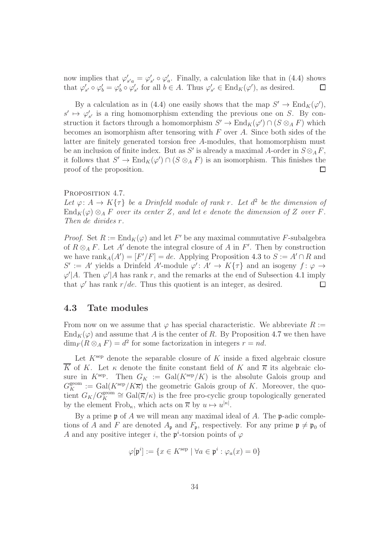now implies that  $\varphi'_{s'a} = \varphi'_{s'} \circ \varphi'_a$ . Finally, a calculation like that in [\(4.4\)](#page-32-1) shows that  $\varphi'_{s'} \circ \varphi'_{b} = \varphi'_{b} \circ \varphi'_{s'}$  for all  $b \in A$ . Thus  $\varphi'_{s'} \in End_K(\varphi')$ , as desired.  $\Box$ 

By a calculation as in [\(4.4\)](#page-32-1) one easily shows that the map  $S' \to \text{End}_K(\varphi'),$  $s' \mapsto \varphi'_{s'}$  is a ring homomorphism extending the previous one on S. By construction it factors through a homomorphism  $S' \to \text{End}_K(\varphi') \cap (S \otimes_A F)$  which becomes an isomorphism after tensoring with  $F$  over  $A$ . Since both sides of the latter are finitely generated torsion free A-modules, that homomorphism must be an inclusion of finite index. But as S' is already a maximal A-order in  $S \otimes_A F$ , it follows that  $S' \to \text{End}_K(\varphi') \cap (S \otimes_A F)$  is an isomorphism. This finishes the proof of the proposition.

#### <span id="page-33-1"></span>PROPOSITION 4.7.

Let  $\varphi: A \to K\{\tau\}$  be a Drinfeld module of rank r. Let  $d^2$  be the dimension of  $\text{End}_K(\varphi) \otimes_A F$  over its center Z, and let e denote the dimension of Z over F. Then de divides r.

*Proof.* Set  $R := \text{End}_K(\varphi)$  and let F' be any maximal commutative F-subalgebra of  $R \otimes_A F$ . Let A' denote the integral closure of A in F'. Then by construction we have  $\text{rank}_A(A') = [F'/F] = de$ . Applying Proposition [4.3](#page-31-2) to  $S := A' \cap R$  and  $S' := A'$  yields a Drinfeld A'-module  $\varphi' : A' \to K\{\tau\}$  and an isogeny  $f : \varphi \to$  $\varphi'$  *A*. Then  $\varphi'$  *A* has rank r, and the remarks at the end of Subsection [4.1](#page-30-1) imply that  $\varphi'$  has rank  $r/de$ . Thus this quotient is an integer, as desired.

## <span id="page-33-0"></span>4.3 Tate modules

From now on we assume that  $\varphi$  has special characteristic. We abbreviate  $R :=$  $\text{End}_K(\varphi)$  and assume that A is the center of R. By Proposition [4.7](#page-33-1) we then have  $\dim_F(R \otimes_A F) = d^2$  for some factorization in integers  $r = nd$ .

Let  $K^{\text{sep}}$  denote the separable closure of K inside a fixed algebraic closure  $\overline{K}$  of K. Let  $\kappa$  denote the finite constant field of K and  $\overline{\kappa}$  its algebraic closure in  $K^{\text{sep}}$ . Then  $G_K := \text{Gal}(K^{\text{sep}}/K)$  is the absolute Galois group and  $G_K^{\text{geom}} := \text{Gal}(K^{\text{sep}}/K\overline{\kappa})$  the geometric Galois group of K. Moreover, the quotient  $G_K/G_K^{\text{geom}} \cong \text{Gal}(\overline{\kappa}/\kappa)$  is the free pro-cyclic group topologically generated by the element  $Frob_{\kappa}$ , which acts on  $\overline{\kappa}$  by  $u \mapsto u^{|\kappa|}$ .

By a prime  $\mathfrak p$  of A we will mean any maximal ideal of A. The  $\mathfrak p$ -adic completions of A and F are denoted  $A_{p}$  and  $F_{p}$ , respectively. For any prime  $p \neq p_{0}$  of A and any positive integer i, the  $\mathfrak{p}^i$ -torsion points of  $\varphi$ 

$$
\varphi[\mathfrak{p}^i] := \{ x \in K^{\text{sep}} \mid \forall a \in \mathfrak{p}^i : \varphi_a(x) = 0 \}
$$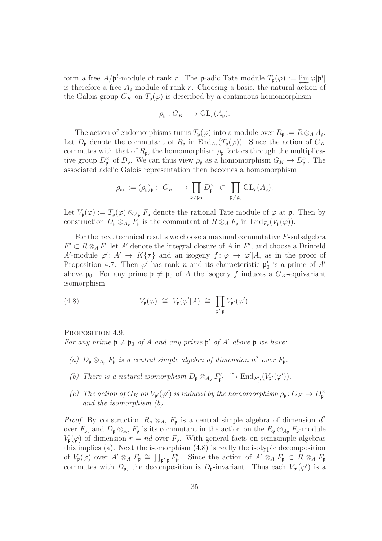form a free  $A/\mathfrak{p}^i$ -module of rank r. The p-adic Tate module  $T_{\mathfrak{p}}(\varphi) := \varprojlim \varphi[\mathfrak{p}^i]$ <br>is therefore a free A-module of rank r. Choosing a basis, the natural action of is therefore a free  $A_{p}$ -module of rank r. Choosing a basis, the natural action of the Galois group  $G_K$  on  $T_p(\varphi)$  is described by a continuous homomorphism

$$
\rho_{\mathfrak{p}}:G_K\longrightarrow\operatorname{GL}_r(A_{\mathfrak{p}}).
$$

The action of endomorphisms turns  $T_{\mathfrak{p}}(\varphi)$  into a module over  $R_{\mathfrak{p}} := R \otimes_A A_{\mathfrak{p}}$ . Let  $D_{\mathfrak{p}}$  denote the commutant of  $R_{\mathfrak{p}}$  in  $\text{End}_{A_{\mathfrak{p}}}(T_{\mathfrak{p}}(\varphi))$ . Since the action of  $G_K$ commutes with that of  $R_p$ , the homomorphism  $\rho_p$  factors through the multiplicative group  $D_{\mathfrak{p}}^{\times}$  of  $D_{\mathfrak{p}}$ . We can thus view  $\rho_{\mathfrak{p}}$  as a homomorphism  $G_K \to D_{\mathfrak{p}}^{\times}$ . The associated adelic Galois representation then becomes a homomorphism

$$
\rho_{\rm ad} := (\rho_{\mathfrak{p}})_{\mathfrak{p}} : G_K \longrightarrow \prod_{\mathfrak{p} \neq \mathfrak{p}_0} D_{\mathfrak{p}}^{\times} \subset \prod_{\mathfrak{p} \neq \mathfrak{p}_0} GL_r(A_{\mathfrak{p}}).
$$

Let  $V_{\mathfrak{p}}(\varphi) := T_{\mathfrak{p}}(\varphi) \otimes_{A_{\mathfrak{p}}} F_{\mathfrak{p}}$  denote the rational Tate module of  $\varphi$  at  $\mathfrak{p}$ . Then by construction  $D_{\mathfrak{p}} \otimes_{A_{\mathfrak{p}}} F_{\mathfrak{p}}$  is the commutant of  $R \otimes_A F_{\mathfrak{p}}$  in  $\text{End}_{F_{\mathfrak{p}}}(V_{\mathfrak{p}}(\varphi)).$ 

For the next technical results we choose a maximal commutative F-subalgebra  $F' \subset R \otimes_A F$ , let A' denote the integral closure of A in  $F'$ , and choose a Drinfeld A'-module  $\varphi' : A' \to K\{\tau\}$  and an isogeny  $f : \varphi \to \varphi' | A$ , as in the proof of Proposition [4.7.](#page-33-1) Then  $\varphi'$  has rank n and its characteristic  $\mathfrak{p}'_0$  is a prime of A' above  $\mathfrak{p}_0$ . For any prime  $\mathfrak{p} \neq \mathfrak{p}_0$  of A the isogeny f induces a  $G_K$ -equivariant isomorphism

<span id="page-34-0"></span>(4.8) 
$$
V_{\mathfrak{p}}(\varphi) \cong V_{\mathfrak{p}}(\varphi'|A) \cong \prod_{\mathfrak{p}'|\mathfrak{p}} V_{\mathfrak{p}'}(\varphi').
$$

<span id="page-34-1"></span>PROPOSITION 4.9.

For any prime  $\mathfrak{p} \neq \mathfrak{p}_0$  of A and any prime  $\mathfrak{p}'$  of A' above  $\mathfrak{p}$  we have:

- (a)  $D_{\mathfrak{p}} \otimes_{A_{\mathfrak{p}}} F_{\mathfrak{p}}$  is a central simple algebra of dimension  $n^2$  over  $F_{\mathfrak{p}}$ .
- (b) There is a natural isomorphism  $D_{\mathfrak{p}} \otimes_{A_{\mathfrak{p}}} F'_{\mathfrak{p}'} \xrightarrow{\sim} \text{End}_{F'_{\mathfrak{p}'}}(V_{\mathfrak{p}'}(\varphi')).$
- (c) The action of  $G_K$  on  $V_{\mathfrak{p}'}(\varphi')$  is induced by the homomorphism  $\rho_{\mathfrak{p}}: G_K \to D_{\mathfrak{p}}^{\times}$ and the isomorphism (b).

*Proof.* By construction  $R_p \otimes_{A_p} F_p$  is a central simple algebra of dimension  $d^2$ over  $F_{\mathfrak{p}}$ , and  $D_{\mathfrak{p}} \otimes_{A_{\mathfrak{p}}} F_{\mathfrak{p}}$  is its commutant in the action on the  $R_{\mathfrak{p}} \otimes_{A_{\mathfrak{p}}} F_{\mathfrak{p}}$ -module  $V_{p}(\varphi)$  of dimension  $r = nd$  over  $F_{p}$ . With general facts on semisimple algebras this implies (a). Next the isomorphism [\(4.8\)](#page-34-0) is really the isotypic decomposition of  $V_{\mathfrak{p}}(\varphi)$  over  $A' \otimes_A F_{\mathfrak{p}} \cong \prod_{\mathfrak{p}'|\mathfrak{p}} F'_{\mathfrak{p}'}$ . Since the action of  $A' \otimes_A F_{\mathfrak{p}} \subset R \otimes_A F_{\mathfrak{p}}$ commutes with  $D_{\mathfrak{p}}$ , the decomposition is  $D_{\mathfrak{p}}$ -invariant. Thus each  $V_{\mathfrak{p}'}(\varphi')$  is a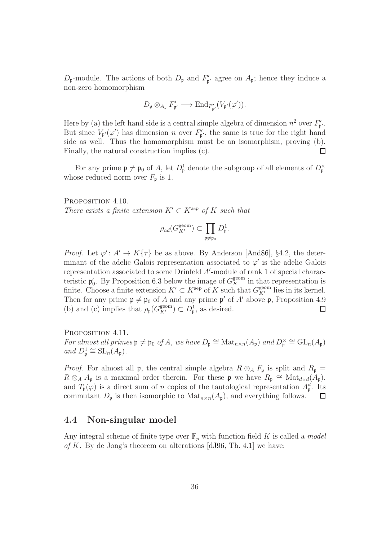$D_{\mathfrak{p}}$ -module. The actions of both  $D_{\mathfrak{p}}$  and  $F'_{\mathfrak{p}'}$  agree on  $A_{\mathfrak{p}}$ ; hence they induce a non-zero homomorphism

$$
D_{\mathfrak{p}} \otimes_{A_{\mathfrak{p}}} F'_{\mathfrak{p}'} \longrightarrow \textnormal{End}_{F'_{\mathfrak{p}'}}(V_{\mathfrak{p}'}(\varphi')).
$$

Here by (a) the left hand side is a central simple algebra of dimension  $n^2$  over  $F'_{\mathfrak{p}'}$ . But since  $V_{\mathfrak{p}'}(\varphi')$  has dimension n over  $F'_{\mathfrak{p}'}$ , the same is true for the right hand side as well. Thus the homomorphism must be an isomorphism, proving (b). Finally, the natural construction implies (c). П

For any prime  $\mathfrak{p} \neq \mathfrak{p}_0$  of A, let  $D^1_{\mathfrak{p}}$  denote the subgroup of all elements of  $D^{\times}_{\mathfrak{p}}$ whose reduced norm over  $F_{\mathfrak{p}}$  is 1.

<span id="page-35-2"></span>PROPOSITION 4.10.

There exists a finite extension  $K' \subset K^{sep}$  of K such that

$$
\rho_{\text{\rm ad}}(G_{K'}^{\text{\rm geom}})\subset \prod_{{\mathfrak{p}}\neq {\mathfrak{p}}_0}D^1_{\mathfrak{p}}.
$$

*Proof.* Let  $\varphi' : A' \to K\{\tau\}$  be as above. By Anderson [\[And86\]](#page-60-0), §4.2, the determinant of the adelic Galois representation associated to  $\varphi'$  is the adelic Galois representation associated to some Drinfeld A'-module of rank 1 of special characteristic  $\mathfrak{p}'_0$ . By Proposition [6.3](#page-55-0) below the image of  $G_K^{\text{geom}}$  in that representation is finite. Choose a finite extension  $K' \subset K^{\text{sep}}$  of K such that  $G_{K'}^{\text{geom}}$  lies in its kernel. Then for any prime  $\mathfrak{p} \neq \mathfrak{p}_0$  of A and any prime  $\mathfrak{p}'$  of A' above  $\mathfrak{p}$ , Proposition [4.9](#page-34-1) (b) and (c) implies that  $\rho_{\mathfrak{p}}(G_{K'}^{\text{geom}}) \subset D^1_{\mathfrak{p}},$  as desired.  $\Box$ 

<span id="page-35-1"></span>PROPOSITION 4.11. For almost all primes  $\mathfrak{p} \neq \mathfrak{p}_0$  of A, we have  $D_{\mathfrak{p}} \cong \text{Mat}_{n \times n}(A_{\mathfrak{p}})$  and  $D_{\mathfrak{p}}^{\times} \cong \text{GL}_n(A_{\mathfrak{p}})$ and  $D_{\mathfrak{p}}^1 \cong SL_n(A_{\mathfrak{p}}).$ 

*Proof.* For almost all p, the central simple algebra  $R \otimes_A F_p$  is split and  $R_p =$  $R \otimes_A A_{\mathfrak{p}}$  is a maximal order therein. For these  $\mathfrak{p}$  we have  $R_{\mathfrak{p}} \cong \text{Mat}_{d \times d}(A_{\mathfrak{p}})$ , and  $T_{\mathfrak{p}}(\varphi)$  is a direct sum of n copies of the tautological representation  $A_{\mathfrak{p}}^d$ . Its commutant  $D_{\mathfrak{p}}$  is then isomorphic to  $\text{Mat}_{n\times n}(A_{\mathfrak{p}})$ , and everything follows.  $\Box$ 

## <span id="page-35-0"></span>4.4 Non-singular model

Any integral scheme of finite type over  $\mathbb{F}_p$  with function field K is called a *model* of K. By de Jong's theorem on alterations [\[dJ96,](#page-60-8) Th. 4.1] we have: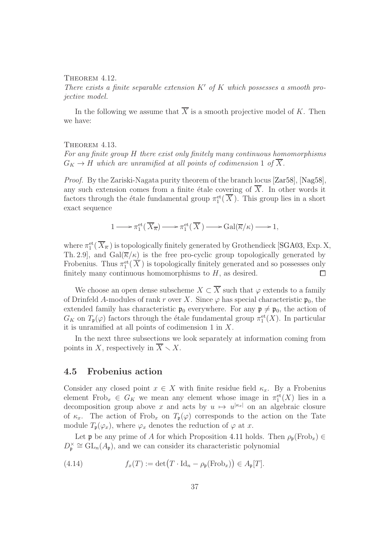#### <span id="page-36-2"></span>THEOREM 4.12.

There exists a finite separable extension  $K'$  of K which possesses a smooth projective model.

In the following we assume that  $\overline{X}$  is a smooth projective model of K. Then we have:

#### <span id="page-36-1"></span>THEOREM 4.13.

For any finite group H there exist only finitely many continuous homomorphisms  $G_K \to H$  which are unramified at all points of codimension 1 of  $\overline{X}$ .

Proof. By the Zariski-Nagata purity theorem of the branch locus [\[Zar58\]](#page-63-1), [\[Nag58\]](#page-61-9), any such extension comes from a finite étale covering of  $X$ . In other words it factors through the étale fundamental group  $\pi_1^{\text{et}}(\overline{X})$ . This group lies in a short exact sequence

$$
1 \longrightarrow \pi_1^{\text{et}}(\overline{X}_{\overline{\kappa}}) \longrightarrow \pi_1^{\text{et}}(\overline{X}) \longrightarrow \text{Gal}(\overline{\kappa}/\kappa) \longrightarrow 1,
$$

where  $\pi_1^{\text{et}}(\overline{X}_{\overline{\kappa}})$  is topologically finitely generated by Grothendieck [\[SGA03,](#page-62-4) Exp. X, Th. 2.9, and Gal( $\overline{\kappa}/\kappa$ ) is the free pro-cyclic group topologically generated by Frobenius. Thus  $\pi_1^{\text{et}}(\overline{X})$  is topologically finitely generated and so possesses only finitely many continuous homomorphisms to  $H$ , as desired.  $\Box$ 

We choose an open dense subscheme  $X \subset \overline{X}$  such that  $\varphi$  extends to a family of Drinfeld A-modules of rank r over X. Since  $\varphi$  has special characteristic  $\mathfrak{p}_0$ , the extended family has characteristic  $\mathfrak{p}_0$  everywhere. For any  $\mathfrak{p} \neq \mathfrak{p}_0$ , the action of  $G_K$  on  $T_{\mathfrak{p}}(\varphi)$  factors through the étale fundamental group  $\pi_1^{\text{et}}(X)$ . In particular it is unramified at all points of codimension 1 in X.

In the next three subsections we look separately at information coming from points in X, respectively in  $\overline{X} \setminus X$ .

#### <span id="page-36-0"></span>4.5 Frobenius action

Consider any closed point  $x \in X$  with finite residue field  $\kappa_x$ . By a Frobenius element Frob<sub>x</sub>  $\in G_K$  we mean any element whose image in  $\pi_1^{\text{et}}(X)$  lies in a decomposition group above x and acts by  $u \mapsto u^{|\kappa_x|}$  on an algebraic closure of  $\kappa_x$ . The action of Frob<sub>x</sub> on  $T_p(\varphi)$  corresponds to the action on the Tate module  $T_{\mathfrak{p}}(\varphi_x)$ , where  $\varphi_x$  denotes the reduction of  $\varphi$  at x.

Let **p** be any prime of A for which Proposition [4.11](#page-35-1) holds. Then  $\rho_{p}(\text{Frob}_{x}) \in$  $D_{\mathfrak{p}}^{\times} \cong GL_n(A_{\mathfrak{p}})$ , and we can consider its characteristic polynomial

(4.14) 
$$
f_x(T) := \det\bigl(T \cdot \text{Id}_n - \rho_{\mathfrak{p}}(\text{Frob}_x)\bigr) \in A_{\mathfrak{p}}[T].
$$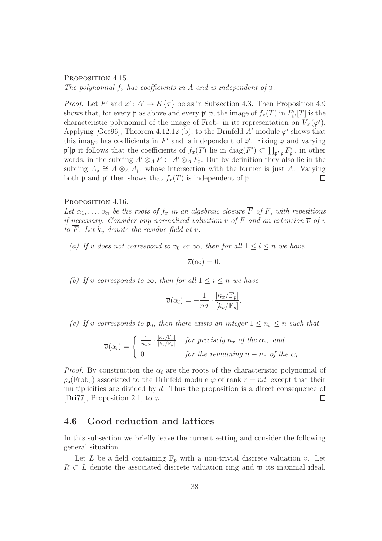<span id="page-37-1"></span>PROPOSITION 4.15. The polynomial  $f_x$  has coefficients in A and is independent of  $\mathfrak p$ .

*Proof.* Let  $F'$  and  $\varphi' : A' \to K\{\tau\}$  be as in Subsection [4.3.](#page-33-0) Then Proposition [4.9](#page-34-1) shows that, for every **p** as above and every  $\mathbf{p}'|\mathbf{p}$ , the image of  $f_x(T)$  in  $F'_{\mathbf{p}'}[T]$  is the characteristic polynomial of the image of Frob<sub>x</sub> in its representation on  $V_{p'}(\varphi')$ . Applying [\[Gos96\]](#page-61-8), Theorem 4.12.12 (b), to the Drinfeld A'-module  $\varphi'$  shows that this image has coefficients in  $F'$  and is independent of  $\mathfrak{p}'$ . Fixing  $\mathfrak{p}$  and varying  $\mathfrak{p}'| \mathfrak{p}$  it follows that the coefficients of  $f_x(T)$  lie in  $\text{diag}(F') \subset \prod_{\mathfrak{p}'| \mathfrak{p}} F'_{\mathfrak{p}'},$  in other words, in the subring  $A' \otimes_A F \subset A' \otimes_A F_p$ . But by definition they also lie in the subring  $A_{\mathfrak{p}} \cong A \otimes_A A_{\mathfrak{p}}$ , whose intersection with the former is just A. Varying both  $\mathfrak p$  and  $\mathfrak p'$  then shows that  $f_x(T)$  is independent of  $\mathfrak p$ .

#### <span id="page-37-2"></span>PROPOSITION 4.16.

Let  $\alpha_1, \ldots, \alpha_n$  be the roots of  $f_x$  in an algebraic closure  $\overline{F}$  of F, with repetitions if necessary. Consider any normalized valuation v of F and an extension  $\overline{v}$  of v to  $\overline{F}$ . Let  $k_v$  denote the residue field at v.

(a) If v does not correspond to  $\mathfrak{p}_0$  or  $\infty$ , then for all  $1 \leq i \leq n$  we have

$$
\overline{v}(\alpha_i)=0.
$$

(b) If v corresponds to  $\infty$ , then for all  $1 \leq i \leq n$  we have

$$
\overline{v}(\alpha_i) = -\frac{1}{nd} \cdot \frac{[\kappa_x/\mathbb{F}_p]}{[k_v/\mathbb{F}_p]}.
$$

(c) If v corresponds to  $\mathfrak{p}_0$ , then there exists an integer  $1 \leq n_x \leq n$  such that

 $\overline{v}(\alpha_i) = \left\{ \begin{array}{c} \frac{1}{n_x d} \cdot \frac{[\kappa_x / \mathbb{F}_p]}{[k_v / \mathbb{F}_p]} \end{array} \right.$  $\frac{[\kappa_{x}/\mathbb{F}_{p}]}{[k_{v}/\mathbb{F}_{p}]}$  for precisely  $n_{x}$  of the  $\alpha_{i}$ , and 0 for the remaining  $n - n_x$  of the  $\alpha_i$ .

*Proof.* By construction the  $\alpha_i$  are the roots of the characteristic polynomial of  $\rho_{p}(\text{Frob}_{x})$  associated to the Drinfeld module  $\varphi$  of rank  $r = nd$ , except that their multiplicities are divided by d. Thus the proposition is a direct consequence of [\[Dri77\]](#page-60-9), Proposition 2.1, to  $\varphi$ . П

## <span id="page-37-0"></span>4.6 Good reduction and lattices

In this subsection we briefly leave the current setting and consider the following general situation.

Let L be a field containing  $\mathbb{F}_p$  with a non-trivial discrete valuation v. Let  $R \subset L$  denote the associated discrete valuation ring and m its maximal ideal.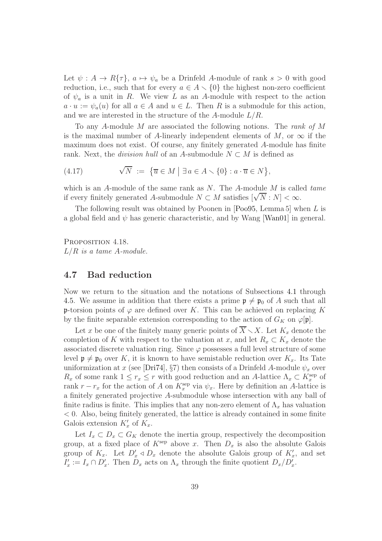Let  $\psi : A \to R\{\tau\}, a \mapsto \psi_a$  be a Drinfeld A-module of rank  $s > 0$  with good reduction, i.e., such that for every  $a \in A \setminus \{0\}$  the highest non-zero coefficient of  $\psi_a$  is a unit in R. We view L as an A-module with respect to the action  $a \cdot u := \psi_a(u)$  for all  $a \in A$  and  $u \in L$ . Then R is a submodule for this action, and we are interested in the structure of the A-module  $L/R$ .

To any A-module M are associated the following notions. The rank of M is the maximal number of A-linearly independent elements of M, or  $\infty$  if the maximum does not exist. Of course, any finitely generated A-module has finite rank. Next, the *division hull* of an A-submodule  $N \subset M$  is defined as

<span id="page-38-1"></span>(4.17) 
$$
\sqrt{N} := \{ \overline{u} \in M \mid \exists a \in A \setminus \{0\} : a \cdot \overline{u} \in N \},
$$

which is an A-module of the same rank as  $N$ . The A-module  $M$  is called tame if every finitely generated A-submodule  $N \subset M$  satisfies  $[\sqrt{N}:N] < \infty$ .

The following result was obtained by Poonen in [\[Poo95,](#page-61-10) Lemma 5] when L is a global field and  $\psi$  has generic characteristic, and by Wang [\[Wan01\]](#page-63-2) in general.

<span id="page-38-2"></span>PROPOSITION 4.18.  $L/R$  is a tame A-module.

## <span id="page-38-0"></span>4.7 Bad reduction

Now we return to the situation and the notations of Subsections [4.1](#page-30-1) through [4.5.](#page-36-0) We assume in addition that there exists a prime  $\mathfrak{p} \neq \mathfrak{p}_0$  of A such that all p-torsion points of  $\varphi$  are defined over K. This can be achieved on replacing K by the finite separable extension corresponding to the action of  $G_K$  on  $\varphi[\mathfrak{p}]$ .

Let x be one of the finitely many generic points of  $\overline{X} \setminus X$ . Let  $K_x$  denote the completion of K with respect to the valuation at x, and let  $R_x \subset K_x$  denote the associated discrete valuation ring. Since  $\varphi$  possesses a full level structure of some level  $\mathfrak{p} \neq \mathfrak{p}_0$  over K, it is known to have semistable reduction over  $K_x$ . Its Tate uniformization at x (see [\[Dri74\]](#page-60-6), §7) then consists of a Drinfeld A-module  $\psi_x$  over  $R_x$  of some rank  $1 \leq r_x \leq r$  with good reduction and an A-lattice  $\Lambda_x \subset K_x^{\text{sep}}$  of rank  $r - r_x$  for the action of A on  $K_x^{\text{sep}}$  via  $\psi_x$ . Here by definition an A-lattice is a finitely generated projective A-submodule whose intersection with any ball of finite radius is finite. This implies that any non-zero element of  $\Lambda_x$  has valuation < 0. Also, being finitely generated, the lattice is already contained in some finite Galois extension  $K'_x$  of  $K_x$ .

Let  $I_x \subset D_x \subset G_K$  denote the inertia group, respectively the decomposition group, at a fixed place of  $K^{\text{sep}}$  above x. Then  $D_x$  is also the absolute Galois group of  $K_x$ . Let  $D'_x \triangleleft D_x$  denote the absolute Galois group of  $K'_x$ , and set  $I'_x := I_x \cap D'_x$ . Then  $D_x$  acts on  $\Lambda_x$  through the finite quotient  $D_x/D'_x$ .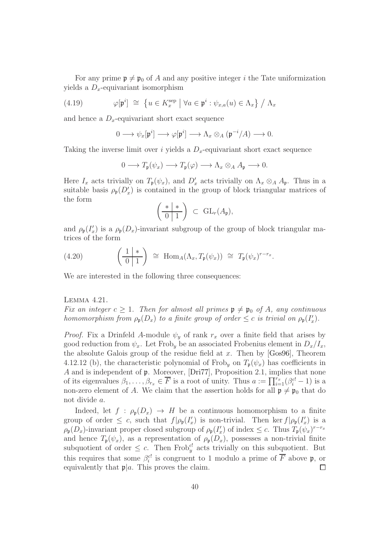For any prime  $\mathfrak{p} \neq \mathfrak{p}_0$  of A and any positive integer i the Tate uniformization yields a  $D_x$ -equivariant isomorphism

(4.19) 
$$
\varphi[\mathfrak{p}^i] \cong \{ u \in K_x^{\text{sep}} \mid \forall a \in \mathfrak{p}^i : \psi_{x,a}(u) \in \Lambda_x \} / \Lambda_x
$$

and hence a  $D_x$ -equivariant short exact sequence

<span id="page-39-0"></span>
$$
0 \longrightarrow \psi_x[\mathfrak{p}^i] \longrightarrow \varphi[\mathfrak{p}^i] \longrightarrow \Lambda_x \otimes_A (\mathfrak{p}^{-i}/A) \longrightarrow 0.
$$

Taking the inverse limit over i yields a  $D_x$ -equivariant short exact sequence

$$
0 \longrightarrow T_{\mathfrak{p}}(\psi_x) \longrightarrow T_{\mathfrak{p}}(\varphi) \longrightarrow \Lambda_x \otimes_A A_{\mathfrak{p}} \longrightarrow 0.
$$

Here  $I_x$  acts trivially on  $T_p(\psi_x)$ , and  $D'_x$  acts trivially on  $\Lambda_x \otimes_A A_p$ . Thus in a suitable basis  $\rho_{\mathfrak{p}}(D_x')$  is contained in the group of block triangular matrices of the form

$$
\left(\begin{array}{c|c} * & * \\ \hline 0 & 1 \end{array}\right) \ \subset \ GL_r(A_{\mathfrak{p}}),
$$

and  $\rho_{\mathfrak{p}}(I'_x)$  is a  $\rho_{\mathfrak{p}}(D_x)$ -invariant subgroup of the group of block triangular matrices of the form

<span id="page-39-2"></span>(4.20) 
$$
\left(\frac{1 \ast}{0 \ 1}\right) \cong \text{Hom}_{A}(\Lambda_{x}, T_{\mathfrak{p}}(\psi_{x})) \cong T_{\mathfrak{p}}(\psi_{x})^{r-r_{x}}.
$$

We are interested in the following three consequences:

#### <span id="page-39-1"></span>Lemma 4.21.

Fix an integer  $c \geq 1$ . Then for almost all primes  $\mathfrak{p} \neq \mathfrak{p}_0$  of A, any continuous homomorphism from  $\rho_{\mathfrak{p}}(D_x)$  to a finite group of order  $\leq c$  is trivial on  $\rho_{\mathfrak{p}}(I'_x)$ .

*Proof.* Fix a Drinfeld A-module  $\psi_y$  of rank  $r_x$  over a finite field that arises by good reduction from  $\psi_x$ . Let Frob<sub>y</sub> be an associated Frobenius element in  $D_x/I_x$ , the absolute Galois group of the residue field at x. Then by  $[Gos96]$ , Theorem 4.12.12 (b), the characteristic polynomial of Frob<sub>y</sub> on  $T_p(\psi_x)$  has coefficients in A and is independent of p. Moreover, [\[Dri77\]](#page-60-9), Proposition 2.1, implies that none of its eigenvalues  $\beta_1, \ldots, \beta_{r_x} \in \overline{F}$  is a root of unity. Thus  $a := \prod_{i=1}^{r_x} (\beta_i^{c!} - 1)$  is a non-zero element of A. We claim that the assertion holds for all  $\mathfrak{p} \neq \mathfrak{p}_0$  that do not divide a.

Indeed, let  $f : \rho_{p}(D_{x}) \to H$  be a continuous homomorphism to a finite group of order  $\leq c$ , such that  $f|\rho_{\mathfrak{p}}(I_x')$  is non-trivial. Then ker  $f|\rho_{\mathfrak{p}}(I_x')$  is a  $\rho_{\mathfrak{p}}(D_x)$ -invariant proper closed subgroup of  $\rho_{\mathfrak{p}}(I'_x)$  of index  $\leq c$ . Thus  $T_{\mathfrak{p}}(\psi_x)^{r-r_x}$ and hence  $T_{\mathfrak{p}}(\psi_x)$ , as a representation of  $\rho_{\mathfrak{p}}(D_x)$ , possesses a non-trivial finite subquotient of order  $\leq c$ . Then Frob<sup>c</sup> acts trivially on this subquotient. But this requires that some  $\beta_i^{cl}$  is congruent to 1 modulo a prime of  $\overline{F}$  above  $\mathfrak{p}$ , or equivalently that  $\mathfrak{p}|a$ . This proves the claim.  $\Box$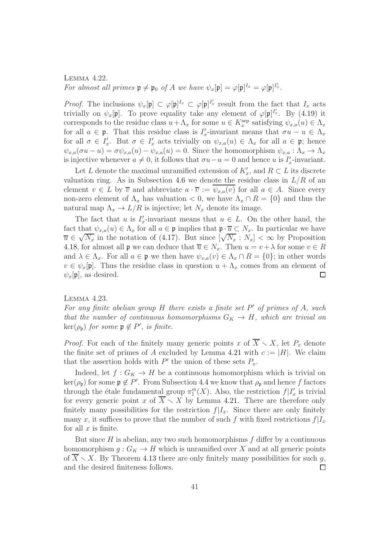## <span id="page-40-0"></span>Lemma 4.22. For almost all primes  $\mathfrak{p} \neq \mathfrak{p}_0$  of A we have  $\psi_x[\mathfrak{p}] = \varphi[\mathfrak{p}]^{I_x} = \varphi[\mathfrak{p}]^{I'_x}$ .

*Proof.* The inclusions  $\psi_x[\mathfrak{p}] \subset \varphi[\mathfrak{p}]^{I_x} \subset \varphi[\mathfrak{p}]^{I_x'}$  result from the fact that  $I_x$  acts trivially on  $\psi_x[\mathfrak{p}]$ . To prove equality take any element of  $\varphi[\mathfrak{p}]^{I_x'}$ . By [\(4.19\)](#page-39-0) it corresponds to the residue class  $u + \Lambda_x$  for some  $u \in K_x^{\text{sep}}$  satisfying  $\psi_{x,a}(u) \in \Lambda_x$ for all  $a \in \mathfrak{p}$ . That this residue class is  $I'_x$ -invariant means that  $\sigma u - u \in \Lambda_x$ for all  $\sigma \in I'_x$ . But  $\sigma \in I'_x$  acts trivially on  $\psi_{x,a}(u) \in \Lambda_x$  for all  $a \in \mathfrak{p}$ ; hence  $\psi_{x,a}(\sigma u - u) = \sigma \psi_{x,a}(u) - \psi_{x,a}(u) = 0.$  Since the homomorphism  $\psi_{x,a} : \Lambda_x \to \Lambda_x$ is injective whenever  $a \neq 0$ , it follows that  $\sigma u - u = 0$  and hence u is  $I'_x$ -invariant.

Let L denote the maximal unramified extension of  $K'_x$ , and  $R \subset L$  its discrete valuation ring. As in Subsection [4.6](#page-37-0) we denote the residue class in  $L/R$  of an element  $v \in L$  by  $\overline{v}$  and abbreviate  $a \cdot \overline{v} := \psi_{x,a}(v)$  for all  $a \in A$ . Since every non-zero element of  $\Lambda_x$  has valuation  $\lt 0$ , we have  $\Lambda_x \cap R = \{0\}$  and thus the natural map  $\Lambda_x \to L/R$  is injective; let  $N_x$  denote its image.

The fact that u is  $I'_x$ -invariant means that  $u \in L$ . On the other hand, the fact that  $\psi_{x,a}(u) \in \Lambda_x$  for all  $a \in \mathfrak{p}$  implies that  $\mathfrak{p} \cdot \overline{u} \subset N_x$ . In particular we have  $\overline{u} \in \sqrt{N_x}$  in the notation of [\(4.17\)](#page-38-1). But since  $[\sqrt{N_x} : N_x] < \infty$  by Proposition [4.18,](#page-38-2) for almost all **p** we can deduce that  $\overline{u} \in N_x$ . Then  $u = v + \lambda$  for some  $v \in R$ and  $\lambda \in \Lambda_x$ . For all  $a \in \mathfrak{p}$  we then have  $\psi_{x,a}(v) \in \Lambda_x \cap R = \{0\}$ ; in other words  $v \in \psi_x[\mathfrak{p}]$ . Thus the residue class in question  $u + \Lambda_x$  comes from an element of  $\psi_x[\mathfrak{p}]$ , as desired.  $\psi_x[\mathfrak{p}],$  as desired.

<span id="page-40-1"></span>Lemma 4.23.

For any finite abelian group  $H$  there exists a finite set  $P'$  of primes of  $A$ , such that the number of continuous homomorphisms  $G_K \to H$ , which are trivial on  $\ker(\rho_{\mathfrak{p}})$  for some  $\mathfrak{p} \notin P'$ , is finite.

*Proof.* For each of the finitely many generic points x of  $\overline{X} \setminus X$ , let  $P_x$  denote the finite set of primes of A excluded by Lemma [4.21](#page-39-1) with  $c := |H|$ . We claim that the assertion holds with  $P'$  the union of these sets  $P_x$ .

Indeed, let  $f: G_K \to H$  be a continuous homomorphism which is trivial on  $\ker(\rho_{\mathfrak{p}})$  for some  $\mathfrak{p} \notin P'$ . From Subsection [4.4](#page-35-0) we know that  $\rho_{\mathfrak{p}}$  and hence f factors through the étale fundamental group  $\pi_1^{\text{et}}(X)$ . Also, the restriction  $f|I'_x$  is trivial for every generic point x of  $\overline{X} \setminus X$  by Lemma [4.21.](#page-39-1) There are therefore only finitely many possibilities for the restriction  $f|I_x$ . Since there are only finitely many x, it suffices to prove that the number of such f with fixed restrictions  $f|I_x$ for all  $x$  is finite.

But since  $H$  is abelian, any two such homomorphisms  $f$  differ by a continuous homomorphism  $g: G_K \to H$  which is unramified over X and at all generic points of  $X \setminus X$ . By Theorem [4.13](#page-36-1) there are only finitely many possibilities for such g, and the desired finiteness follows.  $\Box$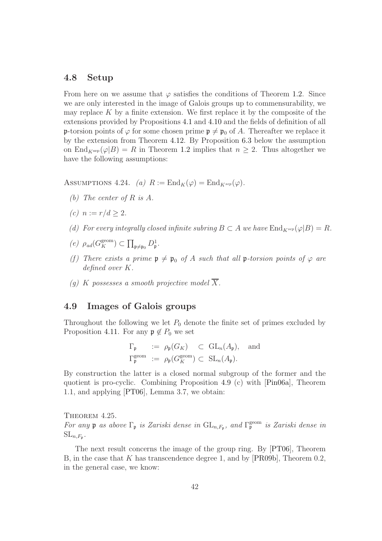## <span id="page-41-0"></span>4.8 Setup

From here on we assume that  $\varphi$  satisfies the conditions of Theorem [1.2.](#page-3-0) Since we are only interested in the image of Galois groups up to commensurability, we may replace  $K$  by a finite extension. We first replace it by the composite of the extensions provided by Propositions [4.1](#page-30-2) and [4.10](#page-35-2) and the fields of definition of all p-torsion points of  $\varphi$  for some chosen prime  $\mathfrak{p} \neq \mathfrak{p}_0$  of A. Thereafter we replace it by the extension from Theorem [4.12.](#page-36-2) By Proposition [6.3](#page-55-0) below the assumption on End<sub>Ksep</sub>( $\varphi|B$ ) = R in Theorem [1.2](#page-3-0) implies that  $n \geq 2$ . Thus altogether we have the following assumptions:

ASSUMPTIONS 4.24. (a)  $R := \text{End}_K(\varphi) = \text{End}_{K^{sep}}(\varphi)$ .

- (b) The center of R is A.
- (c)  $n := r/d > 2$ .
- (d) For every integrally closed infinite subring  $B \subset A$  we have  $\text{End}_{K^{sep}}(\varphi|B) = R$ .
- $(e)$   $\rho_{ad}(G_K^{\text{geom}}) \subset \prod_{\mathfrak{p}\neq \mathfrak{p}_0} D^1_{\mathfrak{p}}.$
- (f) There exists a prime  $\mathfrak{p} \neq \mathfrak{p}_0$  of A such that all p-torsion points of  $\varphi$  are defined over K.
- (g) K possesses a smooth projective model  $\overline{X}$ .

## <span id="page-41-1"></span>4.9 Images of Galois groups

Throughout the following we let  $P_0$  denote the finite set of primes excluded by Proposition [4.11.](#page-35-1) For any  $\mathfrak{p} \notin P_0$  we set

$$
\Gamma_{\mathfrak{p}} := \rho_{\mathfrak{p}}(G_K) \subset \text{GL}_n(A_{\mathfrak{p}}), \text{ and}
$$
  

$$
\Gamma_{\mathfrak{p}}^{\text{geom}} := \rho_{\mathfrak{p}}(G_K^{\text{geom}}) \subset \text{SL}_n(A_{\mathfrak{p}}).
$$

By construction the latter is a closed normal subgroup of the former and the quotient is pro-cyclic. Combining Proposition [4.9](#page-34-1) (c) with [\[Pin06a\]](#page-61-1), Theorem 1.1, and applying [\[PT06\]](#page-62-1), Lemma 3.7, we obtain:

<span id="page-41-2"></span>THEOREM 4.25. For any p as above  $\Gamma_{\mathfrak{p}}$  is Zariski dense in  $\mathrm{GL}_{n,F_{\mathfrak{p}}},$  and  $\Gamma_{\mathfrak{p}}^{\text{geom}}$  is Zariski dense in  $\mathrm{SL}_{n,\mathbb{F}_\mathfrak{p}}$ .

The next result concerns the image of the group ring. By [\[PT06\]](#page-62-1), Theorem B, in the case that K has transcendence degree 1, and by [\[PR09b\]](#page-62-5), Theorem 0.2, in the general case, we know: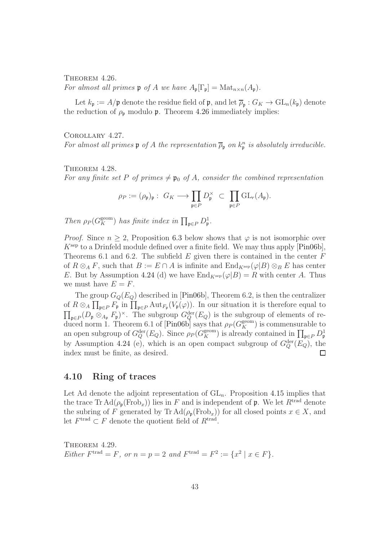<span id="page-42-1"></span>THEOREM 4.26.

For almost all primes  $\mathfrak p$  of A we have  $A_{\mathfrak p}[\Gamma_{\mathfrak p}]=\mathrm{Mat}_{n\times n}(A_{\mathfrak p}).$ 

Let  $k_{\mathfrak{p}} := A/\mathfrak{p}$  denote the residue field of  $\mathfrak{p}$ , and let  $\overline{\rho}_{\mathfrak{p}} : G_K \to \text{GL}_n(k_{\mathfrak{p}})$  denote the reduction of  $\rho_{p}$  modulo p. Theorem [4.26](#page-42-1) immediately implies:

<span id="page-42-4"></span>Corollary 4.27.

For almost all primes  $\mathfrak p$  of A the representation  $\overline{\rho}_{\mathfrak p}$  on  $k_{\mathfrak p}^n$  is absolutely irreducible.

<span id="page-42-2"></span>THEOREM 4.28.

For any finite set P of primes  $\neq$  p<sub>0</sub> of A, consider the combined representation

$$
\rho_P := (\rho_{\mathfrak{p}})_{\mathfrak{p}} : G_K \longrightarrow \prod_{\mathfrak{p} \in P} D_{\mathfrak{p}}^{\times} \subset \prod_{\mathfrak{p} \in P} GL_r(A_{\mathfrak{p}}).
$$

Then  $\rho_P(G_K^{\text{geom}})$  has finite index in  $\prod_{\mathfrak{p}\in P} D^1_{\mathfrak{p}}$ .

*Proof.* Since  $n \geq 2$ , Proposition [6.3](#page-55-0) below shows that  $\varphi$  is not isomorphic over  $K<sup>sep</sup>$  to a Drinfeld module defined over a finite field. We may thus apply  $[Pin06b]$ , Theorems 6.1 and 6.2. The subfield  $E$  given there is contained in the center  $F$ of  $R \otimes_A F$ , such that  $B := E \cap A$  is infinite and  $\text{End}_{K^{\text{sep}}}(\varphi|B) \otimes_B E$  has center E. But by Assumption 4.24 (d) we have  $\text{End}_{K^{\text{sep}}}(\varphi|B) = R$  with center A. Thus we must have  $E = F$ .

The group  $G<sub>O</sub>(E<sub>O</sub>)$  described in [\[Pin06b\]](#page-61-0), Theorem 6.2, is then the centralizer of  $R \otimes_A \prod_{\mathfrak{p}\in P} F_{\mathfrak{p}}$  in  $\prod_{\mathfrak{p}\in P} \text{Aut}_{F_{\mathfrak{p}}}(V_{\mathfrak{p}}(\varphi))$ . In our situation it is therefore equal to  $\prod_{\mathfrak{p}\in P}(D_{\mathfrak{p}}\otimes_{A_{\mathfrak{p}}}F_{\mathfrak{p}})^{\times}$ . The subgroup  $G_Q^{\text{der}}(E_Q)$  is the subgroup of elements of re-duced norm 1. Theorem 6.1 of [\[Pin06b\]](#page-61-0) says that  $\rho_P(G_K^{\text{geom}})$  is commensurable to an open subgroup of  $G_Q^{\text{der}}(E_Q)$ . Since  $\rho_P(G_K^{\text{geom}})$  is already contained in  $\prod_{\mathfrak{p}\in P} D^1_{\mathfrak{p}}$ by Assumption 4.24 (e), which is an open compact subgroup of  $G_Q^{\text{der}}(E_Q)$ , the index must be finite, as desired. П

## <span id="page-42-0"></span>4.10 Ring of traces

Let Ad denote the adjoint representation of  $GL_n$ . Proposition [4.15](#page-37-1) implies that the trace  $\text{Tr }\text{Ad}(\rho_{\mathfrak{p}}(\text{Frob}_x))$  lies in F and is independent of **p**. We let  $R^{\text{trad}}$  denote the subring of F generated by Tr  $\text{Ad}(\rho_{n}(\text{Frob}_{x}))$  for all closed points  $x \in X$ , and let  $F^{\text{trad}} \subset F$  denote the quotient field of  $R^{\text{trad}}$ .

<span id="page-42-3"></span>THEOREM 4.29. Either  $F^{\text{trad}} = F$ , or  $n = p = 2$  and  $F^{\text{trad}} = F^2 := \{x^2 \mid x \in F\}.$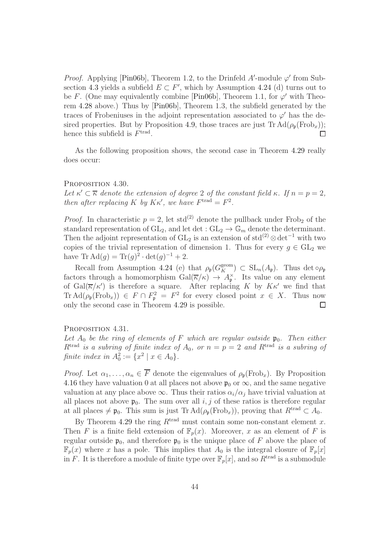*Proof.* Applying [\[Pin06b\]](#page-61-0), Theorem 1.2, to the Drinfeld  $A'$ -module  $\varphi'$  from Sub-section [4.3](#page-33-0) yields a subfield  $E \subset F'$ , which by Assumption 4.24 (d) turns out to be F. (One may equivalently combine [\[Pin06b\]](#page-61-0), Theorem 1.1, for  $\varphi'$  with Theorem [4.28](#page-42-2) above.) Thus by [\[Pin06b\]](#page-61-0), Theorem 1.3, the subfield generated by the traces of Frobeniuses in the adjoint representation associated to  $\varphi'$  has the de-sired properties. But by Proposition [4.9,](#page-34-1) those traces are just  $\text{Tr} \, \text{Ad}(\rho_{\text{p}}(\text{Frob}_x));$ hence this subfield is  $F<sup>trad</sup>$ .  $\Box$ 

As the following proposition shows, the second case in Theorem [4.29](#page-42-3) really does occur:

#### <span id="page-43-0"></span>PROPOSITION 4.30.

Let  $\kappa' \subset \overline{\kappa}$  denote the extension of degree 2 of the constant field  $\kappa$ . If  $n = p = 2$ , then after replacing K by  $K\kappa'$ , we have  $F^{\text{trad}} = F^2$ .

*Proof.* In characteristic  $p = 2$ , let std<sup>(2)</sup> denote the pullback under Frob<sub>2</sub> of the standard representation of  $GL_2$ , and let det :  $GL_2 \to \mathbb{G}_m$  denote the determinant. Then the adjoint representation of  $GL_2$  is an extension of  $std^{(2)} \otimes det^{-1}$  with two copies of the trivial representation of dimension 1. Thus for every  $g \in GL_2$  we have  $\text{Tr } \text{Ad}(g) = \text{Tr}(g)^2 \cdot \det(g)^{-1} + 2.$ 

Recall from Assumption 4.24 (e) that  $\rho_{\mathfrak{p}}(G_K^{\text{geom}}) \subset SL_n(A_{\mathfrak{p}})$ . Thus det  $\circ \rho_{\mathfrak{p}}$ factors through a homomorphism  $Gal(\overline{\kappa}/\kappa) \rightarrow A_{\mathfrak{p}}^{\times}$ . Its value on any element of  $Gal(\overline{\kappa}/\kappa')$  is therefore a square. After replacing K by  $K\kappa'$  we find that  $\text{Tr} \,\text{Ad}(\rho_{\mathfrak{p}}(\text{Frob}_x)) \in F \cap F_{\mathfrak{p}}^2 = F^2$  for every closed point  $x \in X$ . Thus now only the second case in Theorem [4.29](#page-42-3) is possible.

#### <span id="page-43-1"></span>PROPOSITION 4.31.

Let  $A_0$  be the ring of elements of F which are regular outside  $\mathfrak{p}_0$ . Then either  $R^{\text{trad}}$  is a subring of finite index of  $A_0$ , or  $n = p = 2$  and  $R^{\text{trad}}$  is a subring of finite index in  $A_0^2 := \{x^2 \mid x \in A_0\}.$ 

*Proof.* Let  $\alpha_1, \ldots, \alpha_n \in \overline{F}$  denote the eigenvalues of  $\rho_{p}(\text{Frob}_{x})$ . By Proposition [4.16](#page-37-2) they have valuation 0 at all places not above  $\mathfrak{p}_0$  or  $\infty$ , and the same negative valuation at any place above  $\infty$ . Thus their ratios  $\alpha_i/\alpha_j$  have trivial valuation at all places not above  $\mathfrak{p}_0$ . The sum over all i, j of these ratios is therefore regular at all places  $\neq \mathfrak{p}_0$ . This sum is just Tr Ad( $\rho_{\mathfrak{p}}(\text{Frob}_x)$ ), proving that  $R^{\text{trad}} \subset A_0$ .

By Theorem [4.29](#page-42-3) the ring  $R<sup>trad</sup>$  must contain some non-constant element x. Then F is a finite field extension of  $\mathbb{F}_p(x)$ . Moreover, x as an element of F is regular outside  $\mathfrak{p}_0$ , and therefore  $\mathfrak{p}_0$  is the unique place of F above the place of  $\mathbb{F}_p(x)$  where x has a pole. This implies that  $A_0$  is the integral closure of  $\mathbb{F}_p[x]$ in F. It is therefore a module of finite type over  $\mathbb{F}_p[x]$ , and so  $R^{\text{trad}}$  is a submodule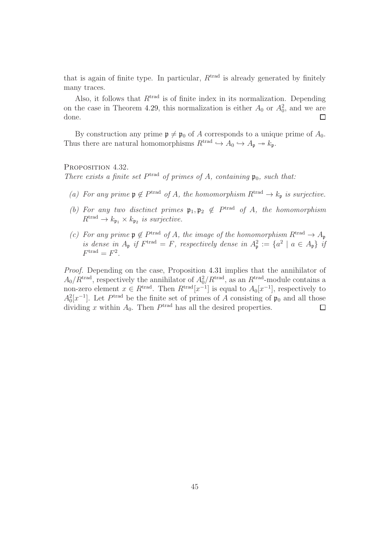that is again of finite type. In particular,  $R<sup>trad</sup>$  is already generated by finitely many traces.

Also, it follows that  $R^{trad}$  is of finite index in its normalization. Depending on the case in Theorem [4.29,](#page-42-3) this normalization is either  $A_0$  or  $A_0^2$ , and we are done.  $\Box$ 

By construction any prime  $\mathfrak{p} \neq \mathfrak{p}_0$  of A corresponds to a unique prime of  $A_0$ . Thus there are natural homomorphisms  $R^{\text{trad}} \hookrightarrow A_0 \hookrightarrow A_{\mathfrak{p}} \rightarrow k_{\mathfrak{p}}$ .

#### <span id="page-44-0"></span>PROPOSITION 4.32.

There exists a finite set  $P<sup>trad</sup>$  of primes of A, containing  $\mathfrak{p}_0$ , such that:

- (a) For any prime  $\mathfrak{p} \notin P^{\text{trad}}$  of A, the homomorphism  $R^{\text{trad}} \to k_{\mathfrak{p}}$  is surjective.
- (b) For any two disctinct primes  $\mathfrak{p}_1, \mathfrak{p}_2 \notin P^{\text{trad}}$  of A, the homomorphism  $R<sup>trad</sup> \rightarrow k_{\mathfrak{p}_1} \times k_{\mathfrak{p}_2}$  is surjective.
- (c) For any prime  $\mathfrak{p} \notin P^{\text{trad}}$  of A, the image of the homomorphism  $R^{\text{trad}} \to A_{\mathfrak{p}}$ <sup>trad</sup> of A, the image of the homomorphism  $R^{\text{trad}} \to A_{\mathfrak{p}}$ is dense in  $A_{\mathfrak{p}}$  if  $F^{\text{trad}} = F$ , respectively dense in  $A_{\mathfrak{p}}^2 := \{a^2 \mid a \in A_{\mathfrak{p}}\}$  if  $F^{\text{trad}} = F^2$ .

Proof. Depending on the case, Proposition [4.31](#page-43-1) implies that the annihilator of  $A_0/R^{\text{trad}}$ , respectively the annihilator of  $A_0^2/R^{\text{trad}}$ , as an  $R^{\text{trad}}$ -module contains a non-zero element  $x \in R^{\text{trad}}$ . Then  $R^{\text{trad}}[x^{-1}]$  is equal to  $A_0[x^{-1}]$ , respectively to  $A_0^2[x^{-1}]$ . Let  $P<sup>trad</sup>$  be the finite set of primes of A consisting of  $\mathfrak{p}_0$  and all those dividing x within  $A_0$ . Then  $P<sup>trad</sup>$  has all the desired properties.  $\Box$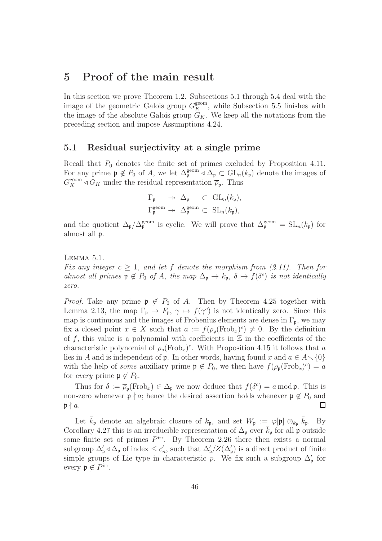# <span id="page-45-0"></span>5 Proof of the main result

In this section we prove Theorem [1.2.](#page-3-0) Subsections [5.1](#page-45-1) through [5.4](#page-51-0) deal with the image of the geometric Galois group  $G_K^{\text{geom}}$ , while Subsection [5.5](#page-52-0) finishes with the image of the absolute Galois group  $G_K$ . We keep all the notations from the preceding section and impose Assumptions 4.24.

### <span id="page-45-1"></span>5.1 Residual surjectivity at a single prime

Recall that  $P_0$  denotes the finite set of primes excluded by Proposition [4.11.](#page-35-1) For any prime  $\mathfrak{p} \notin P_0$  of A, we let  $\Delta_{\mathfrak{p}}^{\text{geom}} \triangleleft \Delta_{\mathfrak{p}} \subset GL_n(k_{\mathfrak{p}})$  denote the images of  $G_K^{\text{geom}} \triangleleft G_K$  under the residual representation  $\overline{\rho}_{\text{p}}$ . Thus

$$
\begin{array}{ccc}\Gamma_{\mathfrak{p}}&\twoheadrightarrow&\Delta_{\mathfrak{p}}&\subset&\mathrm{GL}_n(k_{\mathfrak{p}}),\\ \Gamma_{\mathfrak{p}}^{\text{geom}}&\twoheadrightarrow&\Delta_{\mathfrak{p}}^{\text{geom}}&\subset&\mathrm{SL}_n(k_{\mathfrak{p}}),\end{array}
$$

and the quotient  $\Delta_{\mathfrak{p}}/\Delta_{\mathfrak{p}}^{\text{geom}}$  is cyclic. We will prove that  $\Delta_{\mathfrak{p}}^{\text{geom}} = SL_n(k_{\mathfrak{p}})$  for almost all p.

<span id="page-45-2"></span>Lemma 5.1.

Fix any integer  $c \geq 1$ , and let f denote the morphism from [\(2.11\)](#page-10-2). Then for almost all primes  $\mathfrak{p} \notin P_0$  of A, the map  $\Delta_{\mathfrak{p}} \to k_{\mathfrak{p}}$ ,  $\delta \mapsto f(\delta^c)$  is not identically zero.

*Proof.* Take any prime  $p \notin P_0$  of A. Then by Theorem [4.25](#page-41-2) together with Lemma [2.13,](#page-11-3) the map  $\Gamma_{\mathfrak{p}} \to F_{\mathfrak{p}}, \gamma \mapsto f(\gamma^c)$  is not identically zero. Since this map is continuous and the images of Frobenius elements are dense in  $\Gamma_{\mathfrak{p}}$ , we may fix a closed point  $x \in X$  such that  $a := f(\rho_{\mathfrak{p}}(\text{Frob}_x)^c) \neq 0$ . By the definition of f, this value is a polynomial with coefficients in  $\mathbb Z$  in the coefficients of the characteristic polynomial of  $\rho_{p}(\text{Frob}_{x})^{c}$ . With Proposition [4.15](#page-37-1) it follows that a lies in A and is independent of **p**. In other words, having found x and  $a \in A \setminus \{0\}$ with the help of some auxiliary prime  $\mathfrak{p} \notin P_0$ , we then have  $f(\rho_{\mathfrak{p}}(\text{Frob}_x)^c) = a$ for *every* prime  $\mathfrak{p} \notin P_0$ .

Thus for  $\delta := \overline{\rho}_{\mathfrak{p}}(\text{Frob}_x) \in \Delta_{\mathfrak{p}}$  we now deduce that  $f(\delta^c) = a \mod \mathfrak{p}$ . This is non-zero whenever  $\mathfrak{p} \nmid a$ ; hence the desired assertion holds whenever  $\mathfrak{p} \notin P_0$  and  $\mathfrak{p} \nmid a$ .  $\mathfrak{p} \nmid a$ .

Let  $\bar{k}_{\mathfrak{p}}$  denote an algebraic closure of  $k_{\mathfrak{p}}$ , and set  $W_{\mathfrak{p}} := \varphi[\mathfrak{p}] \otimes_{k_{\mathfrak{p}}} \bar{k}_{\mathfrak{p}}$ . By Corollary [4.27](#page-42-4) this is an irreducible representation of  $\Delta_{\mathfrak{p}}$  over  $k_{\mathfrak{p}}$  for all p outside some finite set of primes  $P<sup>irr</sup>$ . By Theorem [2.26](#page-18-0) there then exists a normal subgroup  $\Delta'_{\mathfrak{p}} \triangleleft \Delta_{\mathfrak{p}}$  of index  $\leq c'_n$ , such that  $\Delta'_{\mathfrak{p}}/Z(\Delta'_{\mathfrak{p}})$  is a direct product of finite simple groups of Lie type in characteristic p. We fix such a subgroup  $\Delta'_{p}$  for every  $\mathfrak{p} \notin P^{\text{irr}}$ .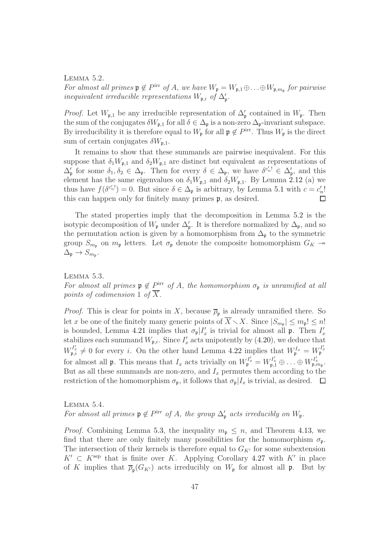<span id="page-46-0"></span>Lemma 5.2. For almost all primes  $\mathfrak{p} \notin P^{\text{irr}}$  of A, we have  $W_{\mathfrak{p}} = W_{\mathfrak{p},1} \oplus \ldots \oplus W_{\mathfrak{p},m_{\mathfrak{p}}}$  for pairwise inequivalent irreducible representations  $W_{\mathfrak{p},i}$  of  $\Delta'_{\mathfrak{p}}$ .

*Proof.* Let  $W_{\mathfrak{p},1}$  be any irreducible representation of  $\Delta'_{\mathfrak{p}}$  contained in  $W_{\mathfrak{p}}$ . Then the sum of the conjugates  $\delta W_{\mathfrak{p},1}$  for all  $\delta \in \Delta_{\mathfrak{p}}$  is a non-zero  $\Delta_{\mathfrak{p}}$ -invariant subspace. By irreducibility it is therefore equal to  $W_{\mathfrak{p}}$  for all  $\mathfrak{p} \notin P^{\text{irr}}$ . Thus  $W_{\mathfrak{p}}$  is the direct sum of certain conjugates  $\delta W_{\mathfrak{p},1}$ .

It remains to show that these summands are pairwise inequivalent. For this suppose that  $\delta_1 W_{\mathfrak{p},1}$  and  $\delta_2 W_{\mathfrak{p},1}$  are distinct but equivalent as representations of  $\Delta'_{\mathfrak{p}}$  for some  $\delta_1, \delta_2 \in \Delta_{\mathfrak{p}}$ . Then for every  $\delta \in \Delta_{\mathfrak{p}}$ , we have  $\delta^{c'_n!} \in \Delta'_{\mathfrak{p}}$ , and this element has the same eigenvalues on  $\delta_1 W_{\mathfrak{p},1}$  and  $\delta_2 W_{\mathfrak{p},1}$ . By Lemma [2.12](#page-11-2) (a) we thus have  $f(\delta^{c'_n!}) = 0$ . But since  $\delta \in \Delta_p$  is arbitrary, by Lemma [5.1](#page-45-2) with  $c = c'_n!$ this can happen only for finitely many primes p, as desired.

The stated properties imply that the decomposition in Lemma [5.2](#page-46-0) is the isotypic decomposition of  $W_{\mathfrak{p}}$  under  $\Delta'_{\mathfrak{p}}$ . It is therefore normalized by  $\Delta_{\mathfrak{p}}$ , and so the permutation action is given by a homomorphism from  $\Delta_{\mathfrak{p}}$  to the symmetric group  $S_{m_p}$  on  $m_p$  letters. Let  $\sigma_p$  denote the composite homomorphism  $G_K \rightarrow$  $\Delta_{\mathfrak{p}} \to S_{m_{\mathfrak{p}}}.$ 

<span id="page-46-1"></span>Lemma 5.3.

For almost all primes  $\mathfrak{p} \notin P^{\text{irr}}$  of A, the homomorphism  $\sigma_{\mathfrak{p}}$  is unramified at all points of codimension 1 of  $\overline{X}$ .

*Proof.* This is clear for points in X, because  $\overline{\rho}_{p}$  is already unramified there. So let x be one of the finitely many generic points of  $X \setminus X$ . Since  $|S_{m_p}| \le m_p! \le n!$ is bounded, Lemma [4.21](#page-39-1) implies that  $\sigma_{\mathfrak{p}}|I'_x$  is trivial for almost all  $\mathfrak{p}$ . Then  $I'_x$ stabilizes each summand  $W_{\mathfrak{p},i}$ . Since  $I'_x$  acts unipotently by [\(4.20\)](#page-39-2), we deduce that  $W_{\mathfrak{p},i}^{I_x'} \neq 0$  for every i. On the other hand Lemma [4.22](#page-40-0) implies that  $W_{\mathfrak{p}}^{I_x} = W_{\mathfrak{p}}^{I_x'}$ for almost all **p**. This means that  $I_x$  acts trivially on  $W_{\mathfrak{p}}^{I'_x} = W_{\mathfrak{p},1}^{I'_x} \oplus \ldots \oplus W_{\mathfrak{p},m_{\mathfrak{p}}}^{I'_x}$ . But as all these summands are non-zero, and  $I_x$  permutes them according to the restriction of the homomorphism  $\sigma_{\mathfrak{p}}$ , it follows that  $\sigma_{\mathfrak{p}}|I_x$  is trivial, as desired.  $\Box$ 

<span id="page-46-2"></span>Lemma 5.4. For almost all primes  $\mathfrak{p} \notin P^{\text{irr}}$  of A, the group  $\Delta_{\mathfrak{p}}'$  acts irreducibly on  $W_{\mathfrak{p}}$ .

*Proof.* Combining Lemma [5.3,](#page-46-1) the inequality  $m_p \leq n$ , and Theorem [4.13,](#page-36-1) we find that there are only finitely many possibilities for the homomorphism  $\sigma_{p}$ . The intersection of their kernels is therefore equal to  $G_{K'}$  for some subextension  $K' \subset K^{\text{sep}}$  that is finite over K. Applying Corollary [4.27](#page-42-4) with  $K'$  in place of K implies that  $\overline{\rho}_{\mathfrak{p}}(G_{K'})$  acts irreducibly on  $W_{\mathfrak{p}}$  for almost all  $\mathfrak{p}$ . But by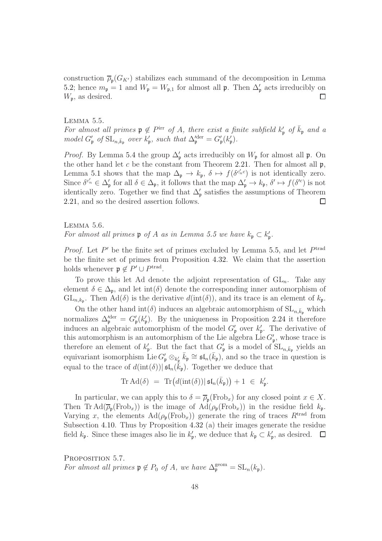construction  $\overline{\rho}_{\mathfrak{p}}(G_{K'})$  stabilizes each summand of the decomposition in Lemma [5.2;](#page-46-0) hence  $m_{\mathfrak{p}} = 1$  and  $W_{\mathfrak{p}} = W_{\mathfrak{p},1}$  for almost all  $\mathfrak{p}$ . Then  $\Delta'_{\mathfrak{p}}$  acts irreducibly on  $W_{\mathfrak{p}}$ , as desired.  $\Box$ 

<span id="page-47-0"></span>Lemma 5.5. For almost all primes  $\mathfrak{p} \notin P^{\text{irr}}$  of A, there exist a finite subfield  $k'_{\mathfrak{p}}$  of  $\bar{k}_{\mathfrak{p}}$  and a model  $G'_{\mathfrak{p}}$  of  $\text{SL}_{n,\bar{k}_{\mathfrak{p}}}$  over  $k'_{\mathfrak{p}}$ , such that  $\Delta'^{\text{der}}_{\mathfrak{p}} = G'_{\mathfrak{p}}(k'_{\mathfrak{p}})$ .

*Proof.* By Lemma [5.4](#page-46-2) the group  $\Delta'_{\mathfrak{p}}$  acts irreducibly on  $W_{\mathfrak{p}}$  for almost all  $\mathfrak{p}$ . On the other hand let c be the constant from Theorem [2.21.](#page-16-0) Then for almost all  $\mathfrak{p}$ , Lemma [5.1](#page-45-2) shows that the map  $\Delta_{\mathfrak{p}} \to k_{\mathfrak{p}}, \delta \mapsto f(\delta^{c'_n c})$  is not identically zero. Since  $\delta^{c'_n} \in \Delta'_{\mathfrak{p}}$  for all  $\delta \in \Delta_{\mathfrak{p}}$ , it follows that the map  $\Delta'_{\mathfrak{p}} \to k_{\mathfrak{p}}, \delta' \mapsto f(\delta'^c)$  is not identically zero. Together we find that  $\Delta'_{\mathfrak{p}}$  satisfies the assumptions of Theorem [2.21,](#page-16-0) and so the desired assertion follows.  $\Box$ 

<span id="page-47-1"></span>Lemma 5.6. For almost all primes  $\mathfrak p$  of A as in Lemma [5.5](#page-47-0) we have  $k_{\mathfrak p} \subset k'_{\mathfrak p}$ .

*Proof.* Let  $P'$  be the finite set of primes excluded by Lemma [5.5,](#page-47-0) and let  $P<sup>trad</sup>$ be the finite set of primes from Proposition [4.32.](#page-44-0) We claim that the assertion holds whenever  $\mathfrak{p} \notin P' \cup P^{\text{trad}}$ .

To prove this let Ad denote the adjoint representation of  $GL_n$ . Take any element  $\delta \in \Delta_{p}$ , and let int( $\delta$ ) denote the corresponding inner automorphism of  $GL_{n,k_p}$ . Then  $Ad(\delta)$  is the derivative  $d(int(\delta))$ , and its trace is an element of  $k_p$ .

On the other hand  $\text{int}(\delta)$  induces an algebraic automorphism of  $\text{SL}_{n,\bar{k}_p}$  which normalizes  $\Delta_{\mathfrak{p}}^{\prime \text{der}} = G_{\mathfrak{p}}^{\prime}(k_{\mathfrak{p}}^{\prime})$ . By the uniqueness in Proposition [2.24](#page-17-2) it therefore induces an algebraic automorphism of the model  $G'_{\mathfrak{p}}$  over  $k'_{\mathfrak{p}}$ . The derivative of this automorphism is an automorphism of the Lie algebra Lie  $G'_{\mathfrak{p}}$ , whose trace is therefore an element of  $k'_{p}$ . But the fact that  $G'_{p}$  is a model of  $SL_{n,\bar{k}_{p}}$  yields an equivariant isomorphism Lie  $G'_\mathfrak{p} \otimes_{k'_\mathfrak{p}} \overline{k}_\mathfrak{p} \cong \mathfrak{sl}_n(\overline{k}_\mathfrak{p})$ , and so the trace in question is equal to the trace of  $d(\text{int}(\delta))|\mathfrak{sl}_n(\bar{k}_\mathfrak{p})$ . Together we deduce that

$$
\mathrm{Tr}\,\mathrm{Ad}(\delta) \;=\; \mathrm{Tr}\big(d(\mathrm{int}(\delta))|\,\mathfrak{sl}_n(\bar{k}_{\mathfrak{p}})\big) + 1 \;\in\; k_{\mathfrak{p}}'.
$$

In particular, we can apply this to  $\delta = \overline{\rho}_{p}(\text{Frob}_{x})$  for any closed point  $x \in X$ . Then Tr  $\text{Ad}(\overline{\rho}_{\text{p}}(\text{Frob}_x))$  is the image of  $\text{Ad}(\rho_{\text{p}}(\text{Frob}_x))$  in the residue field  $k_{\text{p}}$ . Varying x, the elements  $\text{Ad}(\rho_{\mathfrak{p}}(\text{Frob}_x))$  generate the ring of traces  $R^{\text{trad}}$  from Subsection [4.10.](#page-42-0) Thus by Proposition [4.32](#page-44-0) (a) their images generate the residue field  $k_{\mathfrak{p}}$ . Since these images also lie in  $k'_{\mathfrak{p}}$ , we deduce that  $k_{\mathfrak{p}} \subset k'_{\mathfrak{p}}$ , as desired.

<span id="page-47-2"></span>PROPOSITION 5.7. For almost all primes  $\mathfrak{p} \notin P_0$  of A, we have  $\Delta_{\mathfrak{p}}^{\text{geom}} = SL_n(k_{\mathfrak{p}})$ .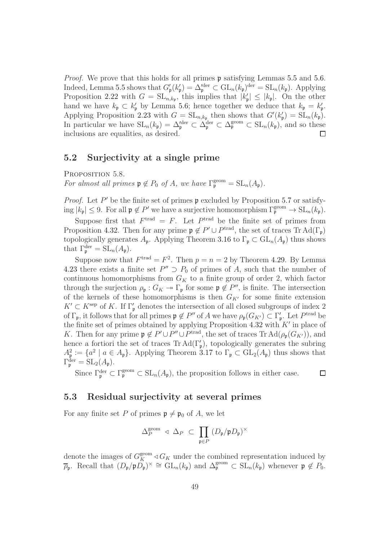Proof. We prove that this holds for all primes **p** satisfying Lemmas [5.5](#page-47-0) and [5.6.](#page-47-1) Indeed, Lemma [5.5](#page-47-0) shows that  $G'_{\mathfrak{p}}(k'_{\mathfrak{p}}) = \Delta_{\mathfrak{p}}^{\text{der}} \subset GL_n(k_{\mathfrak{p}})^{\text{der}} = SL_n(k_{\mathfrak{p}})$ . Applying Proposition [2.22](#page-16-1) with  $G = SL_{n,k_p}$ , this implies that  $|k'_{p}| \leq |k_{p}|$ . On the other hand we have  $k_{\mathfrak{p}} \subset k'_{\mathfrak{p}}$  by Lemma [5.6;](#page-47-1) hence together we deduce that  $k_{\mathfrak{p}} = k'_{\mathfrak{p}}$ . Applying Proposition [2.23](#page-16-2) with  $G = SL_{n,k_p}$  then shows that  $G'(k'_p) = SL_n(k_p)$ . In particular we have  $SL_n(k_p) = \Delta_p^{\text{der}} \subset \Delta_p^{\text{der}} \subset \Delta_p^{\text{geom}} \subset SL_n(k_p)$ , and so these inclusions are equalities, as desired. П

## <span id="page-48-0"></span>5.2 Surjectivity at a single prime

<span id="page-48-2"></span>PROPOSITION 5.8.

For almost all primes  $\mathfrak{p} \notin P_0$  of A, we have  $\Gamma_{\mathfrak{p}}^{\text{geom}} = \text{SL}_n(A_{\mathfrak{p}})$ .

*Proof.* Let  $P'$  be the finite set of primes  $\mathfrak p$  excluded by Proposition [5.7](#page-47-2) or satisfying  $|k_{\mathfrak{p}}| \leq 9$ . For all  $\mathfrak{p} \notin P'$  we have a surjective homomorphism  $\Gamma_{\mathfrak{p}}^{\text{geom}} \to SL_n(k_{\mathfrak{p}})$ .

Suppose first that  $F^{\text{trad}} = F$ . Let  $P^{\text{trad}}$  be the finite set of primes from Proposition [4.32.](#page-44-0) Then for any prime  $\mathfrak{p} \notin P' \cup P^{\text{trad}}$ , the set of traces Tr Ad( $\Gamma_{\mathfrak{p}}$ ) topologically generates  $A_{\mathfrak{p}}$ . Applying Theorem [3.16](#page-27-0) to  $\Gamma_{\mathfrak{p}} \subset GL_n(A_{\mathfrak{p}})$  thus shows that  $\Gamma_{\mathfrak{p}}^{\text{der}} = \text{SL}_n(A_{\mathfrak{p}}).$ 

Suppose now that  $F<sup>trad</sup> = F<sup>2</sup>$ . Then  $p = n = 2$  by Theorem [4.29.](#page-42-3) By Lemma [4.23](#page-40-1) there exists a finite set  $P'' \supset P_0$  of primes of A, such that the number of continuous homomorphisms from  $G_K$  to a finite group of order 2, which factor through the surjection  $\rho_{\mathfrak{p}}: G_K \to \Gamma_{\mathfrak{p}}$  for some  $\mathfrak{p} \notin P''$ , is finite. The intersection of the kernels of these homomorphisms is then  $G_{K'}$  for some finite extension  $K' \subset K^{\text{sep}}$  of K. If  $\Gamma'_{\mathfrak{p}}$  denotes the intersection of all closed subgroups of index 2 of  $\Gamma_{\mathfrak{p}}$ , it follows that for all primes  $\mathfrak{p} \notin P''$  of A we have  $\rho_{\mathfrak{p}}(G_{K'}) \subset \Gamma'_{\mathfrak{p}}$ . Let  $P^{\text{trad}}$  be the finite set of primes obtained by applying Proposition [4.32](#page-44-0) with  $K'$  in place of K. Then for any prime  $\mathfrak{p} \notin P' \cup P'' \cup P^{\text{trad}}$ , the set of traces Tr Ad( $\rho_{\mathfrak{p}}(G_{K'})$ ), and hence a fortiori the set of traces  $\text{Tr} \,\text{Ad}(\Gamma'_{\mathfrak{p}})$ , topologically generates the subring  $A_{\mathfrak{p}}^2 := \{a^2 \mid a \in A_{\mathfrak{p}}\}$ . Applying Theorem [3.17](#page-28-0) to  $\Gamma_{\mathfrak{p}} \subset GL_2(A_{\mathfrak{p}})$  thus shows that  $\Gamma_{\mathfrak{p}}^{\text{der}} = \text{SL}_2(A_{\mathfrak{p}}).$ 

Since  $\Gamma_{\mathfrak{p}}^{\text{der}} \subset \Gamma_{\mathfrak{p}}^{\text{geom}} \subset \text{SL}_n(A_{\mathfrak{p}})$ , the proposition follows in either case.  $\Box$ 

## <span id="page-48-1"></span>5.3 Residual surjectivity at several primes

For any finite set P of primes  $\mathfrak{p} \neq \mathfrak{p}_0$  of A, we let

$$
\Delta_P^{\text{geom}} \triangleleft \Delta_P \ \subset \ \prod_{\mathfrak{p} \in P} \left( D_{\mathfrak{p}} / \mathfrak{p} D_{\mathfrak{p}} \right)^{\times}
$$

denote the images of  $G_K^{\text{geom}} \triangleleft G_K$  under the combined representation induced by  $\overline{\rho}_{\mathfrak{p}}$ . Recall that  $(D_{\mathfrak{p}}/\mathfrak{p}D_{\mathfrak{p}})^{\times} \cong GL_n(k_{\mathfrak{p}})$  and  $\Delta_{\mathfrak{p}}^{\text{geom}} \subset SL_n(k_{\mathfrak{p}})$  whenever  $\mathfrak{p} \notin P_0$ .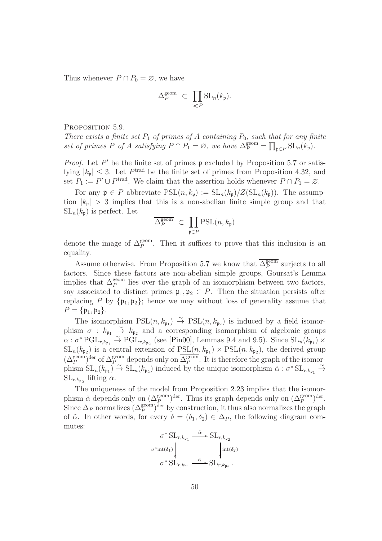Thus whenever  $P \cap P_0 = \emptyset$ , we have

$$
\Delta_P^{\text{geom}} \ \subset \ \prod_{\mathfrak{p} \in P} \mathrm{SL}_n(k_{\mathfrak{p}}).
$$

<span id="page-49-0"></span>PROPOSITION 5.9.

There exists a finite set  $P_1$  of primes of A containing  $P_0$ , such that for any finite set of primes P of A satisfying  $P \cap P_1 = \emptyset$ , we have  $\Delta_P^{\text{geom}} = \prod_{\mathfrak{p} \in P} \text{SL}_n(k_{\mathfrak{p}})$ .

*Proof.* Let  $P'$  be the finite set of primes  $\mathfrak p$  excluded by Proposition [5.7](#page-47-2) or satisfying  $|k_{\mathfrak{p}}| \leq 3$ . Let  $P^{\text{trad}}$  be the finite set of primes from Proposition [4.32,](#page-44-0) and set  $P_1 := P' \cup P^{\text{trad}}$ . We claim that the assertion holds whenever  $P \cap P_1 = \emptyset$ .

For any  $\mathfrak{p} \in P$  abbreviate  $PSL(n, k_{\mathfrak{p}}) := SL_n(k_{\mathfrak{p}})/Z(SL_n(k_{\mathfrak{p}}))$ . The assumption  $|k_{\mathfrak{p}}| > 3$  implies that this is a non-abelian finite simple group and that  $SL_n(k_p)$  is perfect. Let

$$
\overline{\Delta^{\text{geom}}_P} \ \subset \ \prod_{\mathfrak{p} \in P} \text{PSL}(n,k_{\mathfrak{p}})
$$

denote the image of  $\Delta_P^{\text{geom}}$ . Then it suffices to prove that this inclusion is an equality.

Assume otherwise. From Proposition [5.7](#page-47-2) we know that  $\overline{\Delta_P^{\text{geom}}}$  $P_P^{\text{geom}}$  surjects to all factors. Since these factors are non-abelian simple groups, Goursat's Lemma implies that  $\overline{\Delta_P^{\text{geom}}}$  $P_P^{\text{geom}}$  lies over the graph of an isomorphism between two factors, say associated to distinct primes  $\mathfrak{p}_1, \mathfrak{p}_2 \in P$ . Then the situation persists after replacing P by  $\{p_1, p_2\}$ ; hence we may without loss of generality assume that  $P = {\mathfrak{p}_1, \mathfrak{p}_2}.$ 

The isomorphism  $PSL(n, k_{\mathfrak{p}_1}) \stackrel{\sim}{\rightarrow} PSL(n, k_{\mathfrak{p}_2})$  is induced by a field isomorphism  $\sigma$  :  $k_{p_1} \rightarrow k_{p_2}$  and a corresponding isomorphism of algebraic groups  $\alpha$ :  $\sigma^*$  PGL<sub>r,kp<sub>1</sub></sub>  $\rightarrow$  PGL<sub>r,kp<sub>2</sub></sub> (see [\[Pin00\]](#page-61-6), Lemmas 9.4 and 9.5). Since  $SL_n(k_{p_1}) \times$  $SL_n(k_{p_2})$  is a central extension of  $PSL(n, k_{p_1}) \times PSL(n, k_{p_2})$ , the derived group  $(\Delta_P^{\text{geom}})$ <sup>der</sup> of  $\Delta_P^{\text{geom}}$  depends only on  $\overline{\Delta_P^{\text{geom}}}$  $P_P^{\text{geom}}$ . It is therefore the graph of the isomorphism  $SL_n(k_{p_1}) \stackrel{\sim}{\rightarrow} SL_n(k_{p_2})$  induced by the unique isomorphism  $\tilde{\alpha} : \sigma^* SL_{r,k_{p_1}} \stackrel{\sim}{\rightarrow}$  $SL_{r,k_{\mathfrak{p}_2}}$  lifting  $\alpha$ .

The uniqueness of the model from Proposition [2.23](#page-16-2) implies that the isomorphism  $\tilde{\alpha}$  depends only on  $(\Delta_P^{\text{geom}})^{\text{der}}$ . Thus its graph depends only on  $(\Delta_P^{\text{geom}})^{\text{der}}$ . Since  $\Delta_P$  normalizes  $(\Delta_P^{\text{geom}})$ <sup>der</sup> by construction, it thus also normalizes the graph of  $\tilde{\alpha}$ . In other words, for every  $\delta = (\delta_1, \delta_2) \in \Delta_P$ , the following diagram commutes:

$$
\sigma^* \operatorname{SL}_{r,k_{\mathfrak{p}_1}} \xrightarrow{\tilde{\alpha}} \operatorname{SL}_{r,k_{\mathfrak{p}_2}} \sigma^* \operatorname{int}(\delta_1)
$$
\n
$$
\sigma^* \operatorname{SL}_{r,k_{\mathfrak{p}_1}} \xrightarrow{\tilde{\alpha}} \operatorname{SL}_{r,k_{\mathfrak{p}_2}}.
$$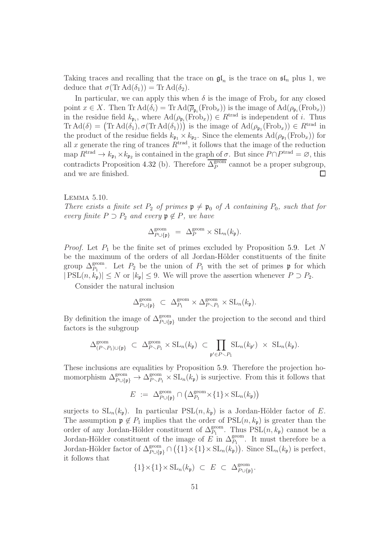Taking traces and recalling that the trace on  $\mathfrak{gl}_n$  is the trace on  $\mathfrak{sl}_n$  plus 1, we deduce that  $\sigma(\text{Tr } \text{Ad}(\delta_1)) = \text{Tr } \text{Ad}(\delta_2)$ .

In particular, we can apply this when  $\delta$  is the image of Frob<sub>x</sub> for any closed point  $x \in X$ . Then Tr  $\text{Ad}(\delta_i) = \text{Tr } \text{Ad}(\overline{\rho}_{\mathfrak{p}_i}(\text{Frob}_x))$  is the image of  $\text{Ad}(\rho_{\mathfrak{p}_i}(\text{Frob}_x))$ in the residue field  $k_{\mathfrak{p}_i}$ , where  $\text{Ad}(\rho_{\mathfrak{p}_i}(\text{Frob}_x)) \in R^{\text{trad}}$  is independent of i. Thus  $\text{Tr } \text{Ad}(\delta) = (\text{Tr } \text{Ad}(\delta_1), \sigma(\text{Tr } \text{Ad}(\delta_1)))$  is the image of  $\text{Ad}(\rho_{\mathfrak{p}_1}(\text{Frob}_x)) \in R^{\text{trad}}$  in the product of the residue fields  $k_{\mathfrak{p}_1} \times k_{\mathfrak{p}_2}$ . Since the elements  $\text{Ad}(\rho_{\mathfrak{p}_1}(\text{Frob}_x))$  for all x generate the ring of trances  $R<sup>trad</sup>$ , it follows that the image of the reduction map  $R^{\text{trad}} \to k_{\mathfrak{p}_1} \times k_{\mathfrak{p}_2}$  is contained in the graph of  $\sigma$ . But since  $P \cap P^{\text{trad}} = \varnothing$ , this contradicts Proposition [4.32](#page-44-0) (b). Therefore  $\overline{\Delta_P^{\text{geom}}}$  $P_P^{\text{geom}}$  cannot be a proper subgroup, and we are finished.  $\Box$ 

#### <span id="page-50-0"></span>Lemma 5.10.

There exists a finite set  $P_2$  of primes  $\mathfrak{p} \neq \mathfrak{p}_0$  of A containing  $P_0$ , such that for every finite  $P \supset P_2$  and every  $\mathfrak{p} \notin P$ , we have

$$
\Delta_{P \cup \{\mathfrak{p}\}}^{\text{geom}} \; = \; \Delta_P^{\text{geom}} \times \text{SL}_n(k_{\mathfrak{p}}).
$$

*Proof.* Let  $P_1$  be the finite set of primes excluded by Proposition [5.9.](#page-49-0) Let N be the maximum of the orders of all Jordan-Hölder constituents of the finite group  $\Delta_{P_1}^{\text{geom}}$ . Let  $P_2$  be the union of  $P_1$  with the set of primes p for which  $|PSL(n, k_p)| \leq N$  or  $|k_p| \leq 9$ . We will prove the assertion whenever  $P \supset P_2$ .

Consider the natural inclusion

$$
\Delta_{P \cup \{\mathfrak{p}\}}^{\text{geom}} \subset \Delta_{P_1}^{\text{geom}} \times \Delta_{P \setminus P_1}^{\text{geom}} \times \text{SL}_n(k_{\mathfrak{p}}).
$$

By definition the image of  $\Delta_{P\cup\{p\}}^{\text{geom}}$  under the projection to the second and third factors is the subgroup

$$
\Delta_{(P \smallsetminus P_1) \cup \{\mathfrak{p}\}}^{\text{geom}} \subset \Delta_{P \smallsetminus P_1}^{\text{geom}} \times \text{SL}_n(k_{\mathfrak{p}}) \subset \prod_{\mathfrak{p}' \in P \smallsetminus P_1} \text{SL}_n(k_{\mathfrak{p}'}) \times \text{SL}_n(k_{\mathfrak{p}}).
$$

These inclusions are equalities by Proposition [5.9.](#page-49-0) Therefore the projection homomorphism  $\Delta_{P \cup \{p\}}^{\text{geom}} \to \Delta_{P \setminus P_1}^{\text{geom}} \times SL_n(k_p)$  is surjective. From this it follows that

$$
E := \Delta_{P \cup \{\mathfrak{p}\}}^{\text{geom}} \cap \left( \Delta_{P_1}^{\text{geom}} \times \{1\} \times \text{SL}_n(k_{\mathfrak{p}}) \right)
$$

surjects to  $SL_n(k_p)$ . In particular  $PSL(n, k_p)$  is a Jordan-Hölder factor of E. The assumption  $\mathfrak{p} \notin P_1$  implies that the order of  $PSL(n, k_{\mathfrak{p}})$  is greater than the order of any Jordan-Hölder constituent of  $\Delta_{P_1}^{\text{geom}}$ . Thus PSL $(n, k_\mathfrak{p})$  cannot be a Jordan-Hölder constituent of the image of  $E$  in  $\Delta_{P_1}^{\text{geom}}$ . It must therefore be a Jordan-Hölder factor of  $\Delta_{P \cup \{\mathfrak{p}\}}^{\text{geom}} \cap (\{1\} \times \{1\} \times SL_n(k_{\mathfrak{p}}))$ . Since  $SL_n(k_{\mathfrak{p}})$  is perfect, it follows that

$$
\{1\} \times \{1\} \times SL_n(k_{\mathfrak{p}}) \ \subset \ E \ \subset \ \Delta_{P \cup \{\mathfrak{p}\}}^{\text{geom}}.
$$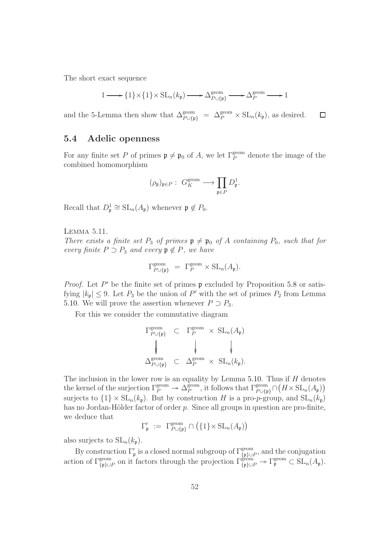The short exact sequence

$$
1 \longrightarrow \{1\} \times \{1\} \times SL_n(k_{\mathfrak{p}}) \longrightarrow \Delta_{P \cup \{\mathfrak{p}\}}^{\text{geom}} \longrightarrow \Delta_P^{\text{geom}} \longrightarrow 1
$$

and the 5-Lemma then show that  $\Delta_{P \cup \{\mathfrak{p}\}}^{\text{geom}} = \Delta_P^{\text{geom}} \times SL_n(k_{\mathfrak{p}})$ , as desired.  $\Box$ 

## <span id="page-51-0"></span>5.4 Adelic openness

For any finite set P of primes  $\mathfrak{p} \neq \mathfrak{p}_0$  of A, we let  $\Gamma_P^{\text{geom}}$  denote the image of the combined homomorphism

$$
(\rho_{\mathfrak{p}})_{\mathfrak{p}\in P}:\; G_K^{\text{geom}}\longrightarrow \prod_{\mathfrak{p}\in P}D^1_{\mathfrak{p}}.
$$

Recall that  $D_{\mathfrak{p}}^1 \cong SL_n(A_{\mathfrak{p}})$  whenever  $\mathfrak{p} \notin P_0$ .

<span id="page-51-1"></span>Lemma 5.11.

There exists a finite set  $P_3$  of primes  $\mathfrak{p} \neq \mathfrak{p}_0$  of A containing  $P_0$ , such that for every finite  $P \supset P_3$  and every  $\mathfrak{p} \notin P$ , we have

$$
\Gamma_{P \cup \{\mathfrak{p}\}}^{\text{geom}} = \Gamma_P^{\text{geom}} \times \text{SL}_n(A_{\mathfrak{p}}).
$$

*Proof.* Let  $P'$  be the finite set of primes  $\mathfrak p$  excluded by Proposition [5.8](#page-48-2) or satisfying  $|k_{\mathfrak{p}}| \leq 9$ . Let  $P_3$  be the union of P' with the set of primes  $P_2$  from Lemma [5.10.](#page-50-0) We will prove the assertion whenever  $P \supset P_3$ .

For this we consider the commutative diagram

$$
\Gamma_{P\cup\{p\}}^{\text{geom}} \subset \Gamma_P^{\text{geom}} \times \text{SL}_n(A_{\mathfrak{p}})
$$
\n
$$
\downarrow \qquad \qquad \downarrow \qquad \qquad \downarrow
$$
\n
$$
\Delta_{P\cup\{p\}}^{\text{geom}} \subset \Delta_P^{\text{geom}} \times \text{SL}_n(k_{\mathfrak{p}}).
$$

The inclusion in the lower row is an equality by Lemma [5.10.](#page-50-0) Thus if  $H$  denotes the kernel of the surjection  $\Gamma_P^{\text{geom}} \twoheadrightarrow \Delta_P^{\text{geom}}$  $P_P^{\text{geom}}$ , it follows that  $\Gamma_{P\cup\{\mathfrak{p}\}}^{\text{geom}}\cap(H\times\mathrm{SL}_n(A_\mathfrak{p}))$ surjects to  $\{1\} \times SL_n(k_p)$ . But by construction H is a pro-p-group, and  $SL_n(k_p)$ has no Jordan-Hölder factor of order  $p$ . Since all groups in question are pro-finite, we deduce that

 $\Gamma'_{\mathfrak{p}} := \Gamma^{\text{geom}}_{P \cup {\{\mathfrak{p}\}}} \cap (\{1\} \times SL_n(A_{\mathfrak{p}}))$ 

also surjects to  $SL_n(k_p)$ .

By construction  $\Gamma'_{\mathfrak{p}}$  is a closed normal subgroup of  $\Gamma^{\text{geom}}_{\{\mathfrak{p}\}\cup P}$ , and the conjugation action of  $\Gamma^{\text{geom}}_{\{\mathfrak{p}\}\cup P}$  on it factors through the projection  $\Gamma^{\text{geom}}_{\{\mathfrak{p}\}\cup P} \to \Gamma^{\text{geom}}_{\mathfrak{p}} \subset SL_n(A_{\mathfrak{p}})$ .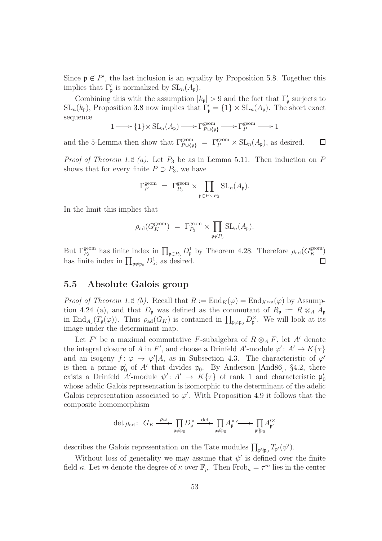Since  $\mathfrak{p} \notin P'$ , the last inclusion is an equality by Proposition [5.8.](#page-48-2) Together this implies that  $\Gamma'_{\mathfrak{p}}$  is normalized by  $SL_n(A_{\mathfrak{p}})$ .

Combining this with the assumption  $|k_{\mathfrak{p}}| > 9$  and the fact that  $\Gamma'_{\mathfrak{p}}$  surjects to  $SL_n(k_p)$ , Proposition [3.8](#page-23-1) now implies that  $\Gamma'_p = \{1\} \times SL_n(A_p)$ . The short exact sequence

$$
1 \longrightarrow \{1\} \times SL_n(A_{\mathfrak{p}}) \longrightarrow \Gamma_{P \cup \{\mathfrak{p}\}}^{\text{geom}} \longrightarrow \Gamma_P^{\text{geom}} \longrightarrow 1
$$

and the 5-Lemma then show that  $\Gamma_{P\cup\{\mathfrak{p}\}}^{\text{geom}} = \Gamma_P^{\text{geom}} \times SL_n(A_{\mathfrak{p}})$ , as desired.  $\Box$ 

*Proof of Theorem [1.2](#page-3-0) (a).* Let  $P_3$  be as in Lemma [5.11.](#page-51-1) Then induction on P shows that for every finite  $P \supset P_3$ , we have

$$
\Gamma_P^{\text{geom}} = \Gamma_{P_3}^{\text{geom}} \times \prod_{\mathfrak{p} \in P \backslash P_3} \text{SL}_n(A_{\mathfrak{p}}).
$$

In the limit this implies that

$$
\rho_{\text{ad}}(G_K^{\text{geom}}) = \Gamma_{P_3}^{\text{geom}} \times \prod_{\mathfrak{p} \notin P_3} \text{SL}_n(A_{\mathfrak{p}}).
$$

But  $\Gamma_{P_3}^{\text{geom}}$  has finite index in  $\prod_{\mathfrak{p} \in P_3} D^1_{\mathfrak{p}}$  by Theorem [4.28.](#page-42-2) Therefore  $\rho_{ad}(G_K^{\text{geom}})$ has finite index in  $\prod_{\mathfrak{p}\neq\mathfrak{p}_0} D^1_{\mathfrak{p}}$ , as desired.  $\Box$ 

## <span id="page-52-0"></span>5.5 Absolute Galois group

*Proof of Theorem [1.2](#page-3-0) (b).* Recall that  $R := \text{End}_K(\varphi) = \text{End}_{K^{\text{sep}}}(\varphi)$  by Assumption 4.24 (a), and that  $D_{\mathfrak{p}}$  was defined as the commutant of  $R_{\mathfrak{p}} := R \otimes_A A_{\mathfrak{p}}$ in End<sub>Ap</sub>(T<sub>p</sub>( $\varphi$ )). Thus  $\rho_{ad}(G_K)$  is contained in  $\prod_{\mathfrak{p}\neq\mathfrak{p}_0}D_{\mathfrak{p}}^{\times}$ . We will look at its image under the determinant map.

Let F' be a maximal commutative F-subalgebra of  $R \otimes_A F$ , let A' denote the integral closure of A in F', and choose a Drinfeld A'-module  $\varphi' : A' \to K\{\tau\}$ and an isogeny  $f: \varphi \to \varphi' | A$ , as in Subsection [4.3.](#page-33-0) The characteristic of  $\varphi'$ is then a prime  $\mathfrak{p}'_0$  of A' that divides  $\mathfrak{p}_0$ . By Anderson [\[And86\]](#page-60-0), §4.2, there exists a Drinfeld A'-module  $\psi' : A' \to K\{\tau\}$  of rank 1 and characteristic  $\mathfrak{p}'_0$ whose adelic Galois representation is isomorphic to the determinant of the adelic Galois representation associated to  $\varphi'$ . With Proposition [4.9](#page-34-1) it follows that the composite homomorphism

$$
\det \rho_{\text{ad}}: G_K \xrightarrow{\rho_{\text{ad}}} \prod_{\mathfrak{p} \neq \mathfrak{p}_0} D_{\mathfrak{p}}^{\times} \xrightarrow{\det} \prod_{\mathfrak{p} \neq \mathfrak{p}_0} A_{\mathfrak{p}}^{\times} \xrightarrow{\phantom{\det}} \prod_{\mathfrak{p}' \nmid \mathfrak{p}_0} A_{\mathfrak{p}'}^{\prime \times}
$$

describes the Galois representation on the Tate modules  $\prod_{\mathfrak{p}'\nmid \mathfrak{p}_0} T_{\mathfrak{p}'}(\psi')$ .

Without loss of generality we may assume that  $\psi'$  is defined over the finite field κ. Let m denote the degree of  $\kappa$  over  $\mathbb{F}_p$ . Then  $Frob_{\kappa} = \tau^m$  lies in the center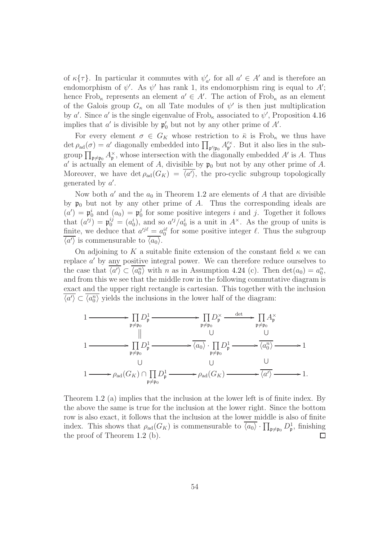of  $\kappa\{\tau\}$ . In particular it commutes with  $\psi'_{a'}$  for all  $a' \in A'$  and is therefore an endomorphism of  $\psi'$ . As  $\psi'$  has rank 1, its endomorphism ring is equal to A'; hence Frob<sub>k</sub> represents an element  $a' \in A'$ . The action of Frob<sub>k</sub> as an element of the Galois group  $G_{\kappa}$  on all Tate modules of  $\psi'$  is then just multiplication by a'. Since a' is the single eigenvalue of Frob<sub>k</sub> associated to  $\psi'$ , Proposition [4.16](#page-37-2) implies that  $a'$  is divisible by  $\mathfrak{p}'_0$  but not by any other prime of A'.

For every element  $\sigma \in G_K$  whose restriction to  $\bar{\kappa}$  is Frob<sub> $\kappa$ </sub> we thus have det  $\rho_{ad}(\sigma) = a'$  diagonally embedded into  $\prod_{\mathfrak{p}' \nmid \mathfrak{p}_0} A'^{\times}_{\mathfrak{p}'}$  $_{p'}^{\prime \times}$ . But it also lies in the subgroup  $\prod_{\mathfrak{p}\neq\mathfrak{p}_0} A_{\mathfrak{p}}^{\times}$ , whose intersection with the diagonally embedded  $A'$  is A. Thus a' is actually an element of A, divisible by  $\mathfrak{p}_0$  but not by any other prime of A. Moreover, we have  $\det \rho_{ad}(G_K) = \langle a' \rangle$ , the pro-cyclic subgroup topologically generated by  $a'$ .

Now both  $a'$  and the  $a_0$  in Theorem [1.2](#page-3-0) are elements of A that are divisible by  $\mathfrak{p}_0$  but not by any other prime of A. Thus the corresponding ideals are  $(a') = \mathfrak{p}_0^i$  and  $(a_0) = \mathfrak{p}_0^j$  $\delta_0^j$  for some positive integers i and j. Together it follows that  $(a^{ij}) = \mathfrak{p}_0^{ij} = (a_0^i)$ , and so  $a'^j/a_0^i$  is a unit in  $A^{\times}$ . As the group of units is finite, we deduce that  $a^{ij} = a_0^{i\ell}$  for some positive integer  $\ell$ . Thus the subgroup  $\langle a' \rangle$  is commensurable to  $\langle a_0 \rangle$ .

On adjoining to K a suitable finite extension of the constant field  $\kappa$  we can replace a' by any positive integral power. We can therefore reduce ourselves to the case that  $\overline{\langle a' \rangle} \subset \overline{\langle a_0^n \rangle}$  with n as in Assumption 4.24 (c). Then  $\det(a_0) = a_0^n$ , and from this we see that the middle row in the following commutative diagram is exact and the upper right rectangle is cartesian. This together with the inclusion  $\langle a' \rangle \subset \langle a_0^n \rangle$  yields the inclusions in the lower half of the diagram:

$$
\begin{CD} 1 & \xrightarrow{\hspace{1cm}} \prod_{\mathfrak{p}\neq\mathfrak{p}_0} D_{\mathfrak{p}}^1 \xrightarrow{\hspace{1cm}} \prod_{\mathfrak{p}\neq\mathfrak{p}_0} D_{\mathfrak{p}}^{\times} \xrightarrow{\hspace{1cm}} \frac{\mathrm{det}}{\mathfrak{p}\neq\mathfrak{p}_0} \prod_{\mathfrak{p}\neq\mathfrak{p}_0} A_{\mathfrak{p}}^{\times} \\ 1 & \xrightarrow{\hspace{1cm}} \prod_{\mathfrak{p}\neq\mathfrak{p}_0} D_{\mathfrak{p}}^1 \xrightarrow{\hspace{1cm}} \overline{\langle a_0 \rangle} \cdot \prod_{\mathfrak{p}\neq\mathfrak{p}_0} D_{\mathfrak{p}}^1 \xrightarrow{\hspace{1cm}} \overline{\langle a_0 \rangle} \xrightarrow{\hspace{1cm}} \overline{\langle a_0 \rangle} \\ 1 & \xrightarrow{\hspace{1cm}} \rho_{\text{ad}}(G_K) \cap \prod_{\mathfrak{p}\neq\mathfrak{p}_0} D_{\mathfrak{p}}^1 \xrightarrow{\hspace{1cm}} \rho_{\text{ad}}(G_K) \xrightarrow{\hspace{1cm}} \overline{\langle a' \rangle} \xrightarrow{\hspace{1cm}} 1. \end{CD}
$$

Theorem [1.2](#page-3-0) (a) implies that the inclusion at the lower left is of finite index. By the above the same is true for the inclusion at the lower right. Since the bottom row is also exact, it follows that the inclusion at the lower middle is also of finite index. This shows that  $\rho_{ad}(G_K)$  is commensurable to  $\overline{\langle a_0 \rangle} \cdot \prod_{\mathfrak{p} \neq \mathfrak{p}_0} D^1_{\mathfrak{p}}$ , finishing the proof of Theorem [1.2](#page-3-0) (b). П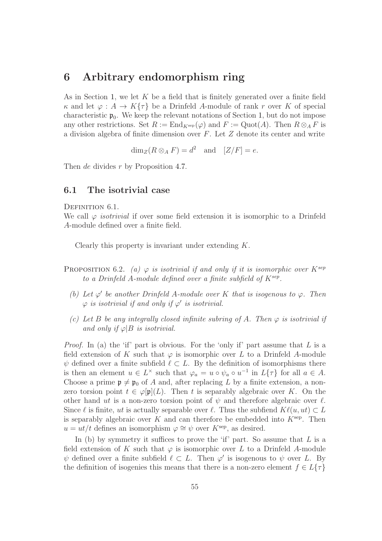## <span id="page-54-0"></span>6 Arbitrary endomorphism ring

As in Section [1,](#page-2-0) we let  $K$  be a field that is finitely generated over a finite field  $\kappa$  and let  $\varphi: A \to K\{\tau\}$  be a Drinfeld A-module of rank r over K of special characteristic  $\mathfrak{p}_0$ . We keep the relevant notations of Section [1,](#page-2-0) but do not impose any other restrictions. Set  $R := \text{End}_{K^{\text{sep}}}(\varphi)$  and  $F := \text{Quot}(A)$ . Then  $R \otimes_A F$  is a division algebra of finite dimension over  $F$ . Let  $Z$  denote its center and write

 $\dim_Z(R \otimes_A F) = d^2$  and  $[Z/F] = e$ .

<span id="page-54-1"></span>Then *de* divides r by Proposition [4.7.](#page-33-1)

## 6.1 The isotrivial case

#### DEFINITION 6.1.

We call  $\varphi$  *isotrivial* if over some field extension it is isomorphic to a Drinfeld A-module defined over a finite field.

Clearly this property is invariant under extending K.

- PROPOSITION 6.2. (a)  $\varphi$  is isotrivial if and only if it is isomorphic over  $K^{sep}$ to a Drinfeld A-module defined over a finite subfield of  $K^{sep}$ .
	- (b) Let  $\varphi'$  be another Drinfeld A-module over K that is isogenous to  $\varphi$ . Then  $\varphi$  is isotrivial if and only if  $\varphi'$  is isotrivial.
	- (c) Let B be any integrally closed infinite subring of A. Then  $\varphi$  is isotrivial if and only if  $\varphi|B$  is isotrivial.

*Proof.* In (a) the 'if' part is obvious. For the 'only if' part assume that  $L$  is a field extension of K such that  $\varphi$  is isomorphic over L to a Drinfeld A-module  $\psi$  defined over a finite subfield  $\ell \subset L$ . By the definition of isomorphisms there is then an element  $u \in L^{\times}$  such that  $\varphi_a = u \circ \psi_a \circ u^{-1}$  in  $L{\lbrace \tau \rbrace}$  for all  $a \in A$ . Choose a prime  $\mathfrak{p} \neq \mathfrak{p}_0$  of A and, after replacing L by a finite extension, a nonzero torsion point  $t \in \varphi[\mathfrak{p}](L)$ . Then t is separably algebraic over K. On the other hand ut is a non-zero torsion point of  $\psi$  and therefore algebraic over  $\ell$ . Since  $\ell$  is finite, ut is actually separable over  $\ell$ . Thus the subfiend  $K\ell(u, ut) \subset L$ is separably algebraic over K and can therefore be embedded into  $K^{\text{sep}}$ . Then  $u = ut/t$  defines an isomorphism  $\varphi \cong \psi$  over  $K^{\text{sep}}$ , as desired.

In (b) by symmetry it suffices to prove the 'if' part. So assume that  $L$  is a field extension of K such that  $\varphi$  is isomorphic over L to a Drinfeld A-module  $\psi$  defined over a finite subfield  $\ell \subset L$ . Then  $\varphi'$  is isogenous to  $\psi$  over L. By the definition of isogenies this means that there is a non-zero element  $f \in L\{\tau\}$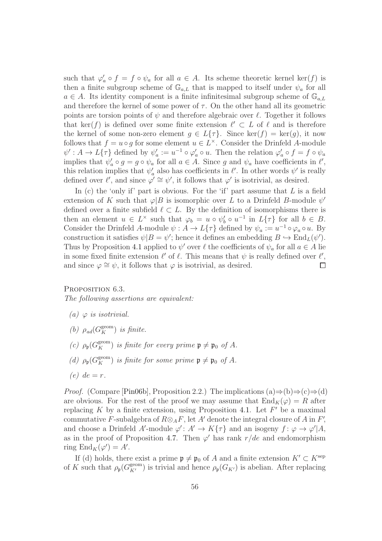such that  $\varphi'_a \circ f = f \circ \psi_a$  for all  $a \in A$ . Its scheme theoretic kernel ker(f) is then a finite subgroup scheme of  $\mathbb{G}_{a,L}$  that is mapped to itself under  $\psi_a$  for all  $a \in A$ . Its identity component is a finite infinitesimal subgroup scheme of  $\mathbb{G}_{a,L}$ and therefore the kernel of some power of  $\tau$ . On the other hand all its geometric points are torsion points of  $\psi$  and therefore algebraic over  $\ell$ . Together it follows that ker(f) is defined over some finite extension  $\ell' \subset L$  of  $\ell$  and is therefore the kernel of some non-zero element  $g \in L\{\tau\}$ . Since ker $(f) = \text{ker}(g)$ , it now follows that  $f = u \circ g$  for some element  $u \in L^{\times}$ . Consider the Drinfeld A-module  $\psi': A \to L{\tau}$  defined by  $\psi'_a := u^{-1} \circ \varphi'_a \circ u$ . Then the relation  $\varphi'_a \circ f = f \circ \psi_a$ implies that  $\psi'_a \circ g = g \circ \psi_a$  for all  $a \in A$ . Since g and  $\psi_a$  have coefficients in  $\ell'$ , this relation implies that  $\psi'_a$  also has coefficients in  $\ell'$ . In other words  $\psi'$  is really defined over  $\ell'$ , and since  $\varphi' \cong \psi'$ , it follows that  $\varphi'$  is isotrivial, as desired.

In (c) the 'only if' part is obvious. For the 'if' part assume that  $L$  is a field extension of K such that  $\varphi|B$  is isomorphic over L to a Drinfeld B-module  $\psi'$ defined over a finite subfield  $\ell \subset L$ . By the definition of isomorphisms there is then an element  $u \in L^{\times}$  such that  $\varphi_b = u \circ \psi_b' \circ u^{-1}$  in  $L\{\tau\}$  for all  $b \in B$ . Consider the Drinfeld A-module  $\psi : A \to L{\tau}$  defined by  $\psi_a := u^{-1} \circ \varphi_a \circ u$ . By construction it satisfies  $\psi|B = \psi'$ ; hence it defines an embedding  $B \hookrightarrow \text{End}_L(\psi')$ . Thus by Proposition [4.1](#page-30-2) applied to  $\psi'$  over  $\ell$  the coefficients of  $\psi_a$  for all  $a \in A$  lie in some fixed finite extension  $\ell'$  of  $\ell$ . This means that  $\psi$  is really defined over  $\ell'$ , and since  $\varphi \cong \psi$ , it follows that  $\varphi$  is isotrivial, as desired.  $\Box$ 

#### <span id="page-55-0"></span>PROPOSITION 6.3.

The following assertions are equivalent:

- (a)  $\varphi$  is isotrivial.
- (b)  $\rho_{ad}(G_K^{\text{geom}})$  is finite.
- (c)  $\rho_{\mathfrak{p}}(G_K^{\text{geom}})$  is finite for every prime  $\mathfrak{p} \neq \mathfrak{p}_0$  of A.
- (d)  $\rho_{\mathfrak{p}}(G_K^{\text{geom}})$  is finite for some prime  $\mathfrak{p} \neq \mathfrak{p}_0$  of A.
- $(e)$  de = r.

*Proof.* (Compare [\[Pin06b\]](#page-61-0), Proposition 2.2.) The implications  $(a) \Rightarrow (b) \Rightarrow (c) \Rightarrow (d)$ are obvious. For the rest of the proof we may assume that  $\text{End}_K(\varphi) = R$  after replacing  $K$  by a finite extension, using Proposition [4.1.](#page-30-2) Let  $F'$  be a maximal commutative F-subalgebra of  $R \otimes_A F$ , let A' denote the integral closure of A in F', and choose a Drinfeld A'-module  $\varphi' : A' \to K\{\tau\}$  and an isogeny  $f : \varphi \to \varphi' | A$ , as in the proof of Proposition [4.7.](#page-33-1) Then  $\varphi'$  has rank  $r/de$  and endomorphism ring  $\text{End}_K(\varphi') = A'.$ 

If (d) holds, there exist a prime  $\mathfrak{p} \neq \mathfrak{p}_0$  of A and a finite extension  $K' \subset K^{\text{sep}}$ of K such that  $\rho_{\mathfrak{p}}(G_{K'}^{\text{geom}})$  is trivial and hence  $\rho_{\mathfrak{p}}(G_{K'})$  is abelian. After replacing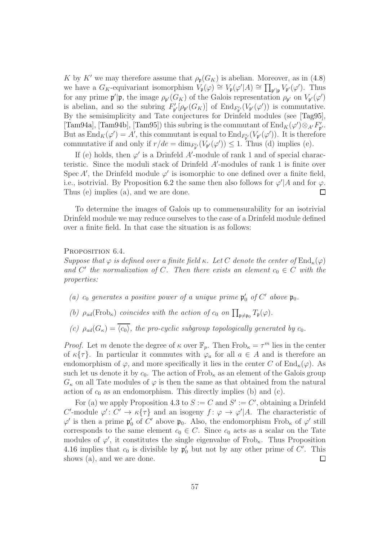K by K' we may therefore assume that  $\rho_{p}(G_K)$  is abelian. Moreover, as in [\(4.8\)](#page-34-0) we have a  $G_K$ -equivariant isomorphism  $V_{\mathfrak{p}}(\varphi) \cong V_{\mathfrak{p}}(\varphi'|A) \cong \prod_{\mathfrak{p}'|\mathfrak{p}} V_{\mathfrak{p}'}(\varphi')$ . Thus for any prime  $\mathfrak{p}'|\mathfrak{p}$ , the image  $\rho_{\mathfrak{p}'}(G_K)$  of the Galois representation  $\rho_{\mathfrak{p}'}$  on  $V_{\mathfrak{p}'}(\varphi')$ is abelian, and so the subring  $F'_{\mathfrak{p}'}[\rho_{\mathfrak{p}'}(G_K)]$  of  $\text{End}_{F'_{\mathfrak{p}'}}(V_{\mathfrak{p}'}(\varphi'))$  is commutative. By the semisimplicity and Tate conjectures for Drinfeld modules (see [\[Tag95\]](#page-62-6), [\[Tam94a\]](#page-62-7), [\[Tam94b\]](#page-62-8), [\[Tam95\]](#page-62-9)) this subring is the commutant of  $\text{End}_K(\varphi') \otimes_{A'} F'_{\mathfrak{p}'}$ . But as  $\text{End}_K(\varphi') = A'$ , this commutant is equal to  $\text{End}_{F'_{\mathfrak{p}'}}(V_{\mathfrak{p}'}(\varphi'))$ . It is therefore commutative if and only if  $r/de = \dim_{F'_{\mathfrak{p}'}}(V_{\mathfrak{p}'}(\varphi')) \leq 1$ . Thus (d) implies (e).

If (e) holds, then  $\varphi'$  is a Drinfeld A'-module of rank 1 and of special characteristic. Since the moduli stack of Drinfeld A'-modules of rank 1 is finite over Spec A', the Drinfeld module  $\varphi'$  is isomorphic to one defined over a finite field, i.e., isotrivial. By Proposition 6.2 the same then also follows for  $\varphi' | A$  and for  $\varphi$ . Thus (e) implies (a), and we are done.

To determine the images of Galois up to commensurability for an isotrivial Drinfeld module we may reduce ourselves to the case of a Drinfeld module defined over a finite field. In that case the situation is as follows:

#### PROPOSITION 6.4.

Suppose that  $\varphi$  is defined over a finite field  $\kappa$ . Let C denote the center of  $\text{End}_{\kappa}(\varphi)$ and C' the normalization of C. Then there exists an element  $c_0 \in C$  with the properties:

- (a)  $c_0$  generates a positive power of a unique prime  $\mathfrak{p}'_0$  of  $C'$  above  $\mathfrak{p}_0$ .
- (b)  $\rho_{ad}(\text{Frob}_{\kappa})$  coincides with the action of  $c_0$  on  $\prod_{\mathfrak{p}\neq \mathfrak{p}_0} T_{\mathfrak{p}}(\varphi)$ .
- (c)  $\rho_{ad}(G_{\kappa}) = \overline{\langle c_0 \rangle}$ , the pro-cyclic subgroup topologically generated by  $c_0$ .

*Proof.* Let m denote the degree of  $\kappa$  over  $\mathbb{F}_p$ . Then  $Frob_{\kappa} = \tau^m$  lies in the center of  $\kappa\{\tau\}$ . In particular it commutes with  $\varphi_a$  for all  $a \in A$  and is therefore an endomorphism of  $\varphi$ , and more specifically it lies in the center C of End<sub> $\kappa(\varphi)$ </sub>. As such let us denote it by  $c_0$ . The action of Frob<sub> $\kappa$ </sub> as an element of the Galois group  $G_{\kappa}$  on all Tate modules of  $\varphi$  is then the same as that obtained from the natural action of  $c_0$  as an endomorphism. This directly implies (b) and (c).

For (a) we apply Proposition [4.3](#page-31-2) to  $S := C$  and  $S' := C'$ , obtaining a Drinfeld C'-module  $\varphi' : C' \to \kappa\{\tau\}$  and an isogeny  $f : \varphi \to \varphi' | A$ . The characteristic of  $\varphi'$  is then a prime  $\mathfrak{p}'_0$  of C' above  $\mathfrak{p}_0$ . Also, the endomorphism Frob<sub>k</sub> of  $\varphi'$  still corresponds to the same element  $c_0 \in C$ . Since  $c_0$  acts as a scalar on the Tate modules of  $\varphi'$ , it constitutes the single eigenvalue of Frob<sub>k</sub>. Thus Proposition [4.16](#page-37-2) implies that  $c_0$  is divisible by  $\mathfrak{p}'_0$  but not by any other prime of C'. This shows (a), and we are done.  $\Box$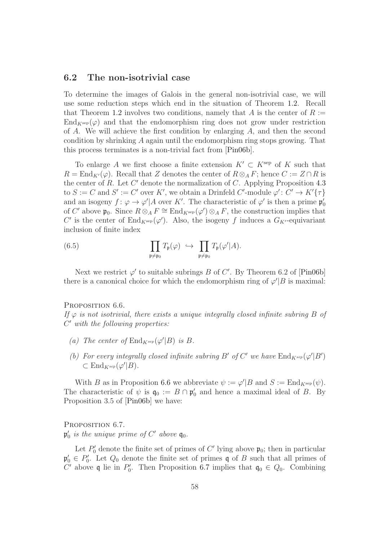## <span id="page-57-0"></span>6.2 The non-isotrivial case

To determine the images of Galois in the general non-isotrivial case, we will use some reduction steps which end in the situation of Theorem [1.2.](#page-3-0) Recall that Theorem [1.2](#page-3-0) involves two conditions, namely that A is the center of  $R :=$  $\text{End}_{K^{\text{sep}}}(\varphi)$  and that the endomorphism ring does not grow under restriction of A. We will achieve the first condition by enlarging  $A$ , and then the second condition by shrinking A again until the endomorphism ring stops growing. That this process terminates is a non-trivial fact from [\[Pin06b\]](#page-61-0).

To enlarge A we first choose a finite extension  $K' \subset K^{\text{sep}}$  of K such that  $R = \text{End}_{K'}(\varphi)$ . Recall that Z denotes the center of  $R \otimes_A F$ ; hence  $C := Z \cap R$  is the center of  $R$ . Let  $C'$  denote the normalization of  $C$ . Applying Proposition [4.3](#page-31-2) to  $S := C$  and  $S' := C'$  over  $K'$ , we obtain a Drinfeld C'-module  $\varphi' : C' \to K'\{\tau\}$ and an isogeny  $f: \varphi \to \varphi'/A$  over K'. The characteristic of  $\varphi'$  is then a prime  $\mathfrak{p}'_0$ of C' above  $\mathfrak{p}_0$ . Since  $R \otimes_A F \cong \text{End}_{K^{\text{sep}}}(\varphi') \otimes_A F$ , the construction implies that C' is the center of  $\text{End}_{K^{\text{sep}}}(\varphi')$ . Also, the isogeny f induces a  $G_{K'}$ -equivariant inclusion of finite index

<span id="page-57-3"></span>(6.5) 
$$
\prod_{\mathfrak{p}\neq\mathfrak{p}_0} T_{\mathfrak{p}}(\varphi) \hookrightarrow \prod_{\mathfrak{p}\neq\mathfrak{p}_0} T_{\mathfrak{p}}(\varphi'|A).
$$

Next we restrict  $\varphi'$  to suitable subrings B of C'. By Theorem 6.2 of [\[Pin06b\]](#page-61-0) there is a canonical choice for which the endomorphism ring of  $\varphi'|B$  is maximal:

#### <span id="page-57-1"></span>PROPOSITION 6.6.

If  $\varphi$  is not isotrivial, there exists a unique integrally closed infinite subring B of C ′ with the following properties:

- (a) The center of  $\text{End}_{K^{sep}}(\varphi'|B)$  is B.
- (b) For every integrally closed infinite subring B' of C' we have  $\mathrm{End}_{K^{sep}}(\varphi'|B')$  $\subset$  End<sub>K</sub>sep( $\varphi'$ |B).

With B as in Proposition [6.6](#page-57-1) we abbreviate  $\psi := \varphi'|B$  and  $S := \text{End}_{K^{\text{sep}}}(\psi)$ . The characteristic of  $\psi$  is  $\mathfrak{q}_0 := B \cap \mathfrak{p}'_0$  and hence a maximal ideal of B. By Proposition 3.5 of [\[Pin06b\]](#page-61-0) we have:

<span id="page-57-2"></span>PROPOSITION 6.7.

 $\mathfrak{p}'_0$  is the unique prime of  $C'$  above  $\mathfrak{q}_0$ .

Let  $P'_0$  denote the finite set of primes of C' lying above  $\mathfrak{p}_0$ ; then in particular  $\mathfrak{p}'_0 \in P'_0$ . Let  $Q_0$  denote the finite set of primes q of B such that all primes of C' above q lie in  $P'_0$ . Then Proposition [6.7](#page-57-2) implies that  $q_0 \in Q_0$ . Combining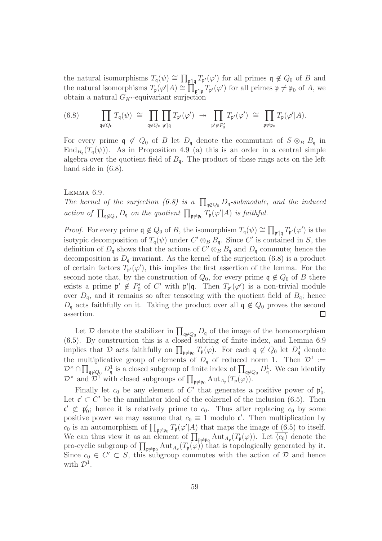the natural isomorphisms  $T_{\mathfrak{q}}(\psi) \cong \prod_{\mathfrak{p}'|\mathfrak{q}} T_{\mathfrak{p}'}(\varphi')$  for all primes  $\mathfrak{q} \notin Q_0$  of B and the natural isomorphisms  $T_{\mathfrak{p}}(\varphi'|A) \cong \prod_{\mathfrak{p'}|\mathfrak{p}} T_{\mathfrak{p'}}(\varphi')$  for all primes  $\mathfrak{p} \neq \mathfrak{p}_0$  of A, we obtain a natural  $G_{K'}$ -equivariant surjection

<span id="page-58-0"></span>
$$
(6.8) \qquad \prod_{\mathfrak{q}\notin Q_0} T_{\mathfrak{q}}(\psi) \;\cong\; \prod_{\mathfrak{q}\notin Q_0} \prod_{\mathfrak{p}'\mid \mathfrak{q}} T_{\mathfrak{p}'}(\varphi') \;\twoheadrightarrow\; \prod_{\mathfrak{p}'\notin P'_0} T_{\mathfrak{p}'}(\varphi') \;\cong\; \prod_{\mathfrak{p}\neq \mathfrak{p}_0} T_{\mathfrak{p}}(\varphi'|A).
$$

For every prime  $\mathfrak{q} \notin Q_0$  of B let  $D_{\mathfrak{q}}$  denote the commutant of  $S \otimes_B B_{\mathfrak{q}}$  in  $\text{End}_{B_q}(T_{\mathfrak{q}}(\psi))$ . As in Proposition [4.9](#page-34-1) (a) this is an order in a central simple algebra over the quotient field of  $B_{\mathfrak{q}}$ . The product of these rings acts on the left hand side in  $(6.8)$ .

#### <span id="page-58-1"></span>Lemma 6.9.

The kernel of the surjection [\(6.8\)](#page-58-0) is a  $\prod_{\mathfrak{q}\not\in Q_0} D_{\mathfrak{q}}$ -submodule, and the induced action of  $\prod_{\mathfrak{q}\not\in Q_0} D_{\mathfrak{q}}$  on the quotient  $\prod_{\mathfrak{p}\neq \mathfrak{p}_0} T_{\mathfrak{p}}(\varphi'|A)$  is faithful.

*Proof.* For every prime  $\mathfrak{q} \notin Q_0$  of B, the isomorphism  $T_{\mathfrak{q}}(\psi) \cong \prod_{\mathfrak{p}' \mid \mathfrak{q}} T_{\mathfrak{p}'}(\varphi')$  is the isotypic decomposition of  $T_{\mathfrak{q}}(\psi)$  under  $C' \otimes_B B_{\mathfrak{q}}$ . Since  $C'$  is contained in S, the definition of  $D_{\mathfrak{q}}$  shows that the actions of  $C' \otimes_B B_{\mathfrak{q}}$  and  $D_{\mathfrak{q}}$  commute; hence the decomposition is  $D_{\mathfrak{q}}$ -invariant. As the kernel of the surjection [\(6.8\)](#page-58-0) is a product of certain factors  $T_{\mathfrak{p}'}(\varphi')$ , this implies the first assertion of the lemma. For the second note that, by the construction of  $Q_0$ , for every prime  $\mathfrak{q} \notin Q_0$  of B there exists a prime  $\mathfrak{p}' \notin P'_0$  of C' with  $\mathfrak{p}'|\mathfrak{q}$ . Then  $T_{\mathfrak{p}'}(\varphi')$  is a non-trivial module over  $D_{\mathfrak{q}}$ , and it remains so after tensoring with the quotient field of  $B_{\mathfrak{q}}$ ; hence  $D_{\mathfrak{q}}$  acts faithfully on it. Taking the product over all  $\mathfrak{q} \notin Q_0$  proves the second assertion. assertion.

Let  $\mathcal{D}$  denote the stabilizer in  $\prod_{\mathfrak{q}\not\in Q_0}D_{\mathfrak{q}}$  of the image of the homomorphism [\(6.5\)](#page-57-3). By construction this is a closed subring of finite index, and Lemma [6.9](#page-58-1) implies that D acts faithfully on  $\prod_{\mathfrak{p}\neq\mathfrak{p}_0}T_{\mathfrak{p}}(\varphi)$ . For each  $\mathfrak{q}\notin Q_0$  let  $D_{\mathfrak{q}}^1$  denote the multiplicative group of elements of  $D_q$  of reduced norm 1. Then  $\mathcal{D}^1 :=$  $\mathcal{D}^{\times}\cap\prod_{\mathfrak{q}\not\in Q_0}D_{\mathfrak{q}}^1$  is a closed subgroup of finite index of  $\prod_{\mathfrak{q}\not\in Q_0}D_{\mathfrak{q}}^1$ . We can identify  $\mathcal{D}^{\times}$  and  $\mathcal{D}^{1}$  with closed subgroups of  $\prod_{\mathfrak{p}\neq\mathfrak{p}_{0}}\text{Aut}_{A_{\mathfrak{p}}}(T_{\mathfrak{p}}(\varphi)).$ 

Finally let  $c_0$  be any element of C' that generates a positive power of  $\mathfrak{p}'_0$ . Let  $\mathfrak{c}' \subset C'$  be the annihilator ideal of the cokernel of the inclusion [\(6.5\)](#page-57-3). Then  $\mathfrak{c}' \not\subset \mathfrak{p}'_0$ ; hence it is relatively prime to  $c_0$ . Thus after replacing  $c_0$  by some positive power we may assume that  $c_0 \equiv 1$  modulo  $\mathfrak{c}'$ . Then multiplication by  $c_0$  is an automorphism of  $\prod_{\mathfrak{p}\neq\mathfrak{p}_0} T_{\mathfrak{p}}(\varphi'|A)$  that maps the image of  $(6.5)$  to itself. We can thus view it as an element of  $\prod_{\mathfrak{p}\neq\mathfrak{p}_0} \text{Aut}_{A_{\mathfrak{p}}}(T_{\mathfrak{p}}(\varphi))$ . Let  $\langle c_0 \rangle$  denote the pro-cyclic subgroup of  $\prod_{\mathfrak{p}\neq\mathfrak{p}_0}$  Aut<sub> $A_{\mathfrak{p}}(T_{\mathfrak{p}}(\varphi))$  that is topologically generated by it.</sub> Since  $c_0 \in C' \subset S$ , this subgroup commutes with the action of  $D$  and hence with  $\mathcal{D}^1$ .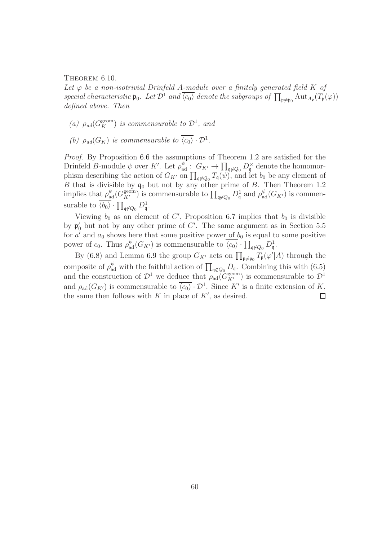THEOREM 6.10.

Let  $\varphi$  be a non-isotrivial Drinfeld A-module over a finitely generated field K of special characteristic  $\mathfrak{p}_0$ . Let  $\mathcal{D}^1$  and  $\overline{\langle c_0 \rangle}$  denote the subgroups of  $\prod_{\mathfrak{p}\neq \mathfrak{p}_0}$  Aut<sub>Ap</sub> $(T_{\mathfrak{p}}(\varphi))$ defined above. Then

- (a)  $\rho_{ad}(G_K^{\text{geom}})$  is commensurable to  $\mathcal{D}^1$ , and
- (b)  $\rho_{ad}(G_K)$  is commensurable to  $\langle c_0 \rangle \cdot \mathcal{D}^1$ .

Proof. By Proposition [6.6](#page-57-1) the assumptions of Theorem [1.2](#page-3-0) are satisfied for the Drinfeld B-module  $\psi$  over K'. Let  $\rho_{\text{ad}}^{\psi}$  :  $G_{K'} \to \prod_{\mathfrak{q} \notin Q_0} D_{\mathfrak{q}}^{\times}$  denote the homomorphism describing the action of  $G_{K'}$  on  $\prod_{\mathfrak{q} \notin Q_0} T_{\mathfrak{q}}(\psi)$ , and let  $b_0$  be any element of B that is divisible by  $q_0$  but not by any other prime of B. Then Theorem [1.2](#page-3-0) implies that  $\rho_{ad}^{\psi}(G_{K'}^{\text{geom}})$  is commensurable to  $\prod_{\mathfrak{q}\not\in Q_0}D^1_{\mathfrak{q}}$  and  $\rho_{ad}^{\psi}(G_{K'})$  is commensurable to  $\overline{\langle b_0 \rangle} \cdot \prod_{\mathfrak{q} \notin Q_0} D^1_{\mathfrak{q}}.$ 

Viewing  $b_0$  as an element of C', Proposition [6.7](#page-57-2) implies that  $b_0$  is divisible by  $\mathfrak{p}'_0$  but not by any other prime of C'. The same argument as in Section [5.5](#page-52-0) for  $a'$  and  $a_0$  shows here that some positive power of  $b_0$  is equal to some positive power of  $c_0$ . Thus  $\rho_{ad}^{\psi}(G_{K'})$  is commensurable to  $\overline{\langle c_0 \rangle} \cdot \prod_{\mathfrak{q} \notin Q_0} D^1_{\mathfrak{q}}$ .

By [\(6.8\)](#page-58-0) and Lemma [6.9](#page-58-1) the group  $G_{K'}$  acts on  $\prod_{\mathfrak{p}\neq\mathfrak{p}_0}T_{\mathfrak{p}}(\varphi'|A)$  through the composite of  $\rho_{ad}^{\psi}$  with the faithful action of  $\prod_{\mathfrak{q}\not\in Q_0}D_{\mathfrak{q}}$ . Combining this with  $(6.5)$ and the construction of  $\mathcal{D}^1$  we deduce that  $\rho_{ad}(G_{K'}^{\text{geom}})$  is commensurable to  $\mathcal{D}^1$ and  $\rho_{ad}(G_{K'})$  is commensurable to  $\overline{\langle c_0 \rangle} \cdot \mathcal{D}^1$ . Since K' is a finite extension of K, the same then follows with  $K$  in place of  $K'$ , as desired.  $\Box$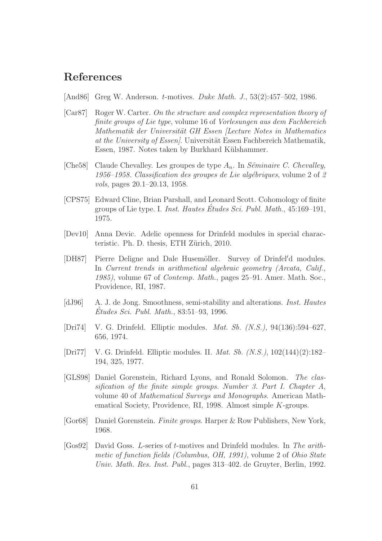# References

- <span id="page-60-0"></span>[And86] Greg W. Anderson. t-motives. Duke Math. J., 53(2):457–502, 1986.
- <span id="page-60-4"></span>[Car87] Roger W. Carter. On the structure and complex representation theory of finite groups of Lie type, volume 16 of Vorlesungen aus dem Fachbereich Mathematik der Universität GH Essen (Lecture Notes in Mathematics at the University of Essen. Universität Essen Fachbereich Mathematik, Essen, 1987. Notes taken by Burkhard Külshammer.
- [Che58] Claude Chevalley. Les groupes de type  $A_n$ . In Séminaire C. Chevalley, 1956–1958. Classification des groupes de Lie algébriques, volume  $2$  of  $2$ vols, pages 20.1–20.13, 1958.
- <span id="page-60-5"></span>[CPS75] Edward Cline, Brian Parshall, and Leonard Scott. Cohomology of finite groups of Lie type. I. *Inst. Hautes Études Sci. Publ. Math.*,  $45:169-191$ , 1975.
- <span id="page-60-1"></span>[Dev10] Anna Devic. Adelic openness for Drinfeld modules in special characteristic. Ph. D. thesis, ETH Zürich, 2010.
- <span id="page-60-7"></span>[DH87] Pierre Deligne and Dale Husemöller. Survey of Drinfel'd modules. In Current trends in arithmetical algebraic geometry (Arcata, Calif., 1985), volume 67 of Contemp. Math., pages 25–91. Amer. Math. Soc., Providence, RI, 1987.
- <span id="page-60-8"></span>[dJ96] A. J. de Jong. Smoothness, semi-stability and alterations. Inst. Hautes Etudes Sci. Publ. Math.,  $83:51-93$ , 1996.
- <span id="page-60-6"></span>[Dri74] V. G. Drinfeld. Elliptic modules. Mat. Sb. (N.S.), 94(136):594–627, 656, 1974.
- <span id="page-60-9"></span>[Dri77] V. G. Drinfeld. Elliptic modules. II. Mat. Sb. (N.S.), 102(144)(2):182– 194, 325, 1977.
- <span id="page-60-2"></span>[GLS98] Daniel Gorenstein, Richard Lyons, and Ronald Solomon. The classification of the finite simple groups. Number 3. Part I. Chapter A, volume 40 of Mathematical Surveys and Monographs. American Mathematical Society, Providence, RI, 1998. Almost simple K-groups.
- <span id="page-60-3"></span>[Gor68] Daniel Gorenstein. Finite groups. Harper & Row Publishers, New York, 1968.
- [Gos92] David Goss. L-series of t-motives and Drinfeld modules. In The arithmetic of function fields (Columbus, OH, 1991), volume 2 of Ohio State Univ. Math. Res. Inst. Publ., pages 313–402. de Gruyter, Berlin, 1992.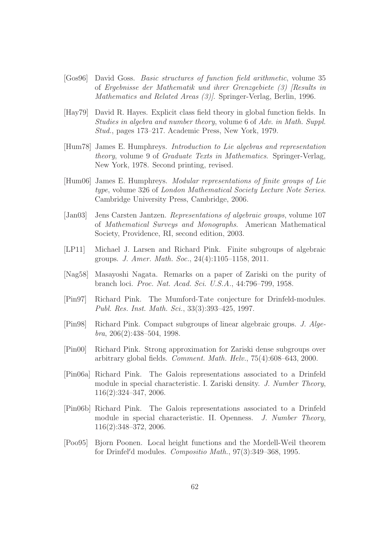- <span id="page-61-8"></span>[Gos96] David Goss. Basic structures of function field arithmetic, volume 35 of Ergebnisse der Mathematik und ihrer Grenzgebiete (3) [Results in Mathematics and Related Areas (3)]. Springer-Verlag, Berlin, 1996.
- <span id="page-61-7"></span>[Hay79] David R. Hayes. Explicit class field theory in global function fields. In Studies in algebra and number theory, volume 6 of Adv. in Math. Suppl. Stud., pages 173–217. Academic Press, New York, 1979.
- <span id="page-61-5"></span>[Hum78] James E. Humphreys. Introduction to Lie algebras and representation theory, volume 9 of Graduate Texts in Mathematics. Springer-Verlag, New York, 1978. Second printing, revised.
- <span id="page-61-3"></span>[Hum06] James E. Humphreys. Modular representations of finite groups of Lie type, volume 326 of London Mathematical Society Lecture Note Series. Cambridge University Press, Cambridge, 2006.
- <span id="page-61-4"></span>[Jan03] Jens Carsten Jantzen. Representations of algebraic groups, volume 107 of Mathematical Surveys and Monographs. American Mathematical Society, Providence, RI, second edition, 2003.
- <span id="page-61-2"></span>[LP11] Michael J. Larsen and Richard Pink. Finite subgroups of algebraic groups. J. Amer. Math. Soc., 24(4):1105–1158, 2011.
- <span id="page-61-9"></span>[Nag58] Masayoshi Nagata. Remarks on a paper of Zariski on the purity of branch loci. Proc. Nat. Acad. Sci. U.S.A., 44:796–799, 1958.
- [Pin97] Richard Pink. The Mumford-Tate conjecture for Drinfeld-modules. Publ. Res. Inst. Math. Sci., 33(3):393–425, 1997.
- [Pin98] Richard Pink. Compact subgroups of linear algebraic groups. J. Algebra, 206(2):438–504, 1998.
- <span id="page-61-6"></span>[Pin00] Richard Pink. Strong approximation for Zariski dense subgroups over arbitrary global fields. Comment. Math. Helv., 75(4):608–643, 2000.
- <span id="page-61-1"></span>[Pin06a] Richard Pink. The Galois representations associated to a Drinfeld module in special characteristic. I. Zariski density. J. Number Theory, 116(2):324–347, 2006.
- <span id="page-61-0"></span>[Pin06b] Richard Pink. The Galois representations associated to a Drinfeld module in special characteristic. II. Openness. J. Number Theory, 116(2):348–372, 2006.
- <span id="page-61-10"></span>[Poo95] Bjorn Poonen. Local height functions and the Mordell-Weil theorem for Drinfel′d modules. Compositio Math., 97(3):349–368, 1995.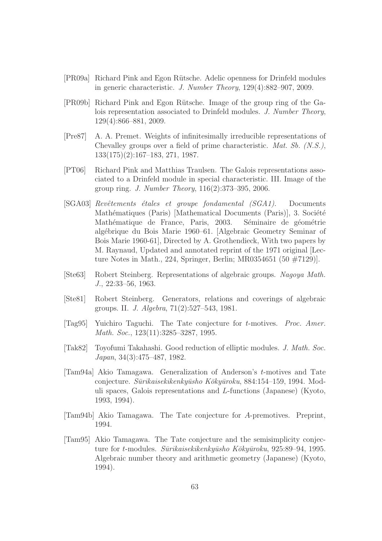- <span id="page-62-0"></span>[PR09a] Richard Pink and Egon R¨utsche. Adelic openness for Drinfeld modules in generic characteristic. J. Number Theory, 129(4):882–907, 2009.
- <span id="page-62-5"></span>[PR09b] Richard Pink and Egon R¨utsche. Image of the group ring of the Galois representation associated to Drinfeld modules. J. Number Theory, 129(4):866–881, 2009.
- <span id="page-62-2"></span>[Pre87] A. A. Premet. Weights of infinitesimally irreducible representations of Chevalley groups over a field of prime characteristic. Mat. Sb. (N.S.), 133(175)(2):167–183, 271, 1987.
- <span id="page-62-1"></span>[PT06] Richard Pink and Matthias Traulsen. The Galois representations associated to a Drinfeld module in special characteristic. III. Image of the group ring. J. Number Theory, 116(2):373–395, 2006.
- <span id="page-62-4"></span>[SGA03] Revêtements étales et groupe fondamental (SGA1). Documents Mathématiques (Paris) [Mathematical Documents (Paris)], 3. Société Mathématique de France, Paris, 2003. Séminaire de géométrie alg´ebrique du Bois Marie 1960–61. [Algebraic Geometry Seminar of Bois Marie 1960-61], Directed by A. Grothendieck, With two papers by M. Raynaud, Updated and annotated reprint of the 1971 original [Lecture Notes in Math., 224, Springer, Berlin; MR0354651 (50 #7129)].
- [Ste63] Robert Steinberg. Representations of algebraic groups. Nagoya Math. J., 22:33–56, 1963.
- <span id="page-62-3"></span>[Ste81] Robert Steinberg. Generators, relations and coverings of algebraic groups. II. J. Algebra, 71(2):527–543, 1981.
- <span id="page-62-6"></span>[Tag95] Yuichiro Taguchi. The Tate conjecture for t-motives. Proc. Amer. Math. Soc., 123(11):3285–3287, 1995.
- [Tak82] Toyofumi Takahashi. Good reduction of elliptic modules. J. Math. Soc. Japan, 34(3):475–487, 1982.
- <span id="page-62-7"></span>[Tam94a] Akio Tamagawa. Generalization of Anderson's t-motives and Tate conjecture. Sūrikaisekikenkyūsho Kōkyūroku, 884:154–159, 1994. Moduli spaces, Galois representations and L-functions (Japanese) (Kyoto, 1993, 1994).
- <span id="page-62-8"></span>[Tam94b] Akio Tamagawa. The Tate conjecture for A-premotives. Preprint, 1994.
- <span id="page-62-9"></span>[Tam95] Akio Tamagawa. The Tate conjecture and the semisimplicity conjecture for t-modules. Sūrikaisekikenkyūsho Kōkyūroku, 925:89–94, 1995. Algebraic number theory and arithmetic geometry (Japanese) (Kyoto, 1994).